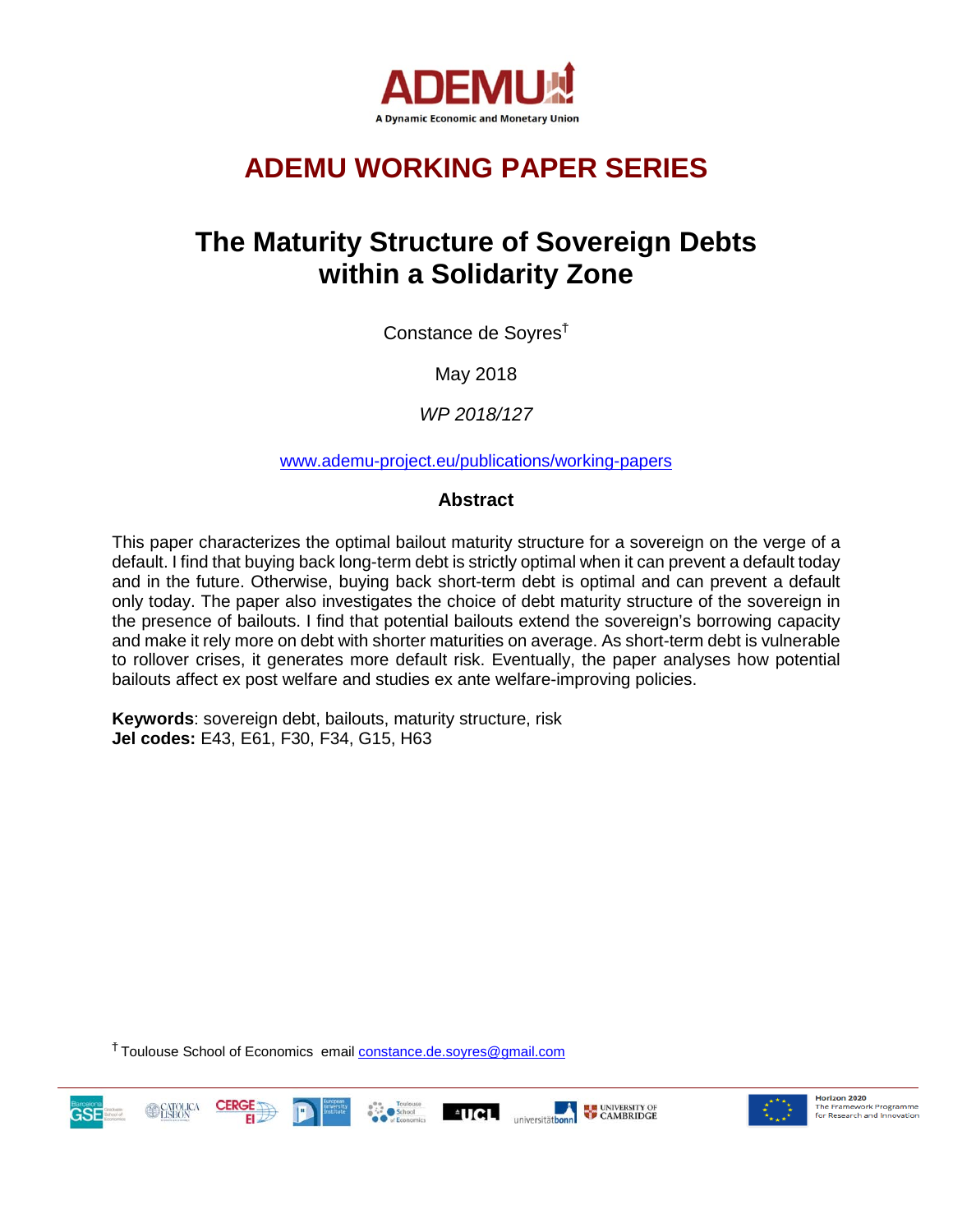

# **ADEMU WORKING PAPER SERIES**

# **The Maturity Structure of Sovereign Debts within a Solidarity Zone**

Constance de Soyres<sup>Ť</sup>

May 2018

*WP 2018/127*

[www.ademu-project.eu/publications/working-papers](http://www.ademu-project.eu/publications/working-papers)

#### **Abstract**

This paper characterizes the optimal bailout maturity structure for a sovereign on the verge of a default. I find that buying back long-term debt is strictly optimal when it can prevent a default today and in the future. Otherwise, buying back short-term debt is optimal and can prevent a default only today. The paper also investigates the choice of debt maturity structure of the sovereign in the presence of bailouts. I find that potential bailouts extend the sovereign's borrowing capacity and make it rely more on debt with shorter maturities on average. As short-term debt is vulnerable to rollover crises, it generates more default risk. Eventually, the paper analyses how potential bailouts affect ex post welfare and studies ex ante welfare-improving policies.

**Keywords**: sovereign debt, bailouts, maturity structure, risk **Jel codes:** E43, E61, F30, F34, G15, H63

<sup>†</sup> Toulouse School of Economics email **constance.de.soyres@gmail.com** 





Horizon 2020 The Framework Programme<br>for Research and Innovation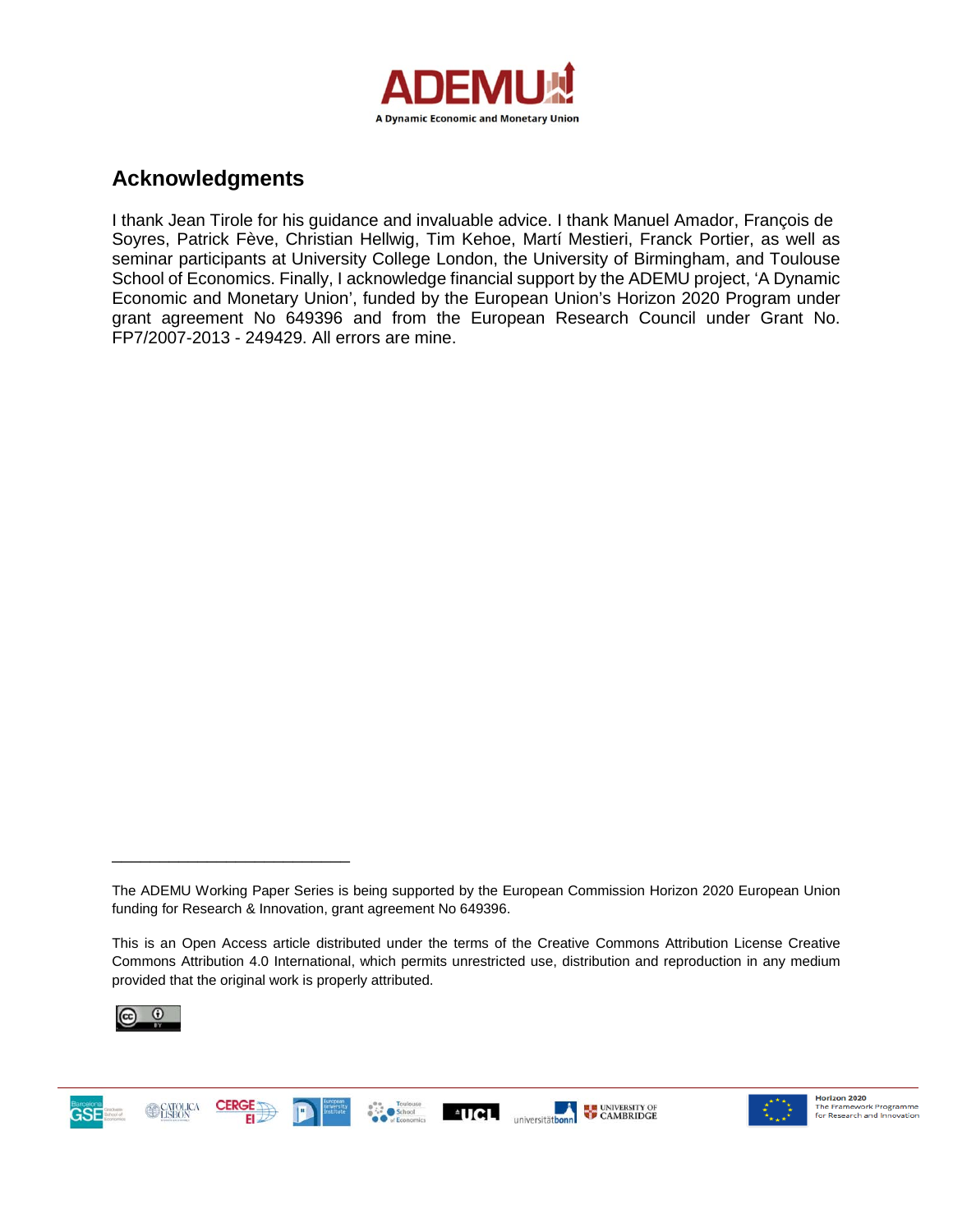

### **Acknowledgments**

I thank Jean Tirole for his guidance and invaluable advice. I thank Manuel Amador, François de Soyres, Patrick Fève, Christian Hellwig, Tim Kehoe, Martí Mestieri, Franck Portier, as well as seminar participants at University College London, the University of Birmingham, and Toulouse School of Economics. Finally, I acknowledge financial support by the ADEMU project, 'A Dynamic Economic and Monetary Union', funded by the European Union's Horizon 2020 Program under grant agreement No 649396 and from the European Research Council under Grant No. FP7/2007-2013 - 249429. All errors are mine.

This is an Open Access article distributed under the terms of the Creative Commons Attribution License Creative Commons Attribution 4.0 International, which permits unrestricted use, distribution and reproduction in any medium provided that the original work is properly attributed.



\_\_\_\_\_\_\_\_\_\_\_\_\_\_\_\_\_\_\_\_\_\_\_\_\_





The ADEMU Working Paper Series is being supported by the European Commission Horizon 2020 European Union funding for Research & Innovation, grant agreement No 649396.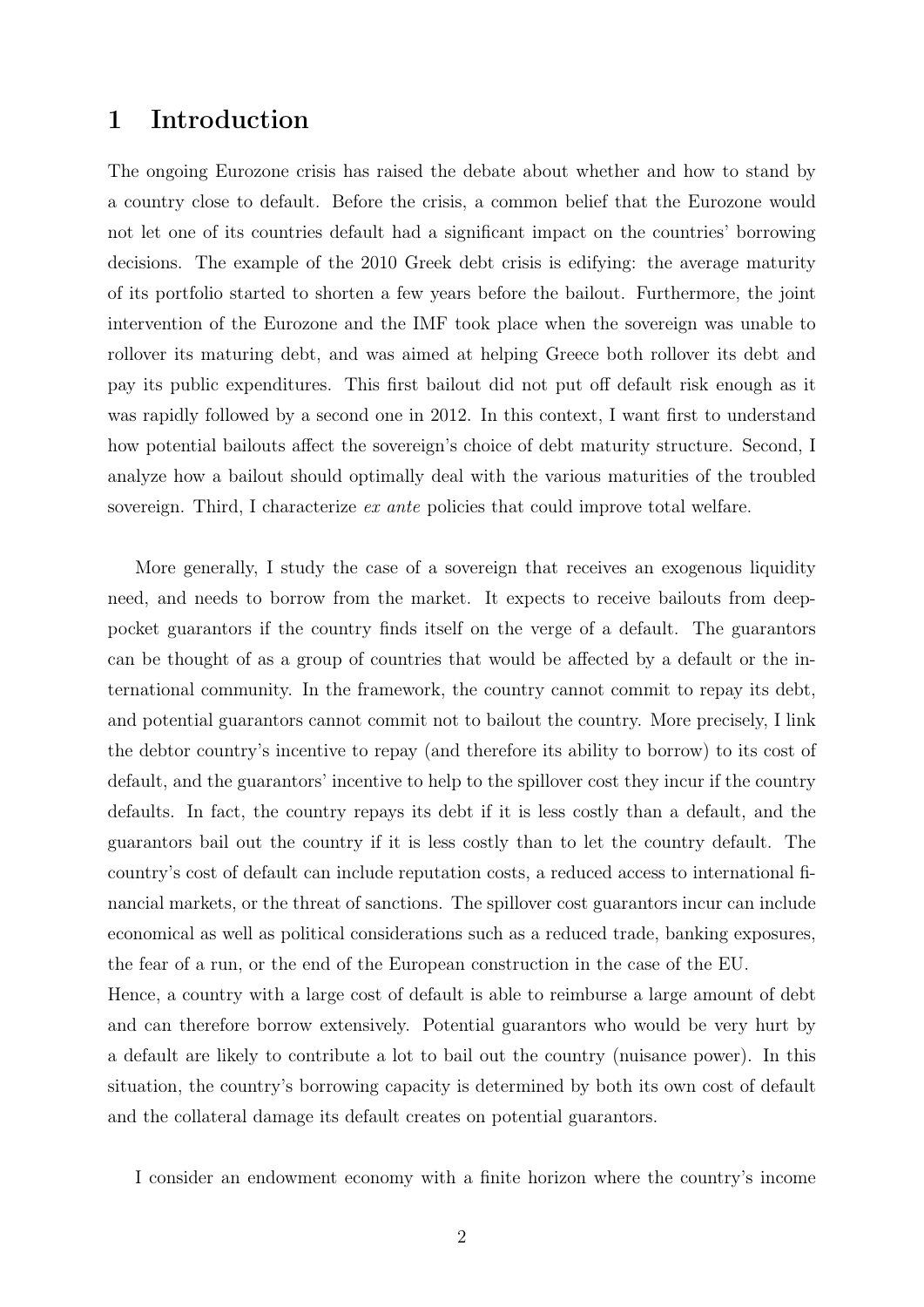### 1 Introduction

The ongoing Eurozone crisis has raised the debate about whether and how to stand by a country close to default. Before the crisis, a common belief that the Eurozone would not let one of its countries default had a significant impact on the countries' borrowing decisions. The example of the 2010 Greek debt crisis is edifying: the average maturity of its portfolio started to shorten a few years before the bailout. Furthermore, the joint intervention of the Eurozone and the IMF took place when the sovereign was unable to rollover its maturing debt, and was aimed at helping Greece both rollover its debt and pay its public expenditures. This first bailout did not put off default risk enough as it was rapidly followed by a second one in 2012. In this context, I want first to understand how potential bailouts affect the sovereign's choice of debt maturity structure. Second, I analyze how a bailout should optimally deal with the various maturities of the troubled sovereign. Third, I characterize ex ante policies that could improve total welfare.

More generally, I study the case of a sovereign that receives an exogenous liquidity need, and needs to borrow from the market. It expects to receive bailouts from deeppocket guarantors if the country finds itself on the verge of a default. The guarantors can be thought of as a group of countries that would be affected by a default or the international community. In the framework, the country cannot commit to repay its debt, and potential guarantors cannot commit not to bailout the country. More precisely, I link the debtor country's incentive to repay (and therefore its ability to borrow) to its cost of default, and the guarantors' incentive to help to the spillover cost they incur if the country defaults. In fact, the country repays its debt if it is less costly than a default, and the guarantors bail out the country if it is less costly than to let the country default. The country's cost of default can include reputation costs, a reduced access to international financial markets, or the threat of sanctions. The spillover cost guarantors incur can include economical as well as political considerations such as a reduced trade, banking exposures, the fear of a run, or the end of the European construction in the case of the EU. Hence, a country with a large cost of default is able to reimburse a large amount of debt and can therefore borrow extensively. Potential guarantors who would be very hurt by a default are likely to contribute a lot to bail out the country (nuisance power). In this

situation, the country's borrowing capacity is determined by both its own cost of default and the collateral damage its default creates on potential guarantors.

I consider an endowment economy with a finite horizon where the country's income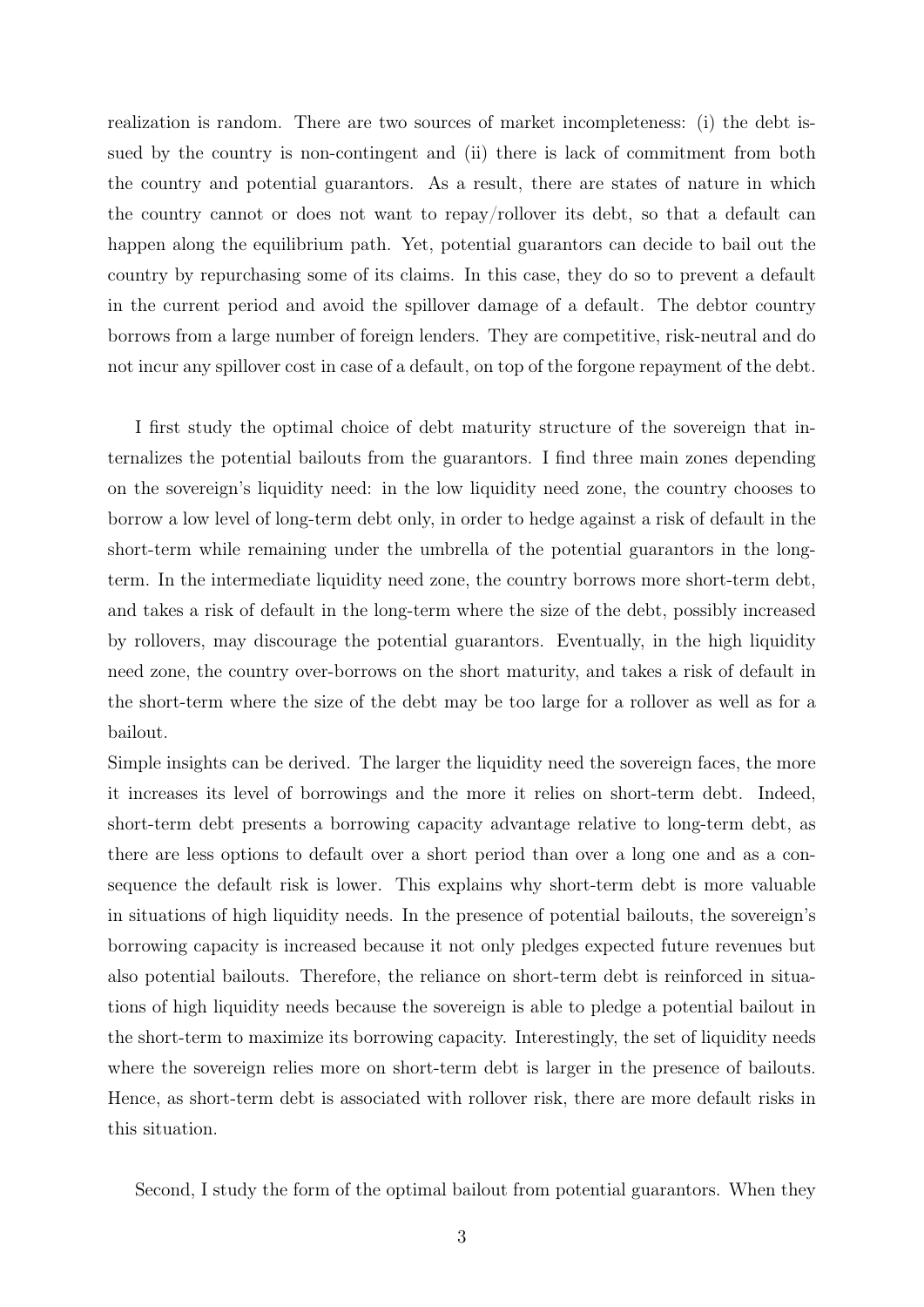realization is random. There are two sources of market incompleteness: (i) the debt issued by the country is non-contingent and (ii) there is lack of commitment from both the country and potential guarantors. As a result, there are states of nature in which the country cannot or does not want to repay/rollover its debt, so that a default can happen along the equilibrium path. Yet, potential guarantors can decide to bail out the country by repurchasing some of its claims. In this case, they do so to prevent a default in the current period and avoid the spillover damage of a default. The debtor country borrows from a large number of foreign lenders. They are competitive, risk-neutral and do not incur any spillover cost in case of a default, on top of the forgone repayment of the debt.

I first study the optimal choice of debt maturity structure of the sovereign that internalizes the potential bailouts from the guarantors. I find three main zones depending on the sovereign's liquidity need: in the low liquidity need zone, the country chooses to borrow a low level of long-term debt only, in order to hedge against a risk of default in the short-term while remaining under the umbrella of the potential guarantors in the longterm. In the intermediate liquidity need zone, the country borrows more short-term debt, and takes a risk of default in the long-term where the size of the debt, possibly increased by rollovers, may discourage the potential guarantors. Eventually, in the high liquidity need zone, the country over-borrows on the short maturity, and takes a risk of default in the short-term where the size of the debt may be too large for a rollover as well as for a bailout.

Simple insights can be derived. The larger the liquidity need the sovereign faces, the more it increases its level of borrowings and the more it relies on short-term debt. Indeed, short-term debt presents a borrowing capacity advantage relative to long-term debt, as there are less options to default over a short period than over a long one and as a consequence the default risk is lower. This explains why short-term debt is more valuable in situations of high liquidity needs. In the presence of potential bailouts, the sovereign's borrowing capacity is increased because it not only pledges expected future revenues but also potential bailouts. Therefore, the reliance on short-term debt is reinforced in situations of high liquidity needs because the sovereign is able to pledge a potential bailout in the short-term to maximize its borrowing capacity. Interestingly, the set of liquidity needs where the sovereign relies more on short-term debt is larger in the presence of bailouts. Hence, as short-term debt is associated with rollover risk, there are more default risks in this situation.

Second, I study the form of the optimal bailout from potential guarantors. When they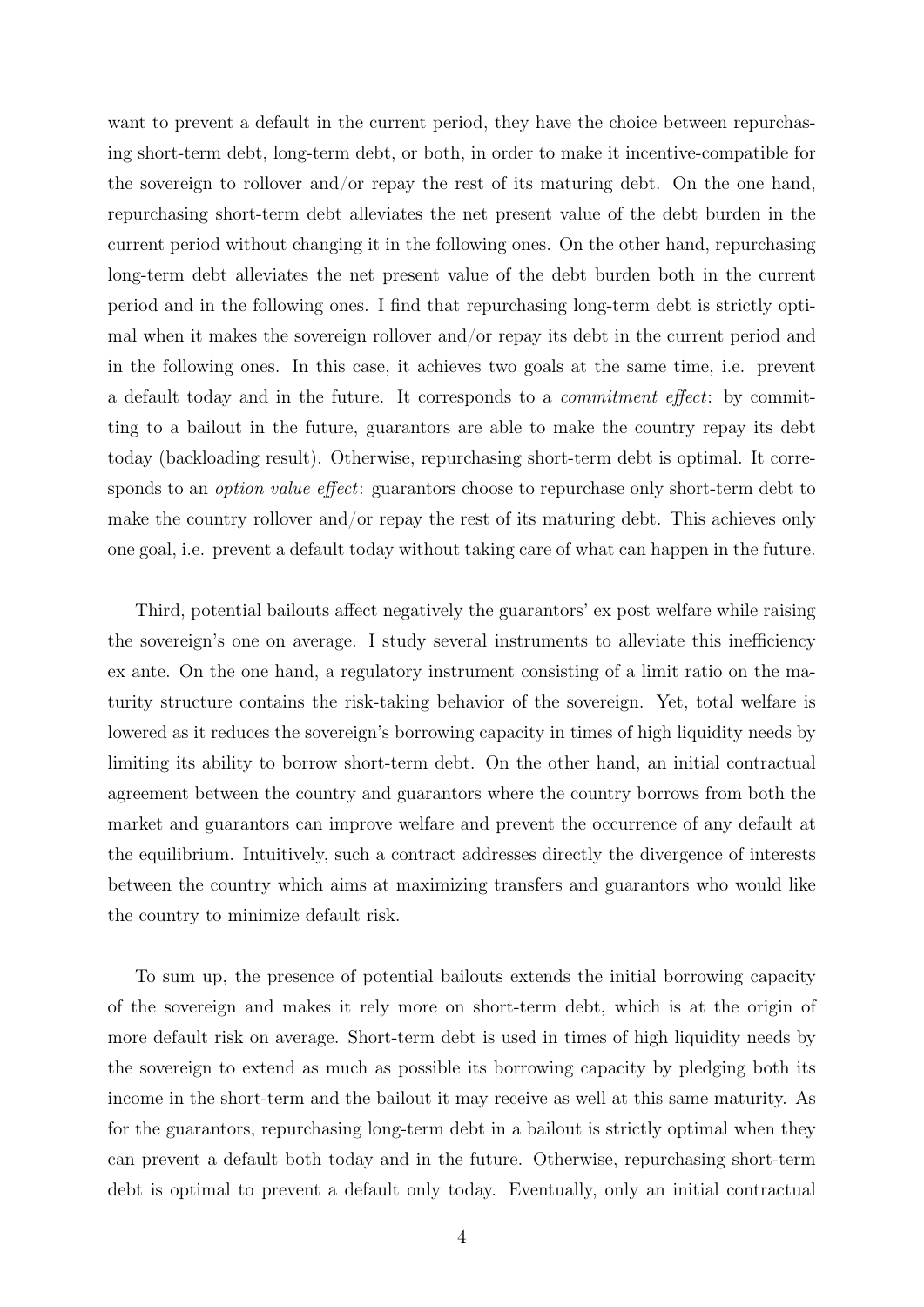want to prevent a default in the current period, they have the choice between repurchasing short-term debt, long-term debt, or both, in order to make it incentive-compatible for the sovereign to rollover and/or repay the rest of its maturing debt. On the one hand, repurchasing short-term debt alleviates the net present value of the debt burden in the current period without changing it in the following ones. On the other hand, repurchasing long-term debt alleviates the net present value of the debt burden both in the current period and in the following ones. I find that repurchasing long-term debt is strictly optimal when it makes the sovereign rollover and/or repay its debt in the current period and in the following ones. In this case, it achieves two goals at the same time, i.e. prevent a default today and in the future. It corresponds to a commitment effect: by committing to a bailout in the future, guarantors are able to make the country repay its debt today (backloading result). Otherwise, repurchasing short-term debt is optimal. It corresponds to an *option value effect*: guarantors choose to repurchase only short-term debt to make the country rollover and/or repay the rest of its maturing debt. This achieves only one goal, i.e. prevent a default today without taking care of what can happen in the future.

Third, potential bailouts affect negatively the guarantors' ex post welfare while raising the sovereign's one on average. I study several instruments to alleviate this inefficiency ex ante. On the one hand, a regulatory instrument consisting of a limit ratio on the maturity structure contains the risk-taking behavior of the sovereign. Yet, total welfare is lowered as it reduces the sovereign's borrowing capacity in times of high liquidity needs by limiting its ability to borrow short-term debt. On the other hand, an initial contractual agreement between the country and guarantors where the country borrows from both the market and guarantors can improve welfare and prevent the occurrence of any default at the equilibrium. Intuitively, such a contract addresses directly the divergence of interests between the country which aims at maximizing transfers and guarantors who would like the country to minimize default risk.

To sum up, the presence of potential bailouts extends the initial borrowing capacity of the sovereign and makes it rely more on short-term debt, which is at the origin of more default risk on average. Short-term debt is used in times of high liquidity needs by the sovereign to extend as much as possible its borrowing capacity by pledging both its income in the short-term and the bailout it may receive as well at this same maturity. As for the guarantors, repurchasing long-term debt in a bailout is strictly optimal when they can prevent a default both today and in the future. Otherwise, repurchasing short-term debt is optimal to prevent a default only today. Eventually, only an initial contractual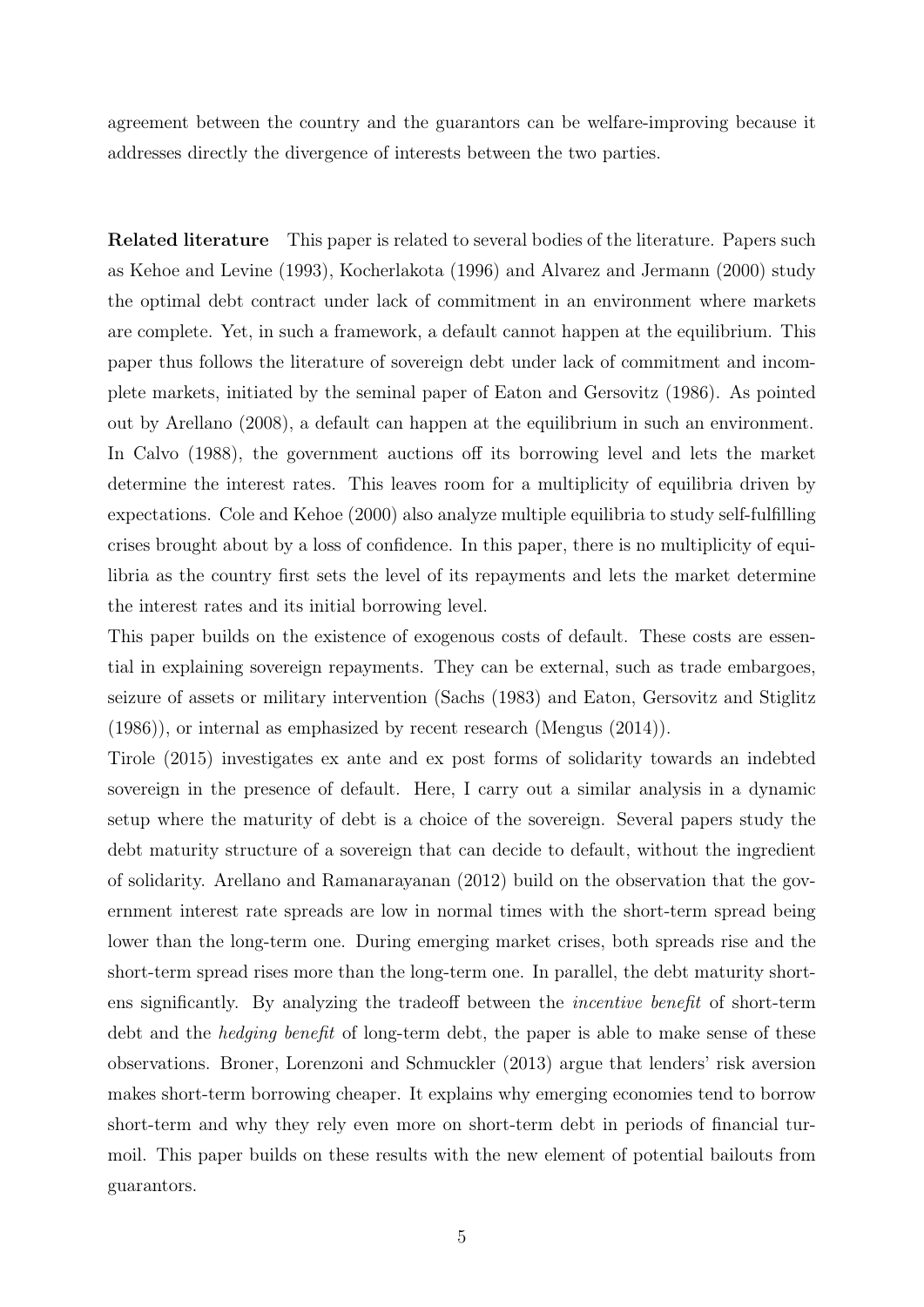agreement between the country and the guarantors can be welfare-improving because it addresses directly the divergence of interests between the two parties.

Related literature This paper is related to several bodies of the literature. Papers such as Kehoe and Levine (1993), Kocherlakota (1996) and Alvarez and Jermann (2000) study the optimal debt contract under lack of commitment in an environment where markets are complete. Yet, in such a framework, a default cannot happen at the equilibrium. This paper thus follows the literature of sovereign debt under lack of commitment and incomplete markets, initiated by the seminal paper of Eaton and Gersovitz (1986). As pointed out by Arellano (2008), a default can happen at the equilibrium in such an environment. In Calvo (1988), the government auctions off its borrowing level and lets the market determine the interest rates. This leaves room for a multiplicity of equilibria driven by expectations. Cole and Kehoe (2000) also analyze multiple equilibria to study self-fulfilling crises brought about by a loss of confidence. In this paper, there is no multiplicity of equilibria as the country first sets the level of its repayments and lets the market determine the interest rates and its initial borrowing level.

This paper builds on the existence of exogenous costs of default. These costs are essential in explaining sovereign repayments. They can be external, such as trade embargoes, seizure of assets or military intervention (Sachs (1983) and Eaton, Gersovitz and Stiglitz (1986)), or internal as emphasized by recent research (Mengus (2014)).

Tirole (2015) investigates ex ante and ex post forms of solidarity towards an indebted sovereign in the presence of default. Here, I carry out a similar analysis in a dynamic setup where the maturity of debt is a choice of the sovereign. Several papers study the debt maturity structure of a sovereign that can decide to default, without the ingredient of solidarity. Arellano and Ramanarayanan (2012) build on the observation that the government interest rate spreads are low in normal times with the short-term spread being lower than the long-term one. During emerging market crises, both spreads rise and the short-term spread rises more than the long-term one. In parallel, the debt maturity shortens significantly. By analyzing the tradeoff between the incentive benefit of short-term debt and the *hedging benefit* of long-term debt, the paper is able to make sense of these observations. Broner, Lorenzoni and Schmuckler (2013) argue that lenders' risk aversion makes short-term borrowing cheaper. It explains why emerging economies tend to borrow short-term and why they rely even more on short-term debt in periods of financial turmoil. This paper builds on these results with the new element of potential bailouts from guarantors.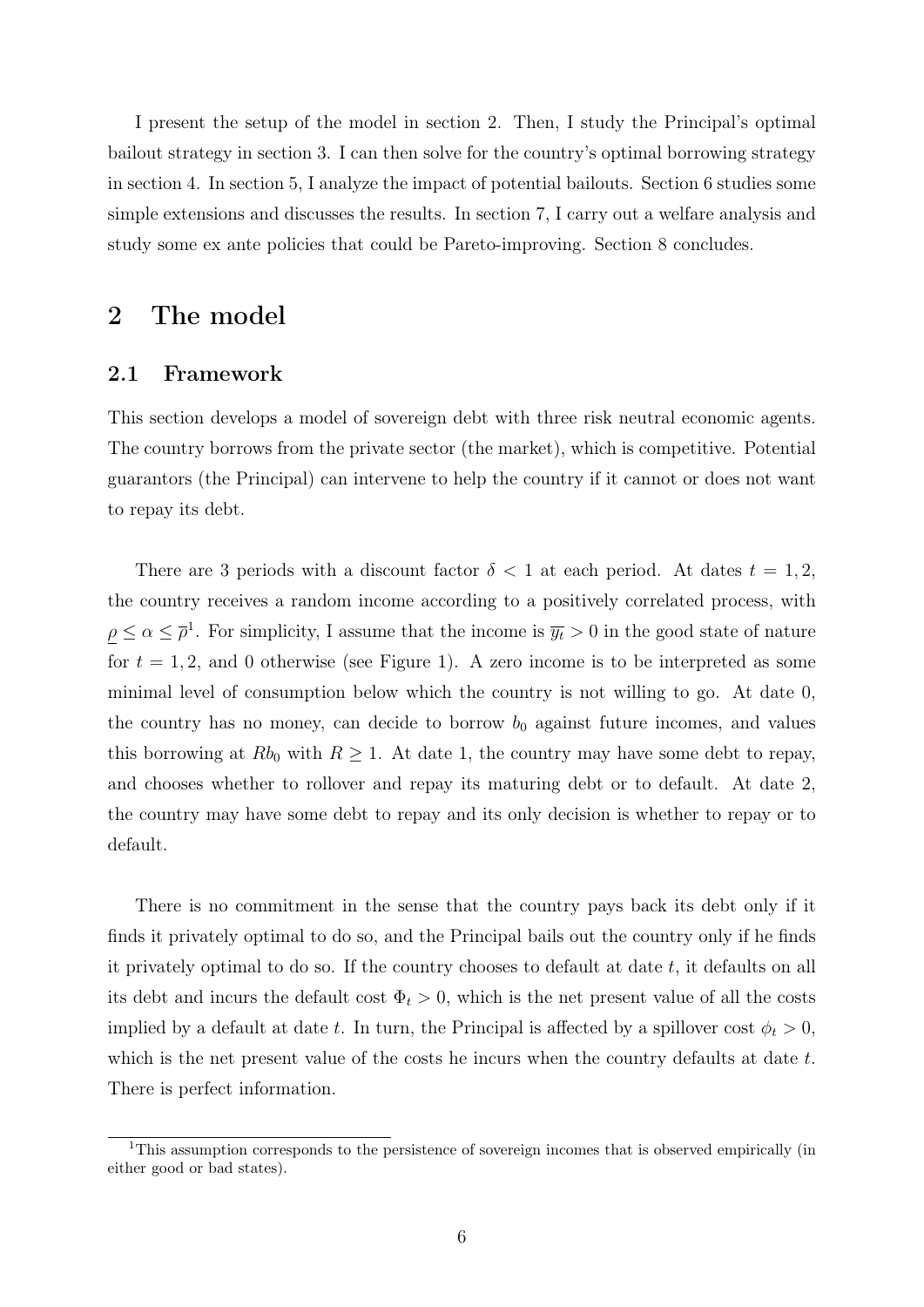I present the setup of the model in section 2. Then, I study the Principal's optimal bailout strategy in section 3. I can then solve for the country's optimal borrowing strategy in section 4. In section 5, I analyze the impact of potential bailouts. Section 6 studies some simple extensions and discusses the results. In section 7, I carry out a welfare analysis and study some ex ante policies that could be Pareto-improving. Section 8 concludes.

### 2 The model

#### 2.1 Framework

This section develops a model of sovereign debt with three risk neutral economic agents. The country borrows from the private sector (the market), which is competitive. Potential guarantors (the Principal) can intervene to help the country if it cannot or does not want to repay its debt.

There are 3 periods with a discount factor  $\delta < 1$  at each period. At dates  $t = 1, 2$ , the country receives a random income according to a positively correlated process, with  $\rho \leq \alpha \leq \overline{\rho}^1$ . For simplicity, I assume that the income is  $\overline{y_t} > 0$  in the good state of nature for  $t = 1, 2$ , and 0 otherwise (see Figure 1). A zero income is to be interpreted as some minimal level of consumption below which the country is not willing to go. At date 0, the country has no money, can decide to borrow  $b_0$  against future incomes, and values this borrowing at  $Rb_0$  with  $R \geq 1$ . At date 1, the country may have some debt to repay, and chooses whether to rollover and repay its maturing debt or to default. At date 2, the country may have some debt to repay and its only decision is whether to repay or to default.

There is no commitment in the sense that the country pays back its debt only if it finds it privately optimal to do so, and the Principal bails out the country only if he finds it privately optimal to do so. If the country chooses to default at date t, it defaults on all its debt and incurs the default cost  $\Phi_t > 0$ , which is the net present value of all the costs implied by a default at date t. In turn, the Principal is affected by a spillover cost  $\phi_t > 0$ , which is the net present value of the costs he incurs when the country defaults at date  $t$ . There is perfect information.

<sup>&</sup>lt;sup>1</sup>This assumption corresponds to the persistence of sovereign incomes that is observed empirically (in either good or bad states).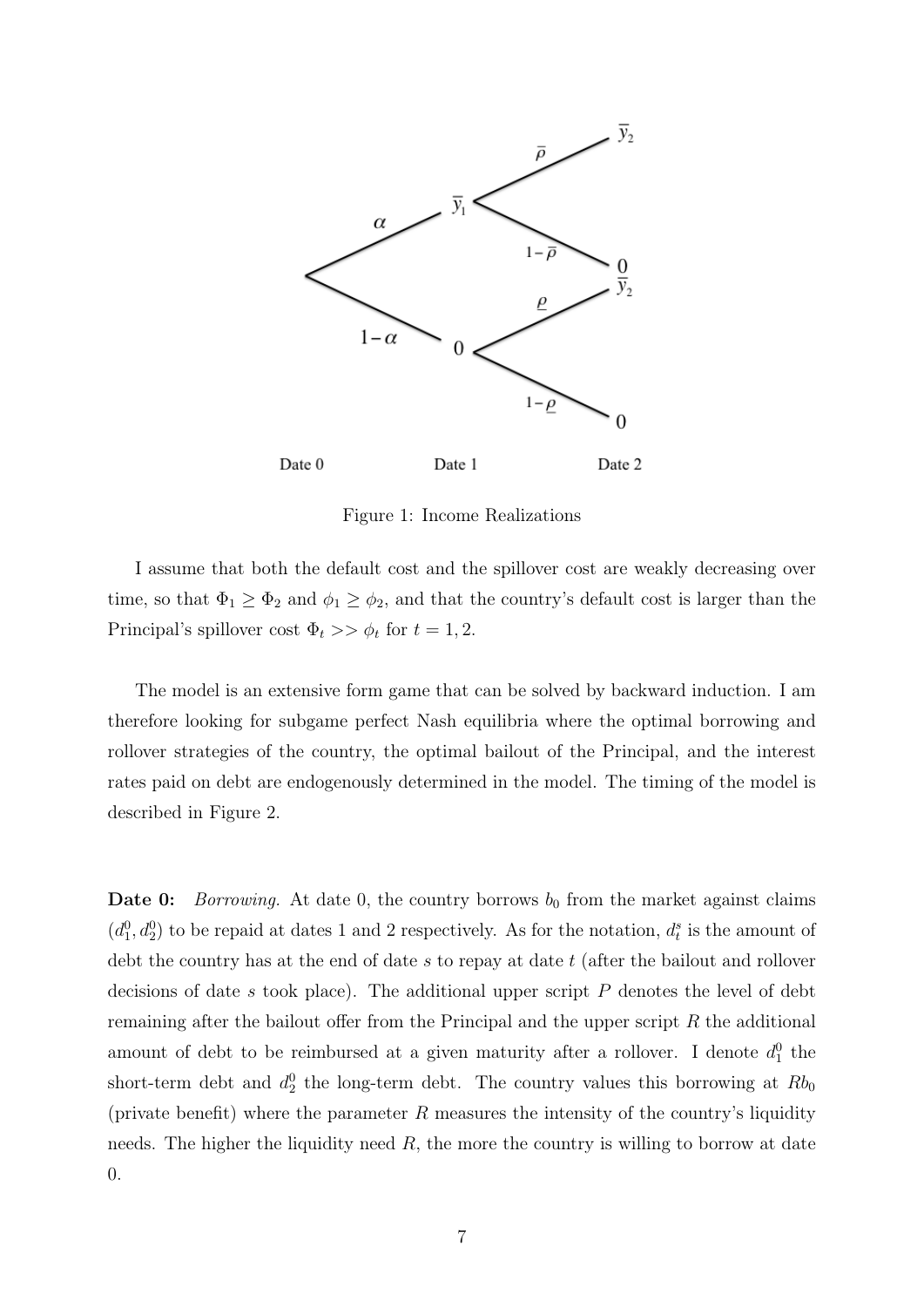

Figure 1: Income Realizations

I assume that both the default cost and the spillover cost are weakly decreasing over time, so that  $\Phi_1 \geq \Phi_2$  and  $\phi_1 \geq \phi_2$ , and that the country's default cost is larger than the Principal's spillover cost  $\Phi_t \gg \phi_t$  for  $t = 1, 2$ .

The model is an extensive form game that can be solved by backward induction. I am therefore looking for subgame perfect Nash equilibria where the optimal borrowing and rollover strategies of the country, the optimal bailout of the Principal, and the interest rates paid on debt are endogenously determined in the model. The timing of the model is described in Figure 2.

**Date 0:** Borrowing. At date 0, the country borrows  $b_0$  from the market against claims  $(d_1^0, d_2^0)$  to be repaid at dates 1 and 2 respectively. As for the notation,  $d_t^s$  is the amount of debt the country has at the end of date  $s$  to repay at date  $t$  (after the bailout and rollover decisions of date  $s$  took place). The additional upper script  $P$  denotes the level of debt remaining after the bailout offer from the Principal and the upper script  $R$  the additional amount of debt to be reimbursed at a given maturity after a rollover. I denote  $d_1^0$  the short-term debt and  $d_2^0$  the long-term debt. The country values this borrowing at  $Rb_0$ (private benefit) where the parameter  $R$  measures the intensity of the country's liquidity needs. The higher the liquidity need  $R$ , the more the country is willing to borrow at date 0.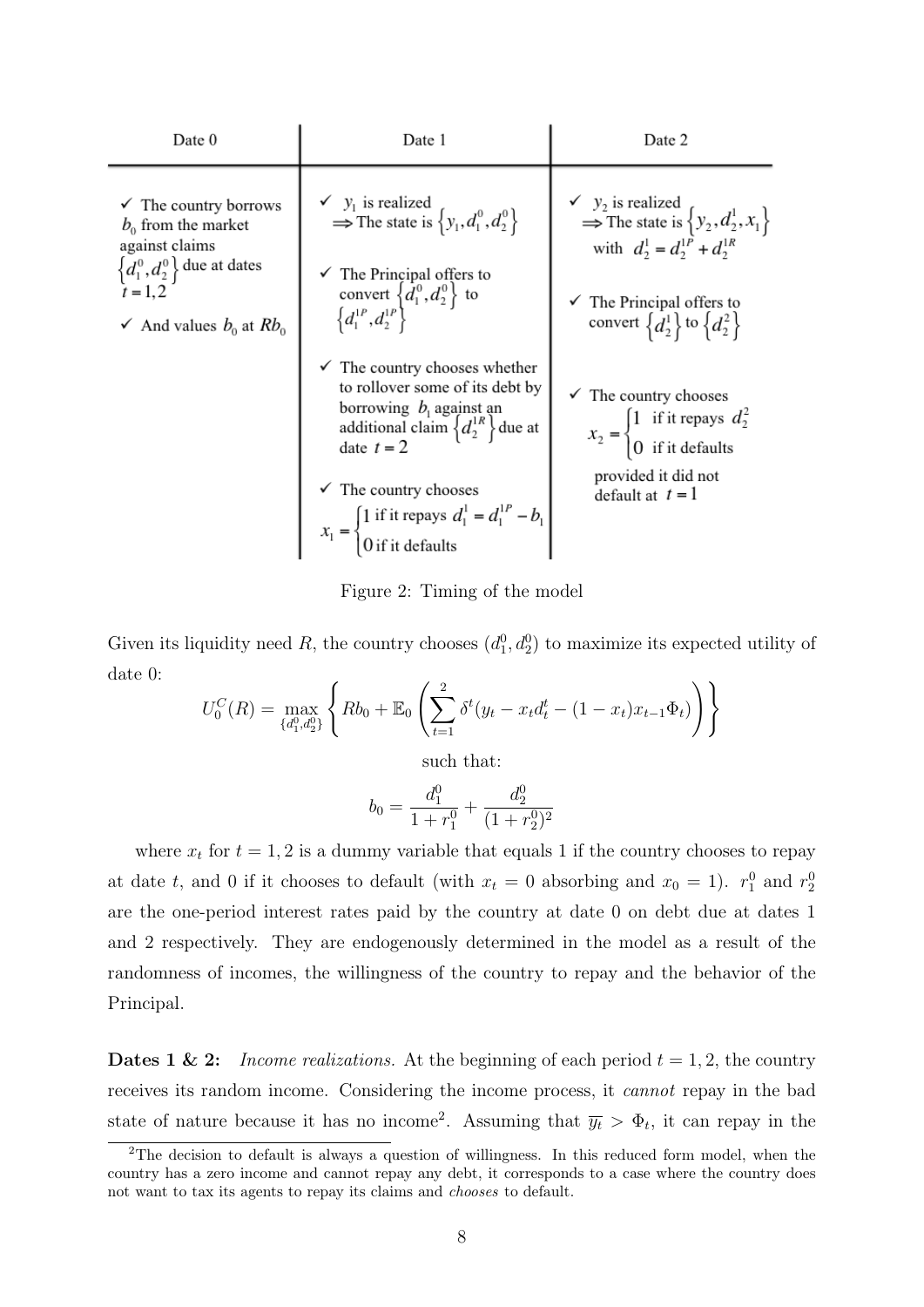| Date 0                                                                                                                                                                | Date 1                                                                                                                                                                                                                                                                                                                                                                                                                                                                                                                                   | Date 2                                                                                                                                                                                                                                                                                                                                                                                                                  |  |  |
|-----------------------------------------------------------------------------------------------------------------------------------------------------------------------|------------------------------------------------------------------------------------------------------------------------------------------------------------------------------------------------------------------------------------------------------------------------------------------------------------------------------------------------------------------------------------------------------------------------------------------------------------------------------------------------------------------------------------------|-------------------------------------------------------------------------------------------------------------------------------------------------------------------------------------------------------------------------------------------------------------------------------------------------------------------------------------------------------------------------------------------------------------------------|--|--|
| $\checkmark$ The country borrows<br>$b_0$ from the market<br>against claims<br>$\left\{d_1^0, d_2^0\right\}$ due at dates<br>$t = 1, 2$<br>And values $b_0$ at $Rb_0$ | $\swarrow$ $y_1$ is realized<br>$\Rightarrow$ The state is $\left\{y_1, d_1^0, d_2^0\right\}$<br>$\checkmark$ The Principal offers to<br>convert $\left\{d_1^{0}, d_2^{0}\right\}$ to $\left\{d_1^{1P}, d_2^{1P}\right\}$<br>$\checkmark$ The country chooses whether<br>to rollover some of its debt by<br>borrowing $b_i$ against an<br>additional claim $\{d_2^{1R}\}\$ due at<br>date $t = 2$<br>The country chooses<br>$x_1 = \begin{cases} 1 \text{ if it repays } d_1^1 = d_1^{1P} - b_1 \\ 0 \text{ if it defaults} \end{cases}$ | $\swarrow$ $y_2$ is realized<br>$\Rightarrow$ The state is $\left\{y_2, d_2^1, x_1\right\}$<br>with $d_2^1 = d_2^{1P} + d_2^{1R}$<br>$\checkmark$ The Principal offers to<br>convert $\left\{d_2^1\right\}$ to $\left\{d_2^2\right\}$<br>$\checkmark$ The country chooses<br>$x_2 = \begin{cases} 1 & \text{if it repays } d_2^2 \\ 0 & \text{if it defaults} \end{cases}$<br>provided it did not<br>default at $t = 1$ |  |  |
|                                                                                                                                                                       |                                                                                                                                                                                                                                                                                                                                                                                                                                                                                                                                          |                                                                                                                                                                                                                                                                                                                                                                                                                         |  |  |

Figure 2: Timing of the model

Given its liquidity need R, the country chooses  $(d_1^0, d_2^0)$  to maximize its expected utility of date 0:

$$
U_0^C(R) = \max_{\{d_1^0, d_2^0\}} \left\{ Rb_0 + \mathbb{E}_0 \left( \sum_{t=1}^2 \delta^t (y_t - x_t d_t^t - (1 - x_t) x_{t-1} \Phi_t) \right) \right\}
$$

such that:

$$
b_0 = \frac{d_1^0}{1 + r_1^0} + \frac{d_2^0}{(1 + r_2^0)^2}
$$

where  $x_t$  for  $t = 1, 2$  is a dummy variable that equals 1 if the country chooses to repay at date t, and 0 if it chooses to default (with  $x_t = 0$  absorbing and  $x_0 = 1$ ).  $r_1^0$  and  $r_2^0$ are the one-period interest rates paid by the country at date 0 on debt due at dates 1 and 2 respectively. They are endogenously determined in the model as a result of the randomness of incomes, the willingness of the country to repay and the behavior of the Principal.

**Dates 1 & 2:** Income realizations. At the beginning of each period  $t = 1, 2$ , the country receives its random income. Considering the income process, it cannot repay in the bad state of nature because it has no income<sup>2</sup>. Assuming that  $\overline{y_t} > \Phi_t$ , it can repay in the

<sup>&</sup>lt;sup>2</sup>The decision to default is always a question of willingness. In this reduced form model, when the country has a zero income and cannot repay any debt, it corresponds to a case where the country does not want to tax its agents to repay its claims and chooses to default.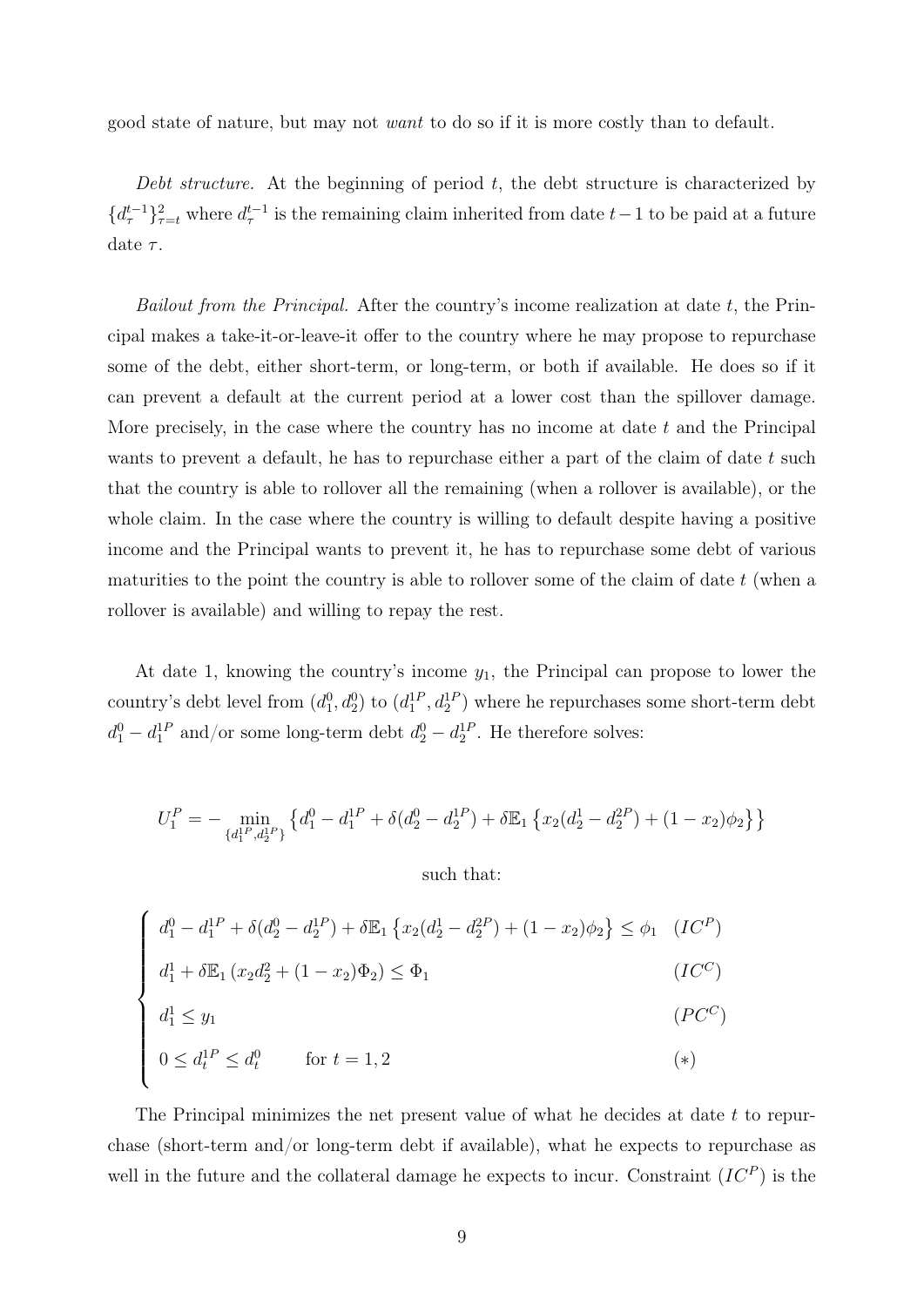good state of nature, but may not want to do so if it is more costly than to default.

Debt structure. At the beginning of period  $t$ , the debt structure is characterized by  ${d_{\tau}^{t-1}}_{\tau=t}^2$  where  $d_{\tau}^{t-1}$  is the remaining claim inherited from date  $t-1$  to be paid at a future date  $\tau$ .

Bailout from the Principal. After the country's income realization at date  $t$ , the Principal makes a take-it-or-leave-it offer to the country where he may propose to repurchase some of the debt, either short-term, or long-term, or both if available. He does so if it can prevent a default at the current period at a lower cost than the spillover damage. More precisely, in the case where the country has no income at date  $t$  and the Principal wants to prevent a default, he has to repurchase either a part of the claim of date  $t$  such that the country is able to rollover all the remaining (when a rollover is available), or the whole claim. In the case where the country is willing to default despite having a positive income and the Principal wants to prevent it, he has to repurchase some debt of various maturities to the point the country is able to rollover some of the claim of date  $t$  (when a rollover is available) and willing to repay the rest.

At date 1, knowing the country's income  $y_1$ , the Principal can propose to lower the country's debt level from  $(d_1^0, d_2^0)$  to  $(d_1^{1P}, d_2^{1P})$  where he repurchases some short-term debt  $d_1^0 - d_1^{1P}$  and/or some long-term debt  $d_2^0 - d_2^{1P}$ . He therefore solves:

$$
U_1^P = -\min_{\{d_1^{1P}, d_2^{1P}\}} \left\{ d_1^0 - d_1^{1P} + \delta(d_2^0 - d_2^{1P}) + \delta \mathbb{E}_1 \left\{ x_2(d_2^1 - d_2^{2P}) + (1 - x_2)\phi_2 \right\} \right\}
$$

such that:

$$
\begin{cases}\nd_1^0 - d_1^{1P} + \delta(d_2^0 - d_2^{1P}) + \delta \mathbb{E}_1 \left\{ x_2(d_2^1 - d_2^{2P}) + (1 - x_2)\phi_2 \right\} \le \phi_1 \quad (IC^P) \\
d_1^1 + \delta \mathbb{E}_1 \left( x_2 d_2^2 + (1 - x_2)\Phi_2 \right) \le \Phi_1 \quad (IC^C) \\
d_1^1 \le y_1 \quad (PC^C) \\
0 \le d_t^{1P} \le d_t^0 \quad \text{for } t = 1, 2\n\end{cases}
$$

The Principal minimizes the net present value of what he decides at date t to repurchase (short-term and/or long-term debt if available), what he expects to repurchase as well in the future and the collateral damage he expects to incur. Constraint  $(IC^P)$  is the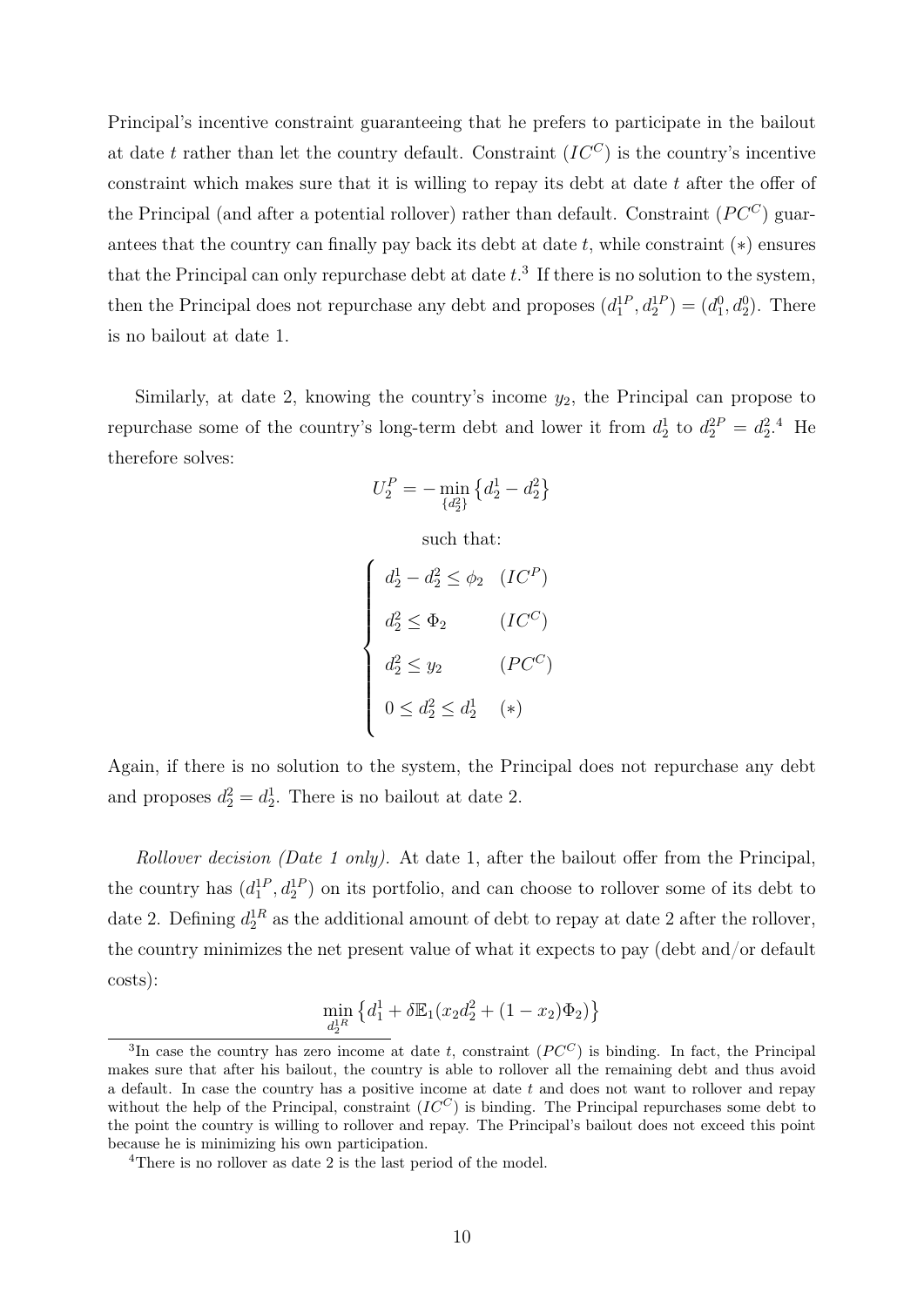Principal's incentive constraint guaranteeing that he prefers to participate in the bailout at date t rather than let the country default. Constraint  $(IC^C)$  is the country's incentive constraint which makes sure that it is willing to repay its debt at date t after the offer of the Principal (and after a potential rollover) rather than default. Constraint  $(PC^C)$  guarantees that the country can finally pay back its debt at date  $t$ , while constraint  $(*)$  ensures that the Principal can only repurchase debt at date  $t<sup>3</sup>$ . If there is no solution to the system, then the Principal does not repurchase any debt and proposes  $(d_1^{1P}, d_2^{1P}) = (d_1^0, d_2^0)$ . There is no bailout at date 1.

Similarly, at date 2, knowing the country's income  $y_2$ , the Principal can propose to repurchase some of the country's long-term debt and lower it from  $d_2^1$  to  $d_2^{2P} = d_2^2$ .<sup>4</sup> He therefore solves:

$$
U_2^P = - \min_{\{d_2^2\}} \left\{d_2^1 - d_2^2\right\}
$$

such that:

$$
\begin{cases}\nd_2^1 - d_2^2 \le \phi_2 & (IC^P) \\
d_2^2 \le \Phi_2 & (IC^C) \\
d_2^2 \le y_2 & (PC^C) \\
0 \le d_2^2 \le d_2^1 & (*)\n\end{cases}
$$

Again, if there is no solution to the system, the Principal does not repurchase any debt and proposes  $d_2^2 = d_2^1$ . There is no bailout at date 2.

Rollover decision (Date 1 only). At date 1, after the bailout offer from the Principal, the country has  $(d_1^1, d_2^1)$  on its portfolio, and can choose to rollover some of its debt to date 2. Defining  $d_2^{1R}$  as the additional amount of debt to repay at date 2 after the rollover, the country minimizes the net present value of what it expects to pay (debt and/or default costs):

$$
\min_{d_2^{1R}} \left\{ d_1^1 + \delta \mathbb{E}_1 (x_2 d_2^2 + (1 - x_2) \Phi_2) \right\}
$$

<sup>&</sup>lt;sup>3</sup>In case the country has zero income at date t, constraint  $(PC^C)$  is binding. In fact, the Principal makes sure that after his bailout, the country is able to rollover all the remaining debt and thus avoid a default. In case the country has a positive income at date  $t$  and does not want to rollover and repay without the help of the Principal, constraint  $(IC^C)$  is binding. The Principal repurchases some debt to the point the country is willing to rollover and repay. The Principal's bailout does not exceed this point because he is minimizing his own participation.

<sup>4</sup>There is no rollover as date 2 is the last period of the model.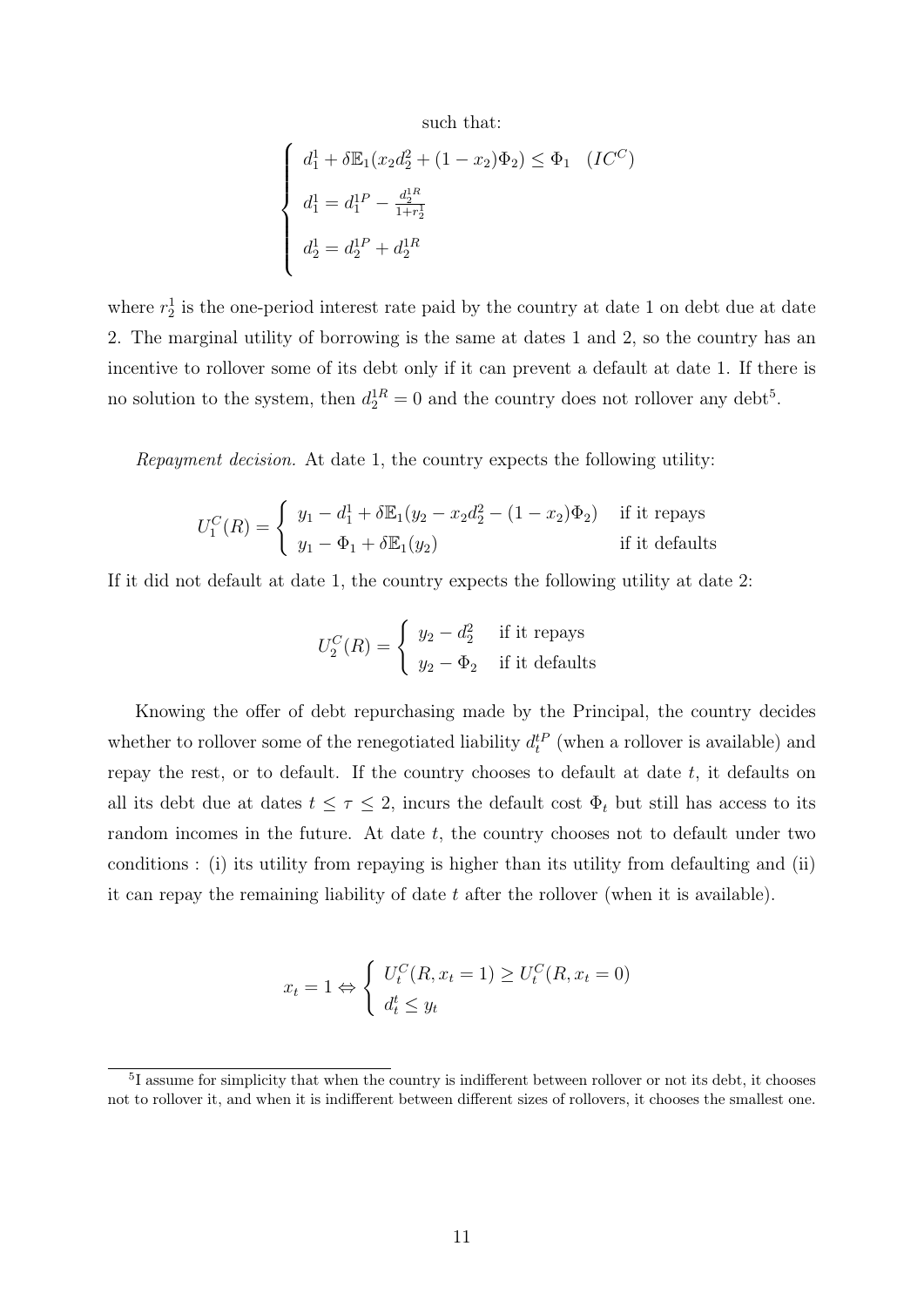such that:

$$
\begin{cases}\nd_1^1 + \delta \mathbb{E}_1(x_2 d_2^2 + (1 - x_2) \Phi_2) \le \Phi_1 \quad (IC^C) \\
d_1^1 = d_1^{1P} - \frac{d_2^{1R}}{1 + r_2^1} \\
d_2^1 = d_2^{1P} + d_2^{1R}\n\end{cases}
$$

where  $r_2^1$  is the one-period interest rate paid by the country at date 1 on debt due at date 2. The marginal utility of borrowing is the same at dates 1 and 2, so the country has an incentive to rollover some of its debt only if it can prevent a default at date 1. If there is no solution to the system, then  $d_2^{1R} = 0$  and the country does not rollover any debt<sup>5</sup>.

Repayment decision. At date 1, the country expects the following utility:

$$
U_1^C(R) = \begin{cases} y_1 - d_1^1 + \delta \mathbb{E}_1(y_2 - x_2 d_2^2 - (1 - x_2) \Phi_2) & \text{if it repays} \\ y_1 - \Phi_1 + \delta \mathbb{E}_1(y_2) & \text{if it defaults} \end{cases}
$$

If it did not default at date 1, the country expects the following utility at date 2:

$$
U_2^C(R) = \begin{cases} y_2 - d_2^2 & \text{if it repays} \\ y_2 - \Phi_2 & \text{if it defaults} \end{cases}
$$

Knowing the offer of debt repurchasing made by the Principal, the country decides whether to rollover some of the renegotiated liability  $d_t^{tP}$  (when a rollover is available) and repay the rest, or to default. If the country chooses to default at date  $t$ , it defaults on all its debt due at dates  $t \leq \tau \leq 2$ , incurs the default cost  $\Phi_t$  but still has access to its random incomes in the future. At date  $t$ , the country chooses not to default under two conditions : (i) its utility from repaying is higher than its utility from defaulting and (ii) it can repay the remaining liability of date  $t$  after the rollover (when it is available).

$$
x_t = 1 \Leftrightarrow \begin{cases} U_t^C(R, x_t = 1) \ge U_t^C(R, x_t = 0) \\ d_t^t \le y_t \end{cases}
$$

<sup>&</sup>lt;sup>5</sup>I assume for simplicity that when the country is indifferent between rollover or not its debt, it chooses not to rollover it, and when it is indifferent between different sizes of rollovers, it chooses the smallest one.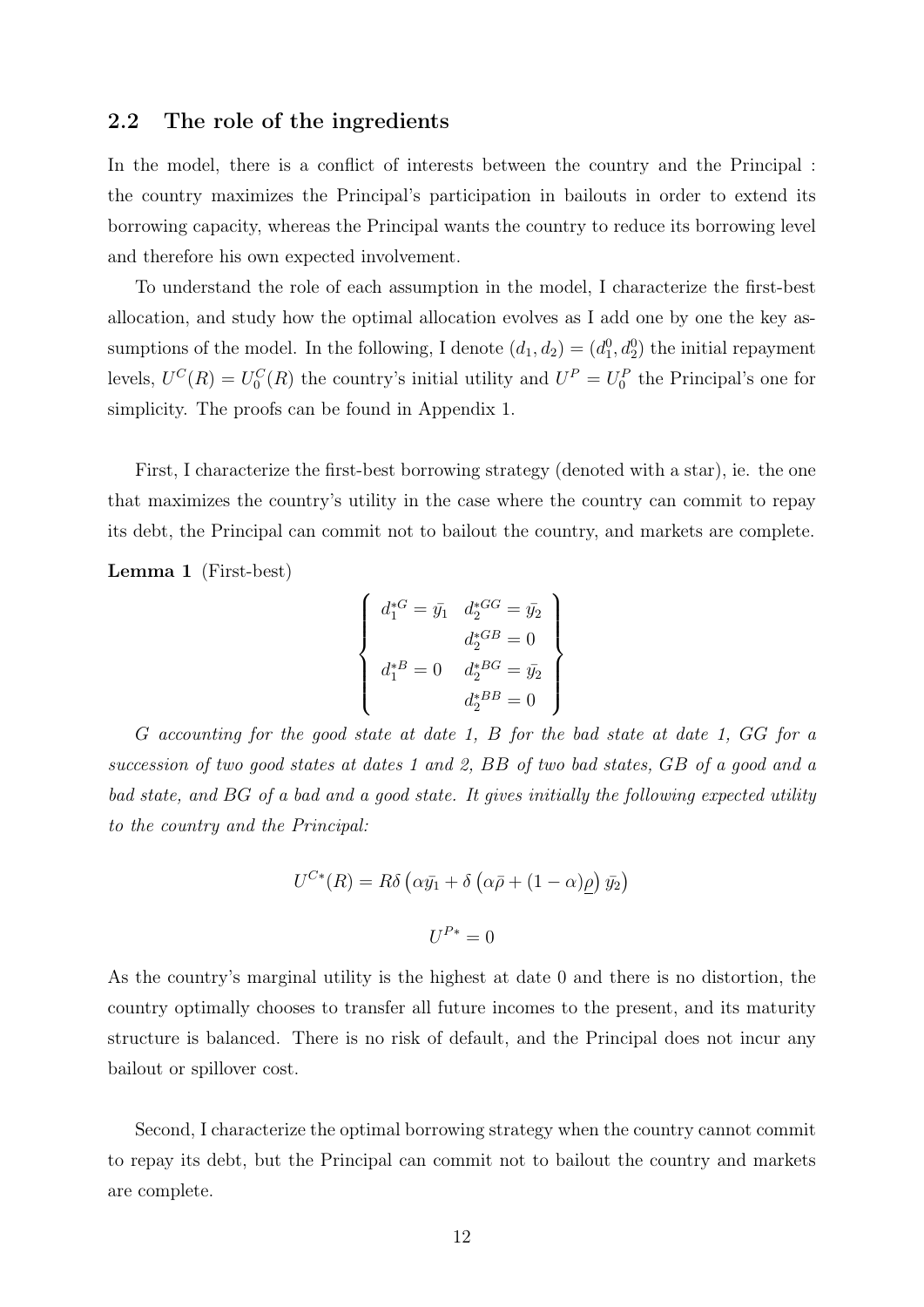#### 2.2 The role of the ingredients

In the model, there is a conflict of interests between the country and the Principal : the country maximizes the Principal's participation in bailouts in order to extend its borrowing capacity, whereas the Principal wants the country to reduce its borrowing level and therefore his own expected involvement.

To understand the role of each assumption in the model, I characterize the first-best allocation, and study how the optimal allocation evolves as I add one by one the key assumptions of the model. In the following, I denote  $(d_1, d_2) = (d_1^0, d_2^0)$  the initial repayment levels,  $U^{C}(R) = U_0^{C}(R)$  the country's initial utility and  $U^{P} = U_0^{P}$  the Principal's one for simplicity. The proofs can be found in Appendix 1.

First, I characterize the first-best borrowing strategy (denoted with a star), ie. the one that maximizes the country's utility in the case where the country can commit to repay its debt, the Principal can commit not to bailout the country, and markets are complete.

Lemma 1 (First-best)

$$
\begin{cases}\n d_1^{*G} = \bar{y}_1 & d_2^{*G} = \bar{y}_2 \\
 d_2^{*G} = 0 \\
 d_1^{*G} = 0 & d_2^{*G} = \bar{y}_2 \\
 d_2^{*G} = 0\n\end{cases}
$$

G accounting for the good state at date 1, B for the bad state at date 1, GG for a succession of two good states at dates 1 and 2, BB of two bad states, GB of a good and a bad state, and BG of a bad and a good state. It gives initially the following expected utility to the country and the Principal:

$$
U^{C*}(R) = R\delta \left(\alpha \bar{y}_1 + \delta \left(\alpha \bar{p} + (1 - \alpha)\underline{\rho}\right) \bar{y}_2\right)
$$

$$
U^{P*} = 0
$$

As the country's marginal utility is the highest at date 0 and there is no distortion, the country optimally chooses to transfer all future incomes to the present, and its maturity structure is balanced. There is no risk of default, and the Principal does not incur any bailout or spillover cost.

Second, I characterize the optimal borrowing strategy when the country cannot commit to repay its debt, but the Principal can commit not to bailout the country and markets are complete.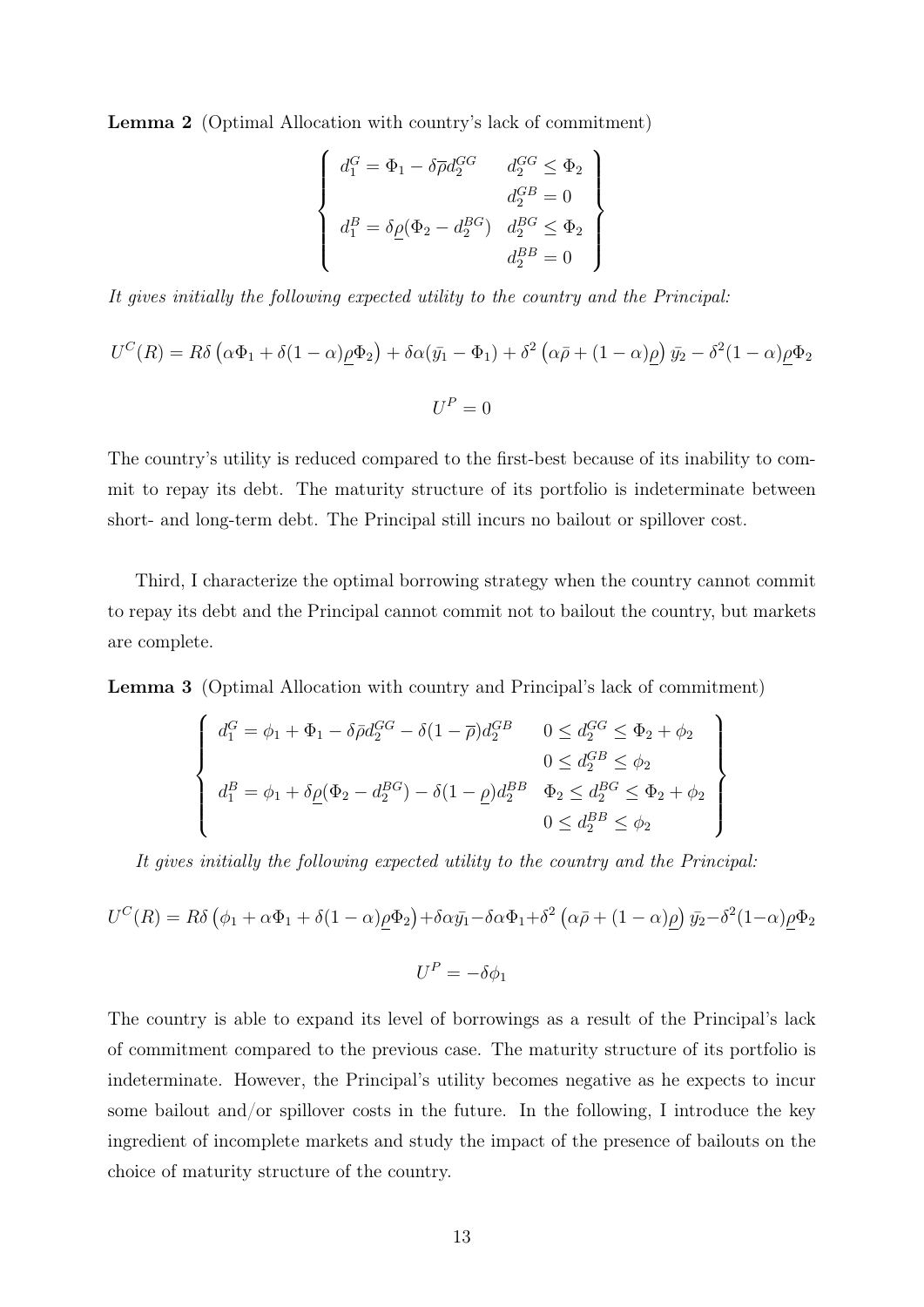Lemma 2 (Optimal Allocation with country's lack of commitment)

$$
\begin{cases}\n d_1^G = \Phi_1 - \delta \overline{\rho} d_2^{GG} & d_2^{GG} \leq \Phi_2 \\
 d_2^{GB} = 0 \\
 d_1^B = \delta \underline{\rho} (\Phi_2 - d_2^{BG}) & d_2^{BG} \leq \Phi_2 \\
 d_2^{BB} = 0\n\end{cases}
$$

It gives initially the following expected utility to the country and the Principal:

$$
U^{C}(R) = R\delta \left(\alpha \Phi_{1} + \delta(1-\alpha)\underline{\rho}\Phi_{2}\right) + \delta\alpha(\bar{y}_{1} - \Phi_{1}) + \delta^{2} \left(\alpha\bar{\rho} + (1-\alpha)\underline{\rho}\right)\bar{y}_{2} - \delta^{2}(1-\alpha)\underline{\rho}\Phi_{2}
$$

$$
U^{P} = 0
$$

The country's utility is reduced compared to the first-best because of its inability to commit to repay its debt. The maturity structure of its portfolio is indeterminate between short- and long-term debt. The Principal still incurs no bailout or spillover cost.

Third, I characterize the optimal borrowing strategy when the country cannot commit to repay its debt and the Principal cannot commit not to bailout the country, but markets are complete.

Lemma 3 (Optimal Allocation with country and Principal's lack of commitment)

$$
\begin{cases}\nd_1^G = \phi_1 + \Phi_1 - \delta \bar{\rho} d_2^{GG} - \delta (1 - \bar{\rho}) d_2^{GB} & 0 \leq d_2^{GG} \leq \Phi_2 + \phi_2 \\
0 \leq d_2^{GB} \leq \phi_2 \\
d_1^B = \phi_1 + \delta \underline{\rho} (\Phi_2 - d_2^{BG}) - \delta (1 - \underline{\rho}) d_2^{BB} & \Phi_2 \leq d_2^{BG} \leq \Phi_2 + \phi_2 \\
0 \leq d_2^{BB} \leq \phi_2\n\end{cases}
$$

It gives initially the following expected utility to the country and the Principal:

$$
U^{C}(R) = R\delta \left(\phi_{1} + \alpha \Phi_{1} + \delta(1 - \alpha)\underline{\rho}\Phi_{2}\right) + \delta \alpha \bar{y}_{1} - \delta \alpha \Phi_{1} + \delta^{2} \left(\alpha \bar{\rho} + (1 - \alpha)\underline{\rho}\right) \bar{y}_{2} - \delta^{2} (1 - \alpha)\underline{\rho}\Phi_{2}
$$

$$
U^{P} = -\delta \phi_{1}
$$

The country is able to expand its level of borrowings as a result of the Principal's lack of commitment compared to the previous case. The maturity structure of its portfolio is indeterminate. However, the Principal's utility becomes negative as he expects to incur some bailout and/or spillover costs in the future. In the following, I introduce the key ingredient of incomplete markets and study the impact of the presence of bailouts on the choice of maturity structure of the country.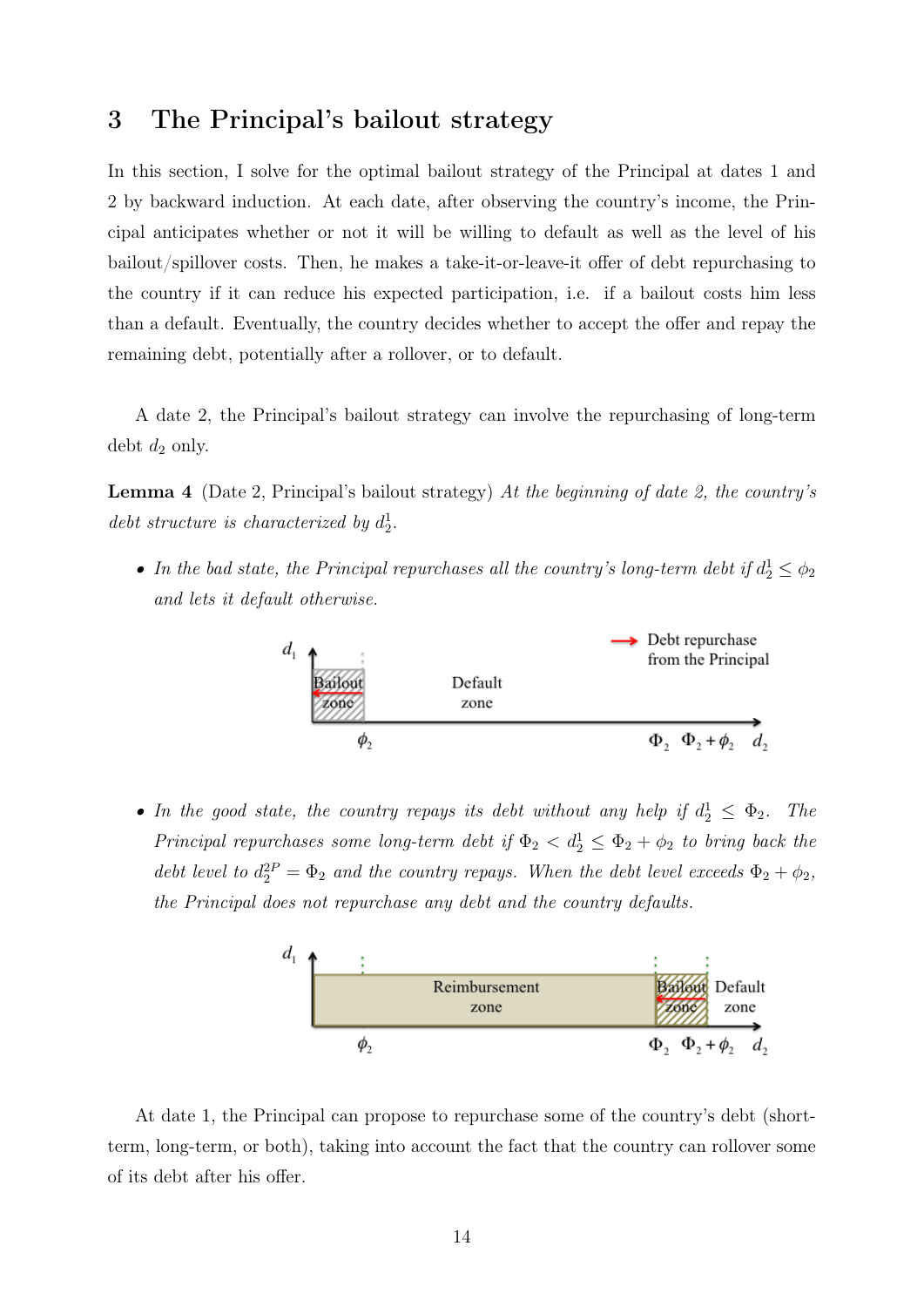# 3 The Principal's bailout strategy

In this section, I solve for the optimal bailout strategy of the Principal at dates 1 and 2 by backward induction. At each date, after observing the country's income, the Principal anticipates whether or not it will be willing to default as well as the level of his bailout/spillover costs. Then, he makes a take-it-or-leave-it offer of debt repurchasing to the country if it can reduce his expected participation, i.e. if a bailout costs him less than a default. Eventually, the country decides whether to accept the offer and repay the remaining debt, potentially after a rollover, or to default.

A date 2, the Principal's bailout strategy can involve the repurchasing of long-term debt  $d_2$  only.

**Lemma 4** (Date 2, Principal's bailout strategy) At the beginning of date 2, the country's debt structure is characterized by  $d_2^1$ .

• In the bad state, the Principal repurchases all the country's long-term debt if  $d_2^1 \leq \phi_2$ and lets it default otherwise.



• In the good state, the country repays its debt without any help if  $d_2^1 \leq \Phi_2$ . The Principal repurchases some long-term debt if  $\Phi_2 < d_2^1 \leq \Phi_2 + \phi_2$  to bring back the debt level to  $d_2^2 = \Phi_2$  and the country repays. When the debt level exceeds  $\Phi_2 + \phi_2$ , the Principal does not repurchase any debt and the country defaults.



At date 1, the Principal can propose to repurchase some of the country's debt (shortterm, long-term, or both), taking into account the fact that the country can rollover some of its debt after his offer.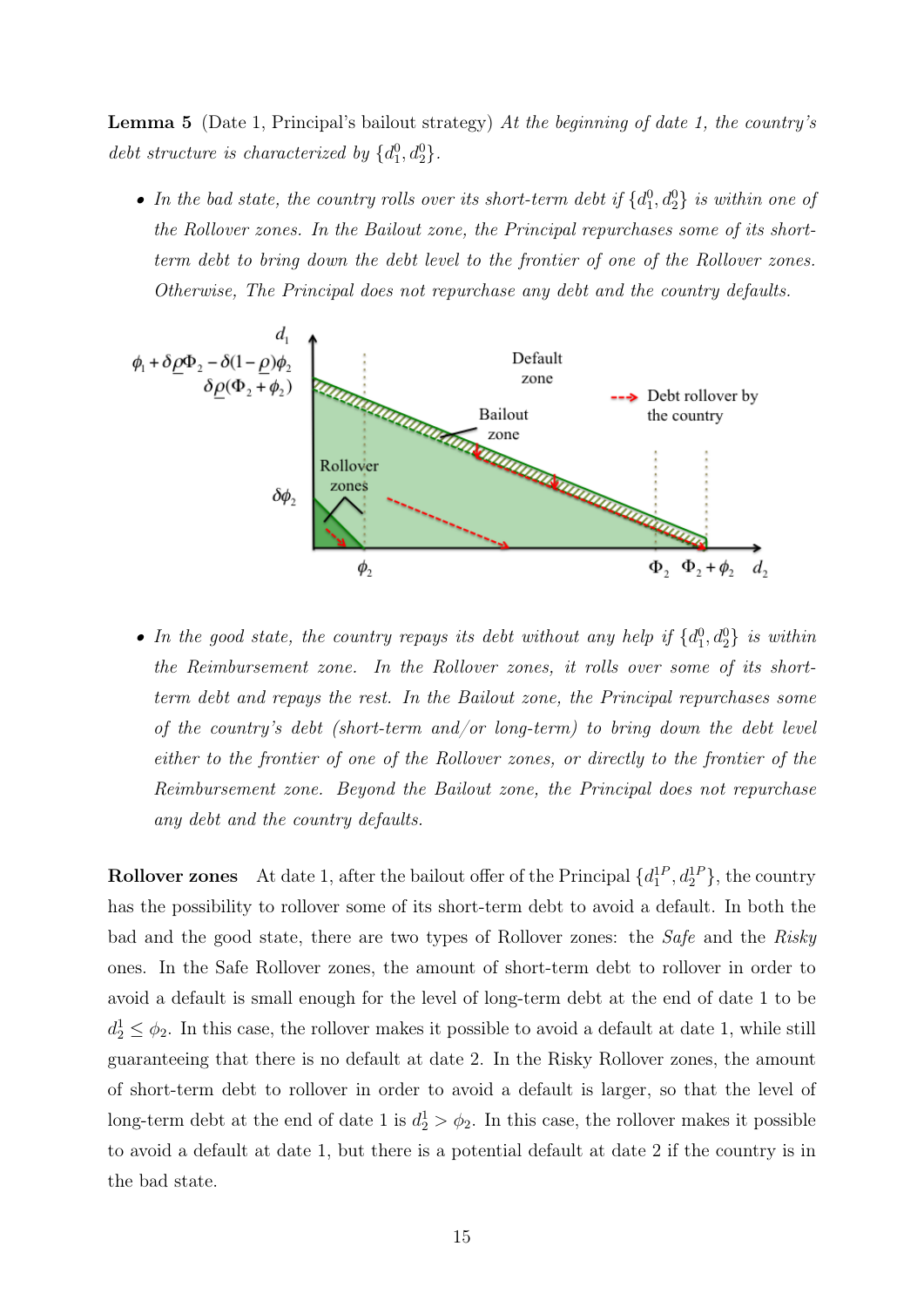Lemma 5 (Date 1, Principal's bailout strategy) At the beginning of date 1, the country's debt structure is characterized by  $\{d_1^0, d_2^0\}$ .

• In the bad state, the country rolls over its short-term debt if  $\{d_1^0, d_2^0\}$  is within one of the Rollover zones. In the Bailout zone, the Principal repurchases some of its shortterm debt to bring down the debt level to the frontier of one of the Rollover zones. Otherwise, The Principal does not repurchase any debt and the country defaults.



• In the good state, the country repays its debt without any help if  $\{d_1^0, d_2^0\}$  is within the Reimbursement zone. In the Rollover zones, it rolls over some of its shortterm debt and repays the rest. In the Bailout zone, the Principal repurchases some of the country's debt (short-term and/or long-term) to bring down the debt level either to the frontier of one of the Rollover zones, or directly to the frontier of the Reimbursement zone. Beyond the Bailout zone, the Principal does not repurchase any debt and the country defaults.

**Rollover zones** At date 1, after the bailout offer of the Principal  $\{d_1^{1P}, d_2^{1P}\}$ , the country has the possibility to rollover some of its short-term debt to avoid a default. In both the bad and the good state, there are two types of Rollover zones: the Safe and the Risky ones. In the Safe Rollover zones, the amount of short-term debt to rollover in order to avoid a default is small enough for the level of long-term debt at the end of date 1 to be  $d_2^1 \leq \phi_2$ . In this case, the rollover makes it possible to avoid a default at date 1, while still guaranteeing that there is no default at date 2. In the Risky Rollover zones, the amount of short-term debt to rollover in order to avoid a default is larger, so that the level of long-term debt at the end of date 1 is  $d_2^1 > \phi_2$ . In this case, the rollover makes it possible to avoid a default at date 1, but there is a potential default at date 2 if the country is in the bad state.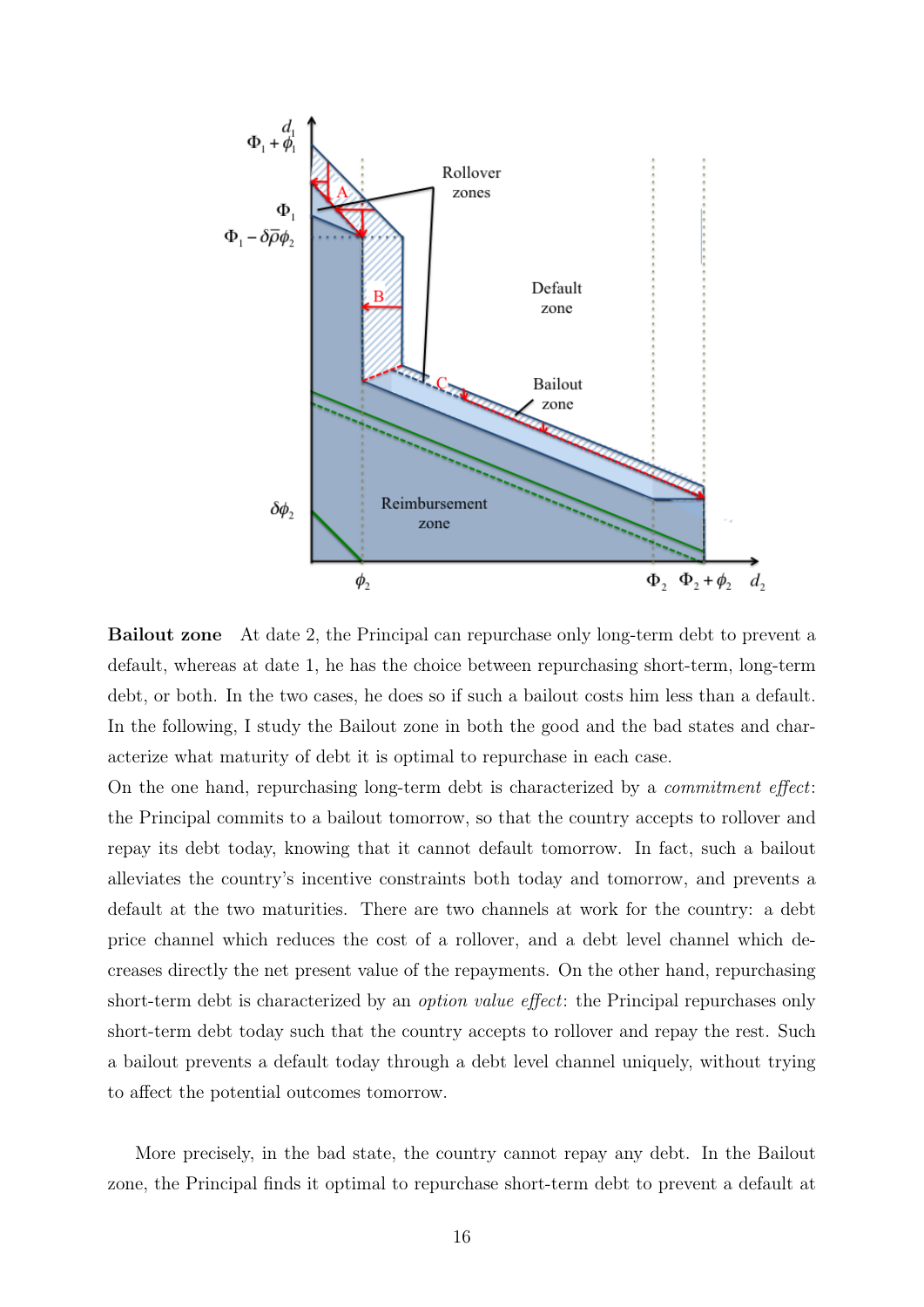

Bailout zone At date 2, the Principal can repurchase only long-term debt to prevent a default, whereas at date 1, he has the choice between repurchasing short-term, long-term debt, or both. In the two cases, he does so if such a bailout costs him less than a default. In the following, I study the Bailout zone in both the good and the bad states and characterize what maturity of debt it is optimal to repurchase in each case.

On the one hand, repurchasing long-term debt is characterized by a commitment effect: the Principal commits to a bailout tomorrow, so that the country accepts to rollover and repay its debt today, knowing that it cannot default tomorrow. In fact, such a bailout alleviates the country's incentive constraints both today and tomorrow, and prevents a default at the two maturities. There are two channels at work for the country: a debt price channel which reduces the cost of a rollover, and a debt level channel which decreases directly the net present value of the repayments. On the other hand, repurchasing short-term debt is characterized by an *option value effect*: the Principal repurchases only short-term debt today such that the country accepts to rollover and repay the rest. Such a bailout prevents a default today through a debt level channel uniquely, without trying to affect the potential outcomes tomorrow.

More precisely, in the bad state, the country cannot repay any debt. In the Bailout zone, the Principal finds it optimal to repurchase short-term debt to prevent a default at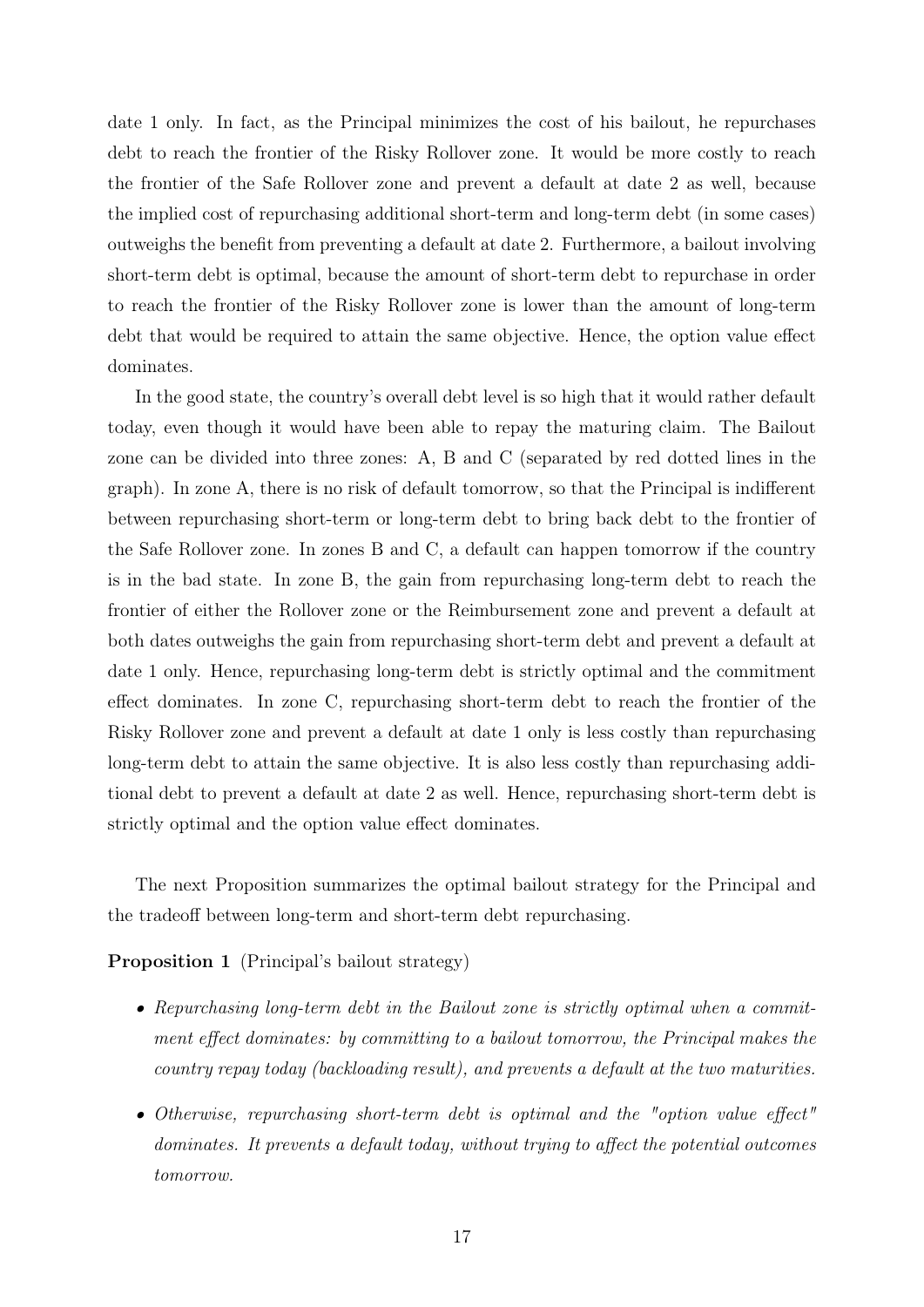date 1 only. In fact, as the Principal minimizes the cost of his bailout, he repurchases debt to reach the frontier of the Risky Rollover zone. It would be more costly to reach the frontier of the Safe Rollover zone and prevent a default at date 2 as well, because the implied cost of repurchasing additional short-term and long-term debt (in some cases) outweighs the benefit from preventing a default at date 2. Furthermore, a bailout involving short-term debt is optimal, because the amount of short-term debt to repurchase in order to reach the frontier of the Risky Rollover zone is lower than the amount of long-term debt that would be required to attain the same objective. Hence, the option value effect dominates.

In the good state, the country's overall debt level is so high that it would rather default today, even though it would have been able to repay the maturing claim. The Bailout zone can be divided into three zones: A, B and C (separated by red dotted lines in the graph). In zone A, there is no risk of default tomorrow, so that the Principal is indifferent between repurchasing short-term or long-term debt to bring back debt to the frontier of the Safe Rollover zone. In zones B and C, a default can happen tomorrow if the country is in the bad state. In zone B, the gain from repurchasing long-term debt to reach the frontier of either the Rollover zone or the Reimbursement zone and prevent a default at both dates outweighs the gain from repurchasing short-term debt and prevent a default at date 1 only. Hence, repurchasing long-term debt is strictly optimal and the commitment effect dominates. In zone C, repurchasing short-term debt to reach the frontier of the Risky Rollover zone and prevent a default at date 1 only is less costly than repurchasing long-term debt to attain the same objective. It is also less costly than repurchasing additional debt to prevent a default at date 2 as well. Hence, repurchasing short-term debt is strictly optimal and the option value effect dominates.

The next Proposition summarizes the optimal bailout strategy for the Principal and the tradeoff between long-term and short-term debt repurchasing.

Proposition 1 (Principal's bailout strategy)

- Repurchasing long-term debt in the Bailout zone is strictly optimal when a commitment effect dominates: by committing to a bailout tomorrow, the Principal makes the country repay today (backloading result), and prevents a default at the two maturities.
- Otherwise, repurchasing short-term debt is optimal and the "option value effect" dominates. It prevents a default today, without trying to affect the potential outcomes tomorrow.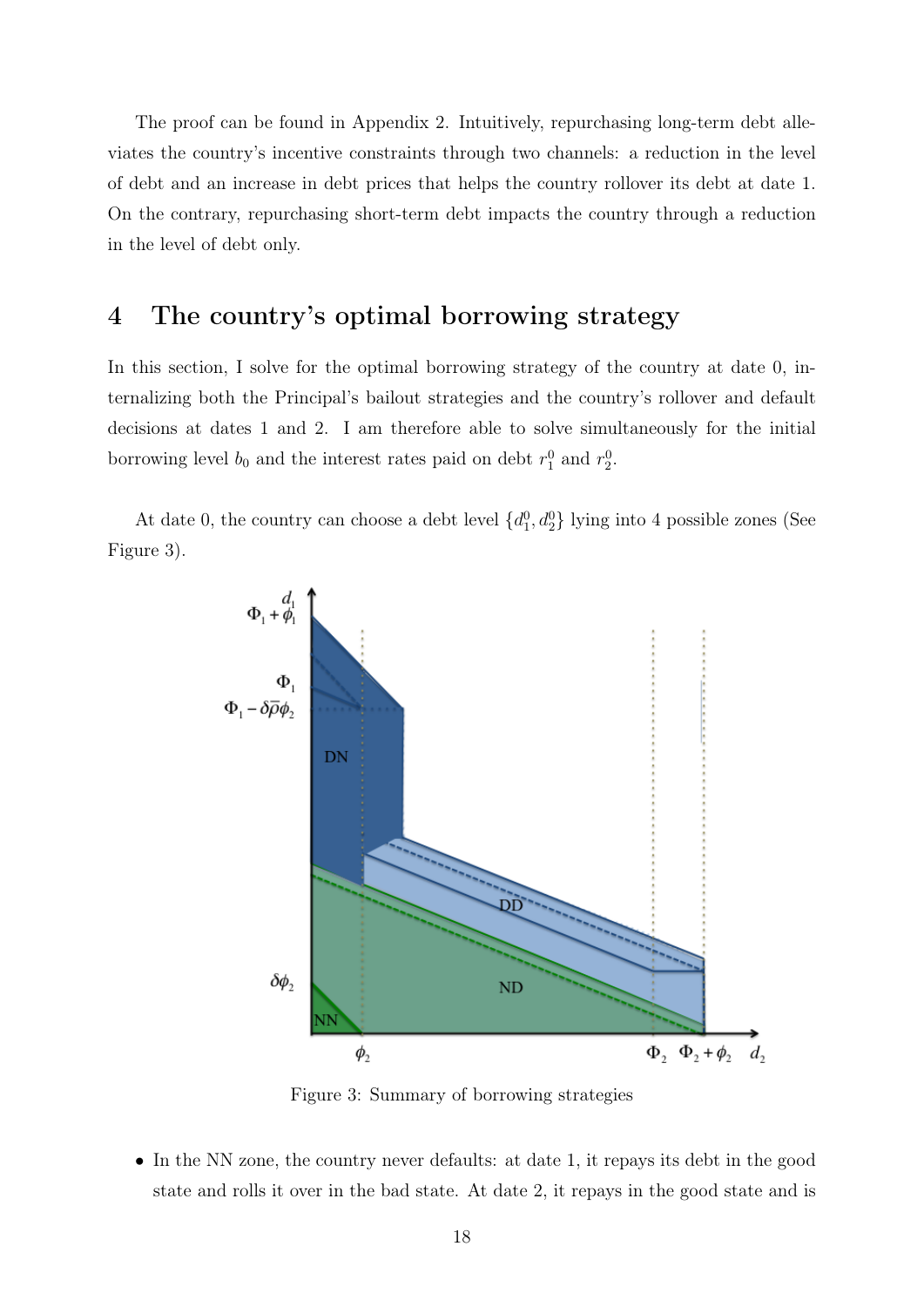The proof can be found in Appendix 2. Intuitively, repurchasing long-term debt alleviates the country's incentive constraints through two channels: a reduction in the level of debt and an increase in debt prices that helps the country rollover its debt at date 1. On the contrary, repurchasing short-term debt impacts the country through a reduction in the level of debt only.

# 4 The country's optimal borrowing strategy

In this section, I solve for the optimal borrowing strategy of the country at date 0, internalizing both the Principal's bailout strategies and the country's rollover and default decisions at dates 1 and 2. I am therefore able to solve simultaneously for the initial borrowing level  $b_0$  and the interest rates paid on debt  $r_1^0$  and  $r_2^0$ .

At date 0, the country can choose a debt level  $\{d_1^0, d_2^0\}$  lying into 4 possible zones (See Figure 3).



Figure 3: Summary of borrowing strategies

• In the NN zone, the country never defaults: at date 1, it repays its debt in the good state and rolls it over in the bad state. At date 2, it repays in the good state and is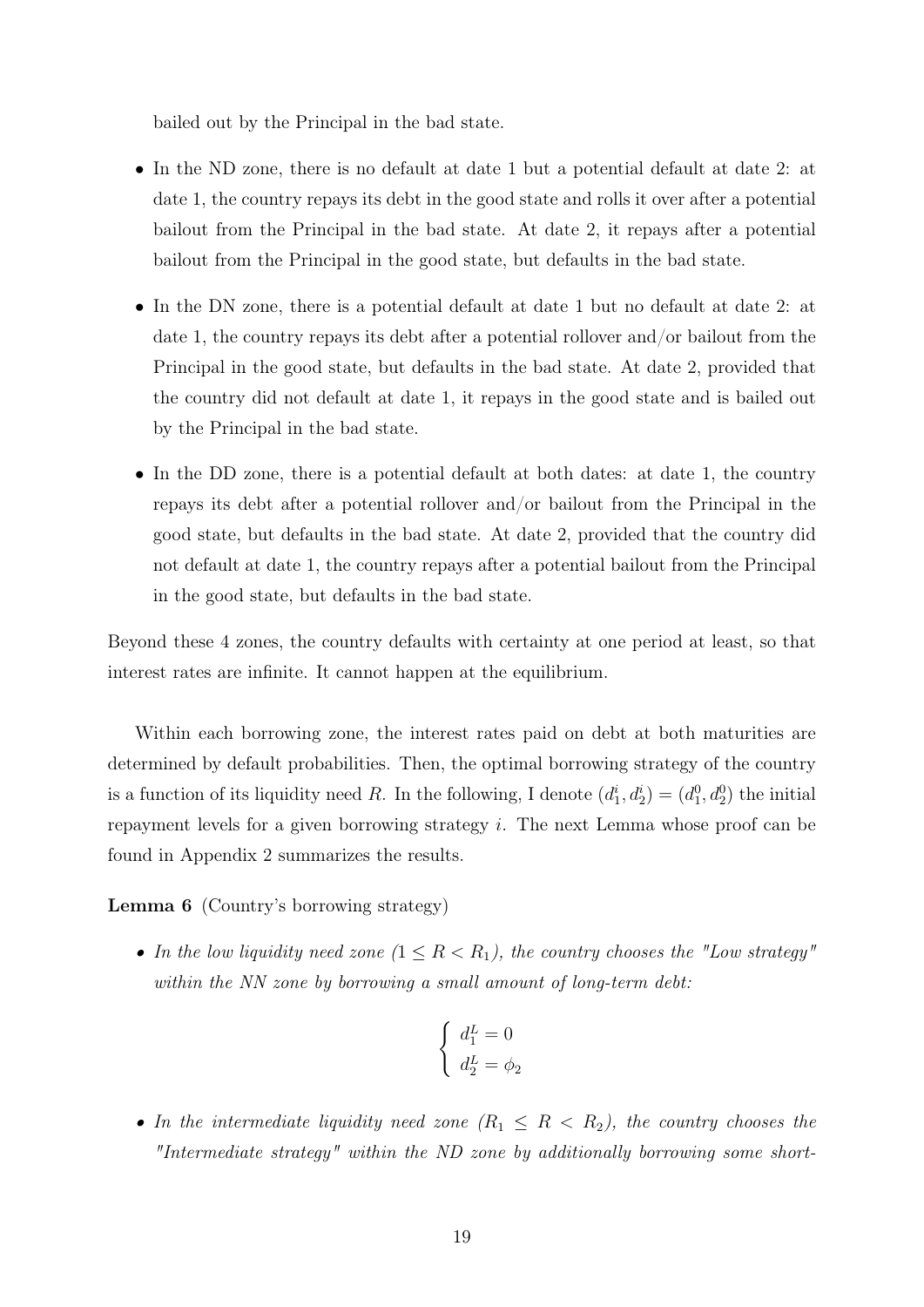bailed out by the Principal in the bad state.

- In the ND zone, there is no default at date 1 but a potential default at date 2: at date 1, the country repays its debt in the good state and rolls it over after a potential bailout from the Principal in the bad state. At date 2, it repays after a potential bailout from the Principal in the good state, but defaults in the bad state.
- In the DN zone, there is a potential default at date 1 but no default at date 2: at date 1, the country repays its debt after a potential rollover and/or bailout from the Principal in the good state, but defaults in the bad state. At date 2, provided that the country did not default at date 1, it repays in the good state and is bailed out by the Principal in the bad state.
- In the DD zone, there is a potential default at both dates: at date 1, the country repays its debt after a potential rollover and/or bailout from the Principal in the good state, but defaults in the bad state. At date 2, provided that the country did not default at date 1, the country repays after a potential bailout from the Principal in the good state, but defaults in the bad state.

Beyond these 4 zones, the country defaults with certainty at one period at least, so that interest rates are infinite. It cannot happen at the equilibrium.

Within each borrowing zone, the interest rates paid on debt at both maturities are determined by default probabilities. Then, the optimal borrowing strategy of the country is a function of its liquidity need R. In the following, I denote  $(d_1^i, d_2^i) = (d_1^0, d_2^0)$  the initial repayment levels for a given borrowing strategy i. The next Lemma whose proof can be found in Appendix 2 summarizes the results.

Lemma 6 (Country's borrowing strategy)

• In the low liquidity need zone  $(1 \leq R < R_1)$ , the country chooses the "Low strategy" within the NN zone by borrowing a small amount of long-term debt:

$$
\begin{cases} d_1^L = 0\\ d_2^L = \phi_2 \end{cases}
$$

• In the intermediate liquidity need zone  $(R_1 \leq R \leq R_2)$ , the country chooses the "Intermediate strategy" within the ND zone by additionally borrowing some short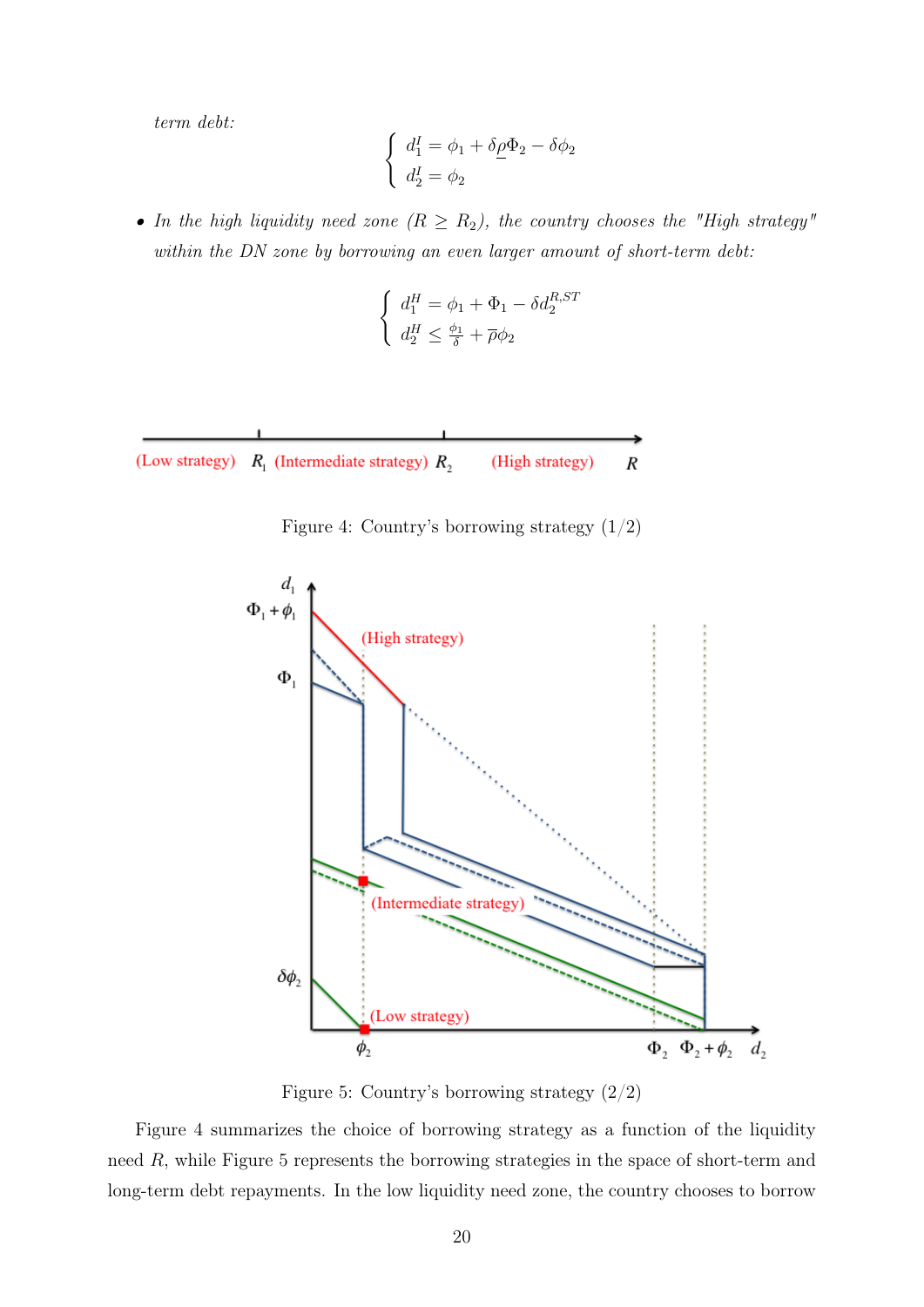term debt:

$$
\begin{cases} d_1^I = \phi_1 + \delta \rho \Phi_2 - \delta \phi_2 \\ d_2^I = \phi_2 \end{cases}
$$

• In the high liquidity need zone  $(R \ge R_2)$ , the country chooses the "High strategy" within the DN zone by borrowing an even larger amount of short-term debt:

$$
\left\{ \begin{array}{l} d_1^H=\phi_1+\Phi_1-\delta d_2^{R,ST} \\[1.5mm] d_2^H\leq \frac{\phi_1}{\delta}+\overline{\rho}\phi_2 \end{array} \right.
$$

(Low strategy)  $R_1$  (Intermediate strategy)  $R_2$ (High strategy)  $\boldsymbol{R}$ 





Figure 5: Country's borrowing strategy (2/2)

Figure 4 summarizes the choice of borrowing strategy as a function of the liquidity need R, while Figure 5 represents the borrowing strategies in the space of short-term and long-term debt repayments. In the low liquidity need zone, the country chooses to borrow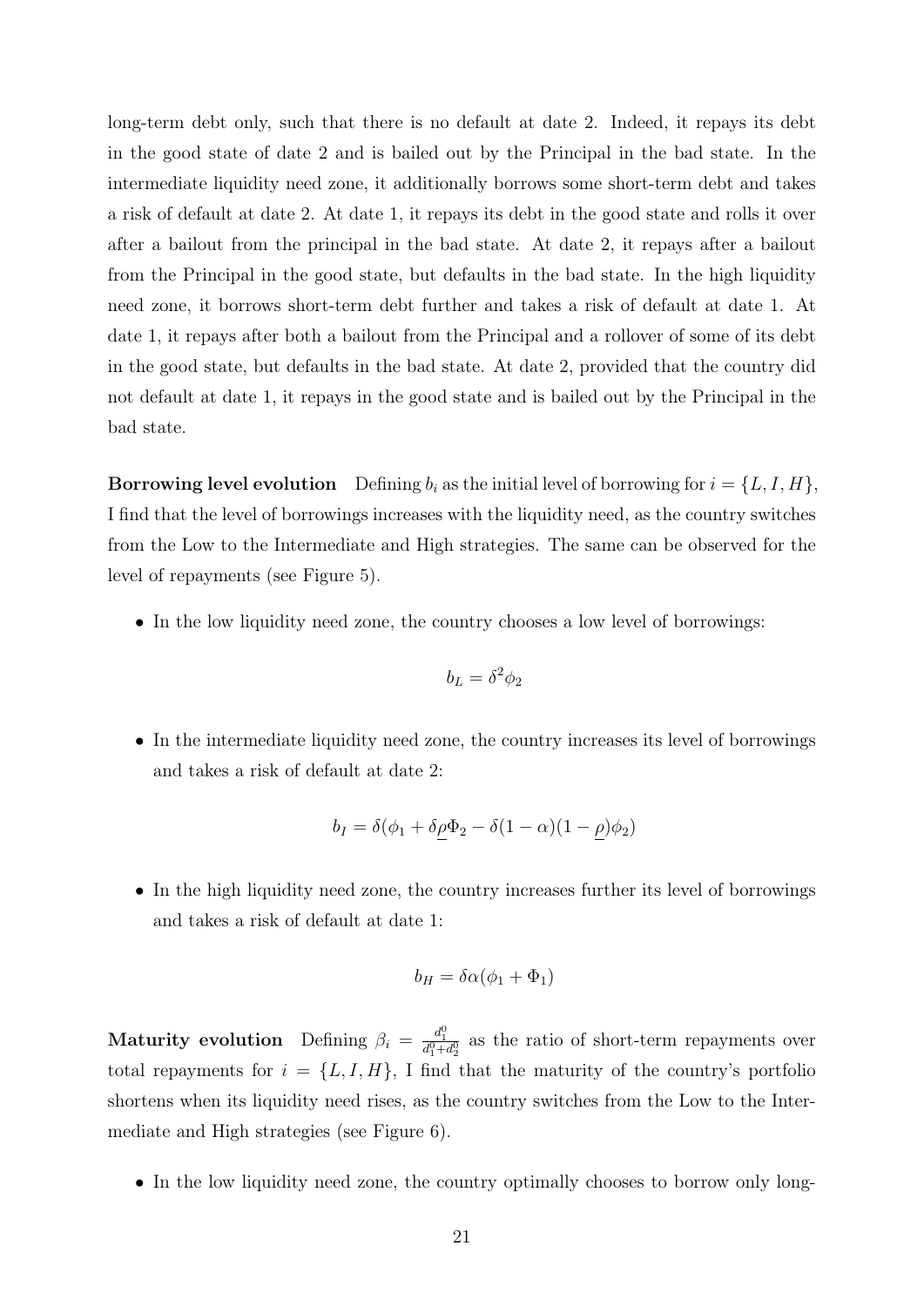long-term debt only, such that there is no default at date 2. Indeed, it repays its debt in the good state of date 2 and is bailed out by the Principal in the bad state. In the intermediate liquidity need zone, it additionally borrows some short-term debt and takes a risk of default at date 2. At date 1, it repays its debt in the good state and rolls it over after a bailout from the principal in the bad state. At date 2, it repays after a bailout from the Principal in the good state, but defaults in the bad state. In the high liquidity need zone, it borrows short-term debt further and takes a risk of default at date 1. At date 1, it repays after both a bailout from the Principal and a rollover of some of its debt in the good state, but defaults in the bad state. At date 2, provided that the country did not default at date 1, it repays in the good state and is bailed out by the Principal in the bad state.

**Borrowing level evolution** Defining  $b_i$  as the initial level of borrowing for  $i = \{L, I, H\}$ , I find that the level of borrowings increases with the liquidity need, as the country switches from the Low to the Intermediate and High strategies. The same can be observed for the level of repayments (see Figure 5).

• In the low liquidity need zone, the country chooses a low level of borrowings:

$$
b_L = \delta^2 \phi_2
$$

• In the intermediate liquidity need zone, the country increases its level of borrowings and takes a risk of default at date 2:

$$
b_I = \delta(\phi_1 + \delta\rho\Phi_2 - \delta(1 - \alpha)(1 - \rho)\phi_2)
$$

• In the high liquidity need zone, the country increases further its level of borrowings and takes a risk of default at date 1:

$$
b_H = \delta \alpha (\phi_1 + \Phi_1)
$$

**Maturity evolution** Defining  $\beta_i = \frac{d_1^0}{d_1^0 + d_2^0}$  as the ratio of short-term repayments over total repayments for  $i = \{L, I, H\}$ , I find that the maturity of the country's portfolio shortens when its liquidity need rises, as the country switches from the Low to the Intermediate and High strategies (see Figure 6).

• In the low liquidity need zone, the country optimally chooses to borrow only long-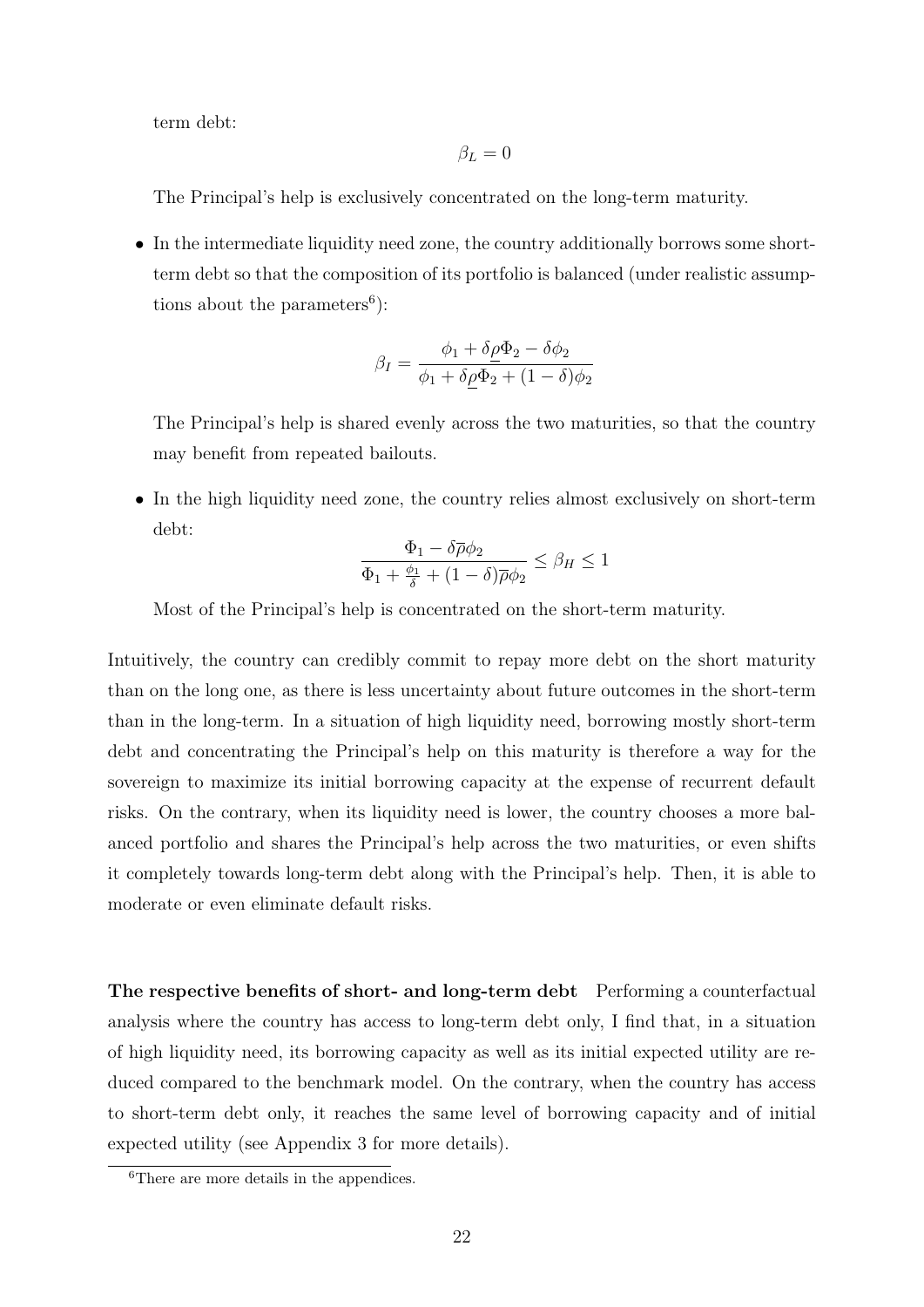term debt:

$$
\beta_L=0
$$

The Principal's help is exclusively concentrated on the long-term maturity.

• In the intermediate liquidity need zone, the country additionally borrows some shortterm debt so that the composition of its portfolio is balanced (under realistic assumptions about the parameters<sup>6</sup>):

$$
\beta_I = \frac{\phi_1 + \delta \rho \Phi_2 - \delta \phi_2}{\phi_1 + \delta \rho \Phi_2 + (1 - \delta) \phi_2}
$$

The Principal's help is shared evenly across the two maturities, so that the country may benefit from repeated bailouts.

• In the high liquidity need zone, the country relies almost exclusively on short-term debt:

$$
\frac{\Phi_1 - \delta \overline{\rho} \phi_2}{\Phi_1 + \frac{\phi_1}{\delta} + (1 - \delta) \overline{\rho} \phi_2} \le \beta_H \le 1
$$

Most of the Principal's help is concentrated on the short-term maturity.

Intuitively, the country can credibly commit to repay more debt on the short maturity than on the long one, as there is less uncertainty about future outcomes in the short-term than in the long-term. In a situation of high liquidity need, borrowing mostly short-term debt and concentrating the Principal's help on this maturity is therefore a way for the sovereign to maximize its initial borrowing capacity at the expense of recurrent default risks. On the contrary, when its liquidity need is lower, the country chooses a more balanced portfolio and shares the Principal's help across the two maturities, or even shifts it completely towards long-term debt along with the Principal's help. Then, it is able to moderate or even eliminate default risks.

The respective benefits of short- and long-term debt Performing a counterfactual analysis where the country has access to long-term debt only, I find that, in a situation of high liquidity need, its borrowing capacity as well as its initial expected utility are reduced compared to the benchmark model. On the contrary, when the country has access to short-term debt only, it reaches the same level of borrowing capacity and of initial expected utility (see Appendix 3 for more details).

<sup>&</sup>lt;sup>6</sup>There are more details in the appendices.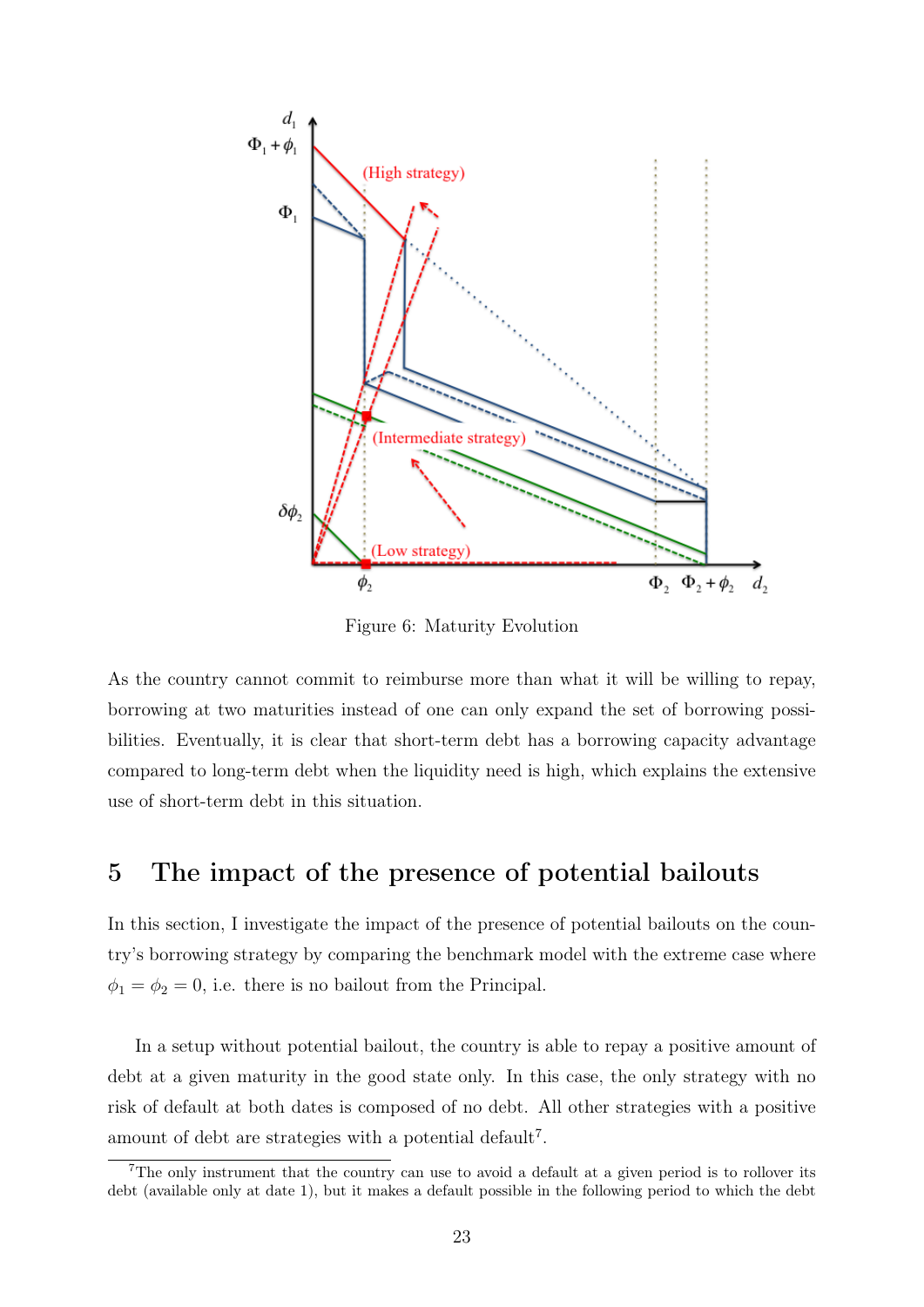

Figure 6: Maturity Evolution

As the country cannot commit to reimburse more than what it will be willing to repay, borrowing at two maturities instead of one can only expand the set of borrowing possibilities. Eventually, it is clear that short-term debt has a borrowing capacity advantage compared to long-term debt when the liquidity need is high, which explains the extensive use of short-term debt in this situation.

#### 5 The impact of the presence of potential bailouts

In this section, I investigate the impact of the presence of potential bailouts on the country's borrowing strategy by comparing the benchmark model with the extreme case where  $\phi_1 = \phi_2 = 0$ , i.e. there is no bailout from the Principal.

In a setup without potential bailout, the country is able to repay a positive amount of debt at a given maturity in the good state only. In this case, the only strategy with no risk of default at both dates is composed of no debt. All other strategies with a positive amount of debt are strategies with a potential default<sup>7</sup>.

<sup>&</sup>lt;sup>7</sup>The only instrument that the country can use to avoid a default at a given period is to rollover its debt (available only at date 1), but it makes a default possible in the following period to which the debt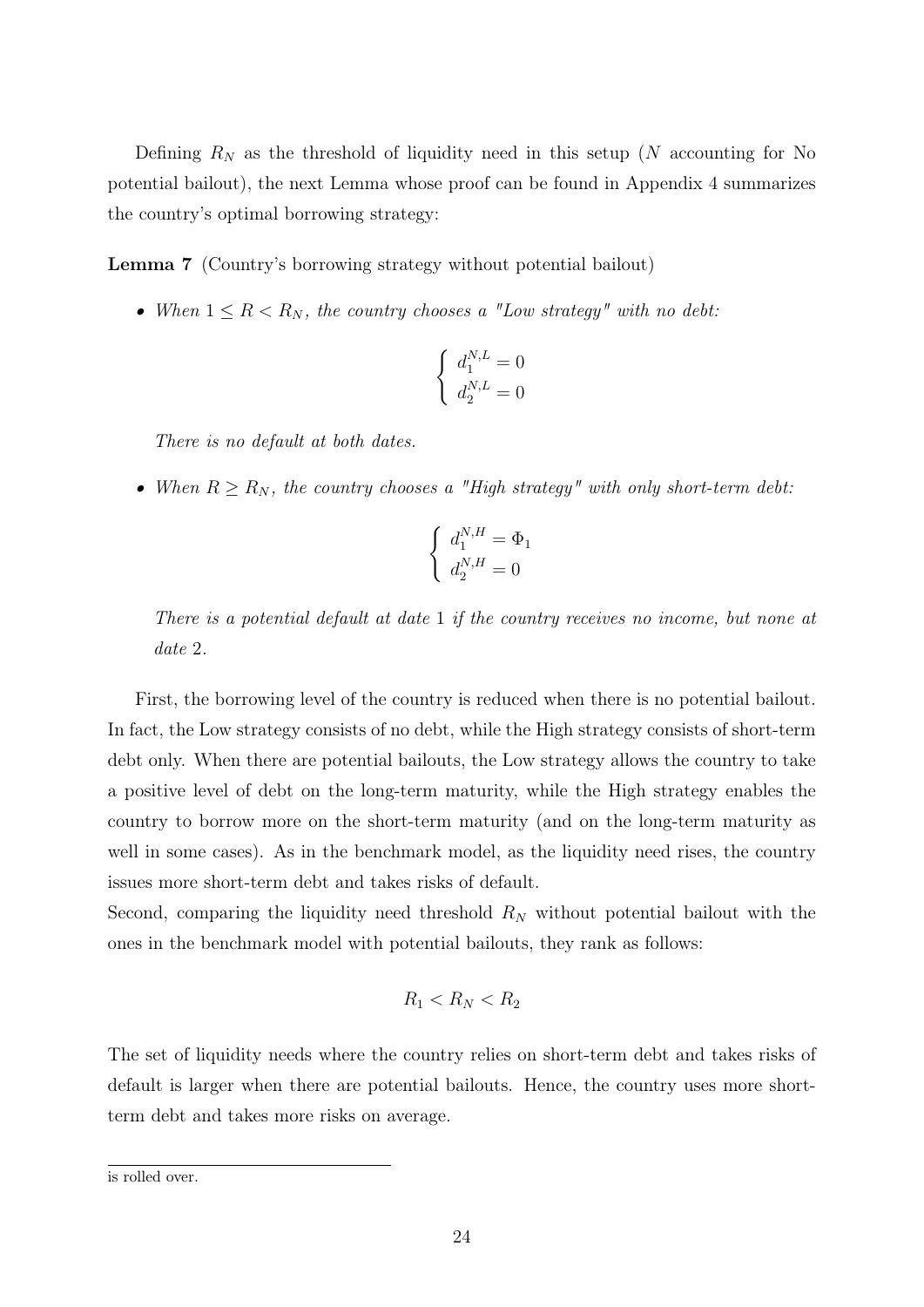Defining  $R_N$  as the threshold of liquidity need in this setup (N accounting for No potential bailout), the next Lemma whose proof can be found in Appendix 4 summarizes the country's optimal borrowing strategy:

Lemma 7 (Country's borrowing strategy without potential bailout)

• When  $1 \leq R < R_N$ , the country chooses a "Low strategy" with no debt:

$$
\begin{cases} d_1^{N,L} = 0\\ d_2^{N,L} = 0 \end{cases}
$$

There is no default at both dates.

• When  $R \ge R_N$ , the country chooses a "High strategy" with only short-term debt:

$$
\begin{cases} d_1^{N,H} = \Phi_1 \\ d_2^{N,H} = 0 \end{cases}
$$

There is a potential default at date 1 if the country receives no income, but none at date 2.

First, the borrowing level of the country is reduced when there is no potential bailout. In fact, the Low strategy consists of no debt, while the High strategy consists of short-term debt only. When there are potential bailouts, the Low strategy allows the country to take a positive level of debt on the long-term maturity, while the High strategy enables the country to borrow more on the short-term maturity (and on the long-term maturity as well in some cases). As in the benchmark model, as the liquidity need rises, the country issues more short-term debt and takes risks of default.

Second, comparing the liquidity need threshold  $R_N$  without potential bailout with the ones in the benchmark model with potential bailouts, they rank as follows:

$$
R_1 < R_N < R_2
$$

The set of liquidity needs where the country relies on short-term debt and takes risks of default is larger when there are potential bailouts. Hence, the country uses more shortterm debt and takes more risks on average.

is rolled over.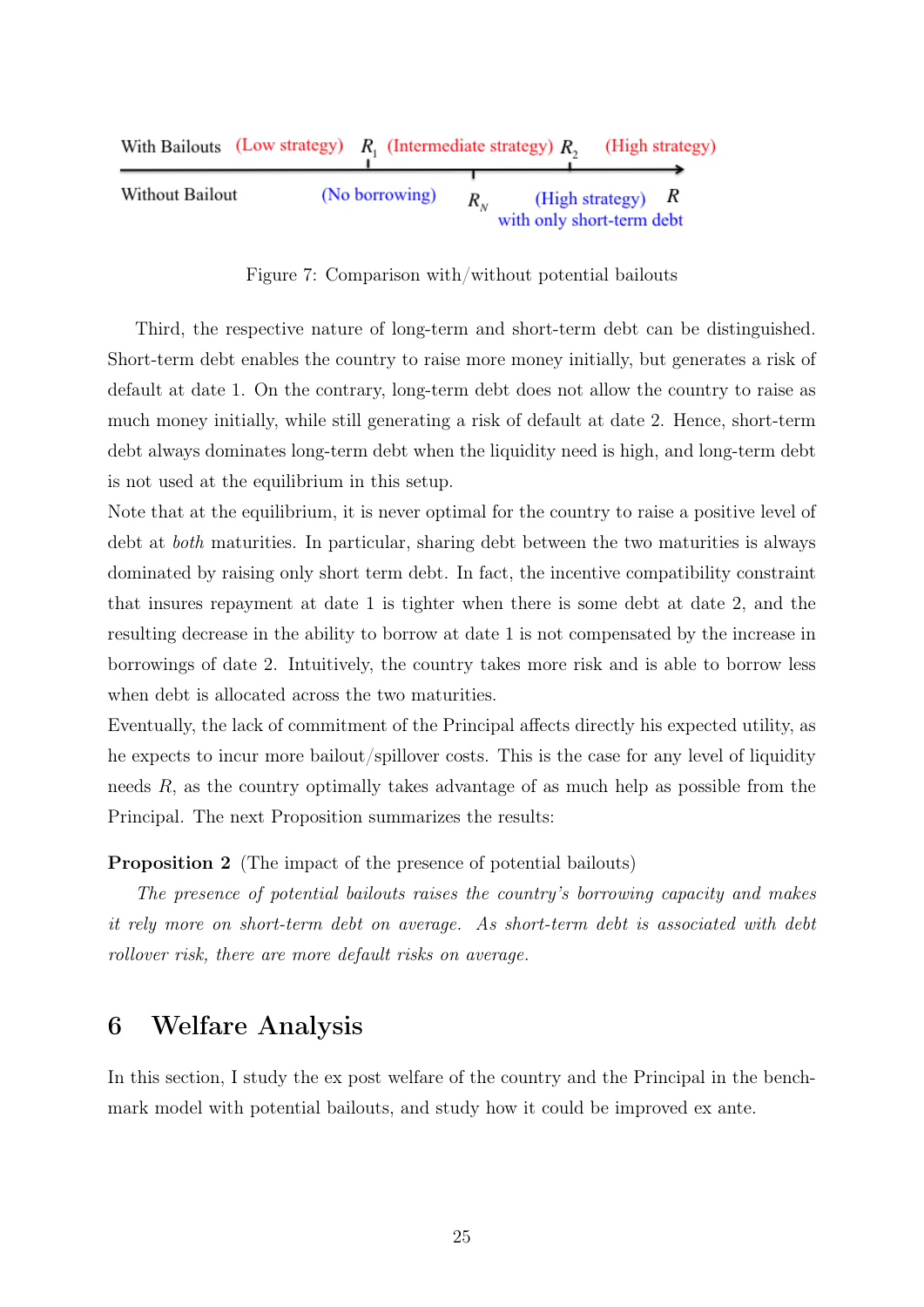|                 | With Bailouts (Low strategy) $R_i$ (Intermediate strategy) $R_i$ |                |                           |                     | (High strategy) |
|-----------------|------------------------------------------------------------------|----------------|---------------------------|---------------------|-----------------|
| Without Bailout |                                                                  | (No borrowing) | with only short-term debt | (High strategy) $R$ |                 |

Figure 7: Comparison with/without potential bailouts

Third, the respective nature of long-term and short-term debt can be distinguished. Short-term debt enables the country to raise more money initially, but generates a risk of default at date 1. On the contrary, long-term debt does not allow the country to raise as much money initially, while still generating a risk of default at date 2. Hence, short-term debt always dominates long-term debt when the liquidity need is high, and long-term debt is not used at the equilibrium in this setup.

Note that at the equilibrium, it is never optimal for the country to raise a positive level of debt at both maturities. In particular, sharing debt between the two maturities is always dominated by raising only short term debt. In fact, the incentive compatibility constraint that insures repayment at date 1 is tighter when there is some debt at date 2, and the resulting decrease in the ability to borrow at date 1 is not compensated by the increase in borrowings of date 2. Intuitively, the country takes more risk and is able to borrow less when debt is allocated across the two maturities.

Eventually, the lack of commitment of the Principal affects directly his expected utility, as he expects to incur more bailout/spillover costs. This is the case for any level of liquidity needs R, as the country optimally takes advantage of as much help as possible from the Principal. The next Proposition summarizes the results:

Proposition 2 (The impact of the presence of potential bailouts)

The presence of potential bailouts raises the country's borrowing capacity and makes it rely more on short-term debt on average. As short-term debt is associated with debt rollover risk, there are more default risks on average.

#### 6 Welfare Analysis

In this section, I study the ex post welfare of the country and the Principal in the benchmark model with potential bailouts, and study how it could be improved ex ante.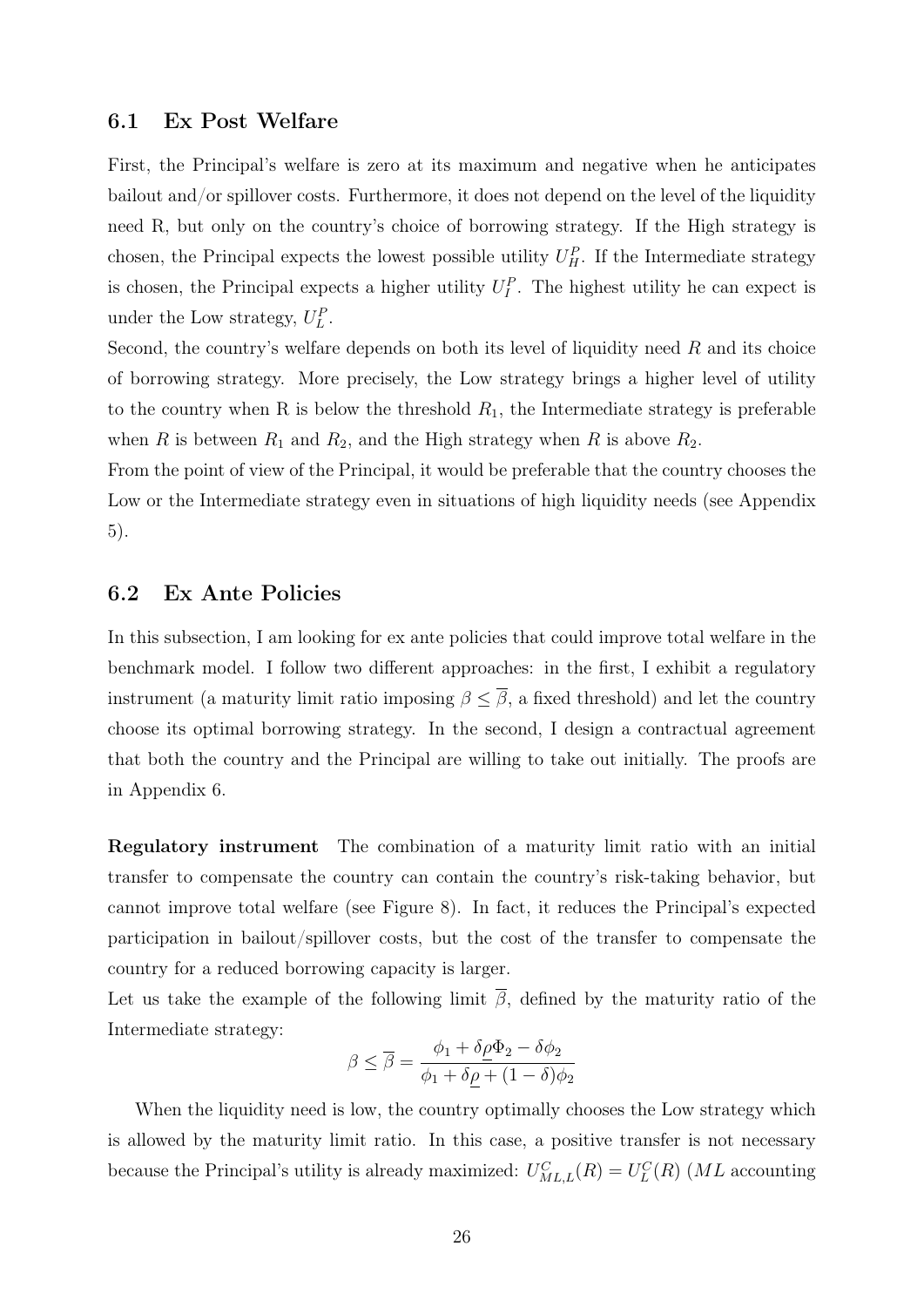#### 6.1 Ex Post Welfare

First, the Principal's welfare is zero at its maximum and negative when he anticipates bailout and/or spillover costs. Furthermore, it does not depend on the level of the liquidity need R, but only on the country's choice of borrowing strategy. If the High strategy is chosen, the Principal expects the lowest possible utility  $U_H^P$ . If the Intermediate strategy is chosen, the Principal expects a higher utility  $U_I^P$ . The highest utility he can expect is under the Low strategy,  $U_L^P$ .

Second, the country's welfare depends on both its level of liquidity need  $R$  and its choice of borrowing strategy. More precisely, the Low strategy brings a higher level of utility to the country when R is below the threshold  $R_1$ , the Intermediate strategy is preferable when R is between  $R_1$  and  $R_2$ , and the High strategy when R is above  $R_2$ .

From the point of view of the Principal, it would be preferable that the country chooses the Low or the Intermediate strategy even in situations of high liquidity needs (see Appendix 5).

#### 6.2 Ex Ante Policies

In this subsection, I am looking for ex ante policies that could improve total welfare in the benchmark model. I follow two different approaches: in the first, I exhibit a regulatory instrument (a maturity limit ratio imposing  $\beta \leq \overline{\beta}$ , a fixed threshold) and let the country choose its optimal borrowing strategy. In the second, I design a contractual agreement that both the country and the Principal are willing to take out initially. The proofs are in Appendix 6.

Regulatory instrument The combination of a maturity limit ratio with an initial transfer to compensate the country can contain the country's risk-taking behavior, but cannot improve total welfare (see Figure 8). In fact, it reduces the Principal's expected participation in bailout/spillover costs, but the cost of the transfer to compensate the country for a reduced borrowing capacity is larger.

Let us take the example of the following limit  $\overline{\beta}$ , defined by the maturity ratio of the Intermediate strategy:

$$
\beta \le \overline{\beta} = \frac{\phi_1 + \delta \underline{\rho} \Phi_2 - \delta \phi_2}{\phi_1 + \delta \rho + (1 - \delta) \phi_2}
$$

When the liquidity need is low, the country optimally chooses the Low strategy which is allowed by the maturity limit ratio. In this case, a positive transfer is not necessary because the Principal's utility is already maximized:  $U_{ML,L}^{C}(R) = U_{L}^{C}(R)$  (ML accounting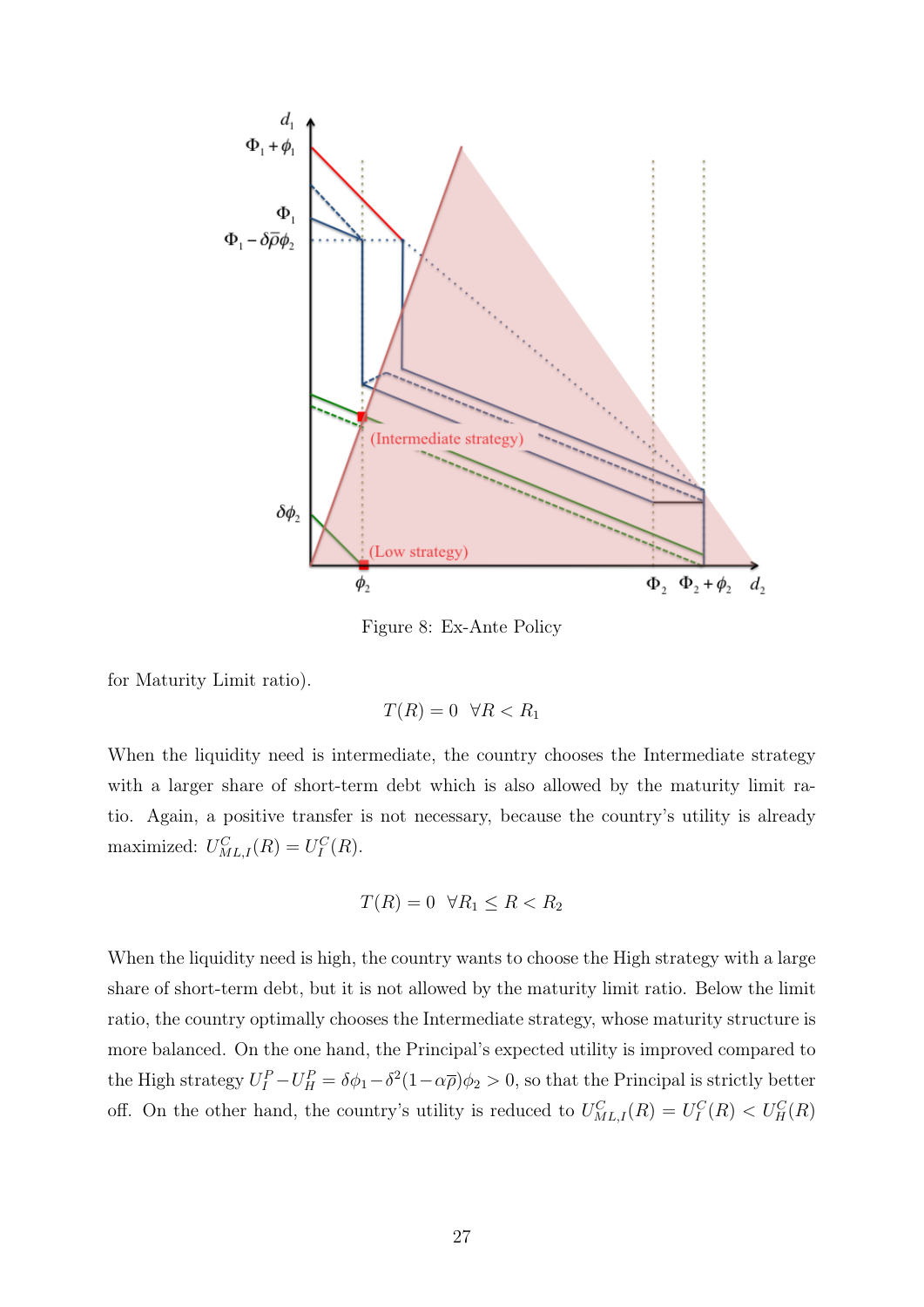

Figure 8: Ex-Ante Policy

for Maturity Limit ratio).

$$
T(R) = 0 \quad \forall R < R_1
$$

When the liquidity need is intermediate, the country chooses the Intermediate strategy with a larger share of short-term debt which is also allowed by the maturity limit ratio. Again, a positive transfer is not necessary, because the country's utility is already maximized:  $U_{ML,I}^C(R) = U_I^C(R)$ .

$$
T(R) = 0 \quad \forall R_1 \le R < R_2
$$

When the liquidity need is high, the country wants to choose the High strategy with a large share of short-term debt, but it is not allowed by the maturity limit ratio. Below the limit ratio, the country optimally chooses the Intermediate strategy, whose maturity structure is more balanced. On the one hand, the Principal's expected utility is improved compared to the High strategy  $U_I^P - U_H^P = \delta \phi_1 - \delta^2 (1 - \alpha \overline{\rho}) \phi_2 > 0$ , so that the Principal is strictly better off. On the other hand, the country's utility is reduced to  $U_{ML,I}^C(R) = U_I^C(R) < U_H^C(R)$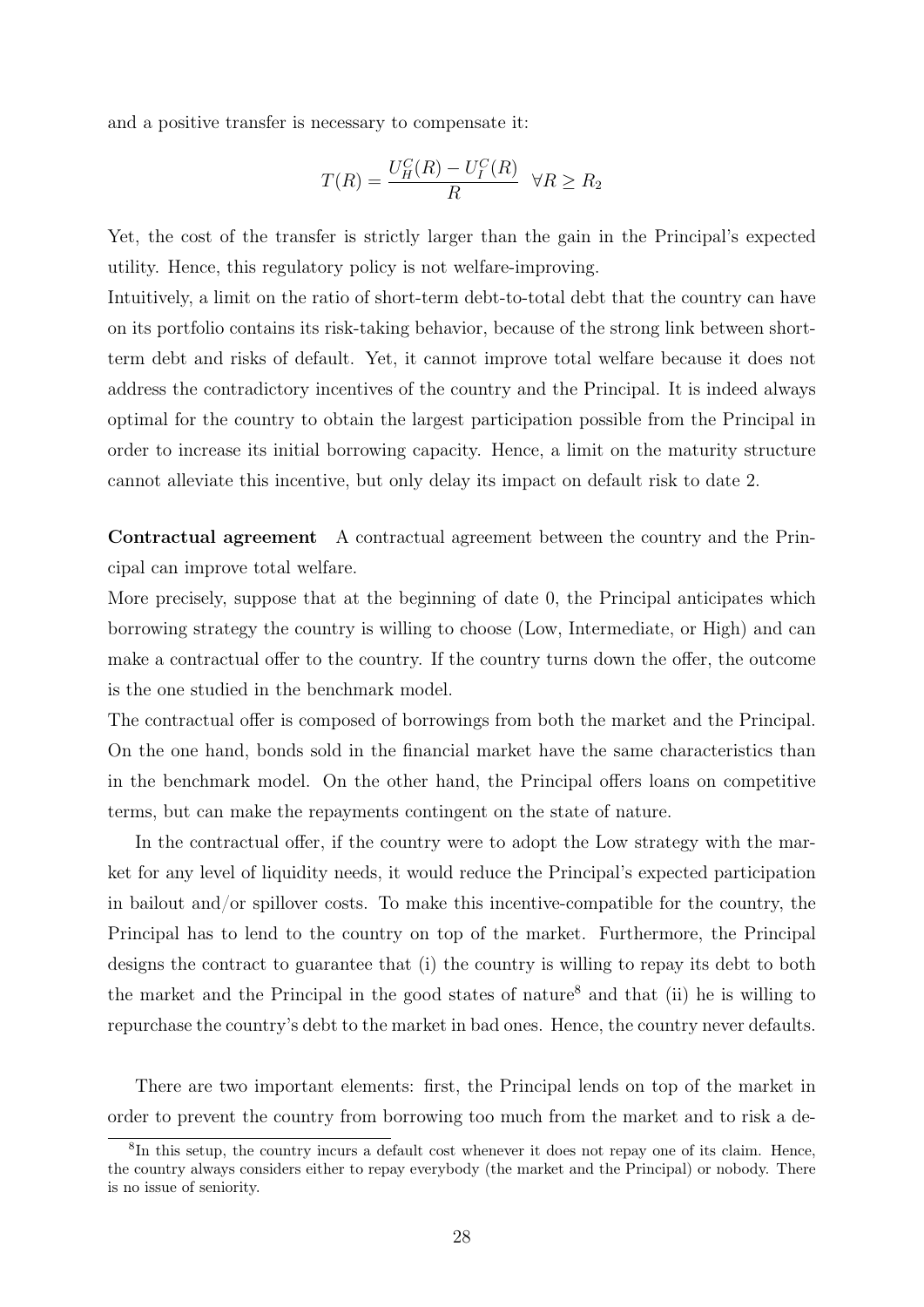and a positive transfer is necessary to compensate it:

$$
T(R) = \frac{U_H^C(R) - U_I^C(R)}{R} \quad \forall R \ge R_2
$$

Yet, the cost of the transfer is strictly larger than the gain in the Principal's expected utility. Hence, this regulatory policy is not welfare-improving.

Intuitively, a limit on the ratio of short-term debt-to-total debt that the country can have on its portfolio contains its risk-taking behavior, because of the strong link between shortterm debt and risks of default. Yet, it cannot improve total welfare because it does not address the contradictory incentives of the country and the Principal. It is indeed always optimal for the country to obtain the largest participation possible from the Principal in order to increase its initial borrowing capacity. Hence, a limit on the maturity structure cannot alleviate this incentive, but only delay its impact on default risk to date 2.

Contractual agreement A contractual agreement between the country and the Principal can improve total welfare.

More precisely, suppose that at the beginning of date 0, the Principal anticipates which borrowing strategy the country is willing to choose (Low, Intermediate, or High) and can make a contractual offer to the country. If the country turns down the offer, the outcome is the one studied in the benchmark model.

The contractual offer is composed of borrowings from both the market and the Principal. On the one hand, bonds sold in the financial market have the same characteristics than in the benchmark model. On the other hand, the Principal offers loans on competitive terms, but can make the repayments contingent on the state of nature.

In the contractual offer, if the country were to adopt the Low strategy with the market for any level of liquidity needs, it would reduce the Principal's expected participation in bailout and/or spillover costs. To make this incentive-compatible for the country, the Principal has to lend to the country on top of the market. Furthermore, the Principal designs the contract to guarantee that (i) the country is willing to repay its debt to both the market and the Principal in the good states of nature<sup>8</sup> and that (ii) he is willing to repurchase the country's debt to the market in bad ones. Hence, the country never defaults.

There are two important elements: first, the Principal lends on top of the market in order to prevent the country from borrowing too much from the market and to risk a de-

<sup>&</sup>lt;sup>8</sup>In this setup, the country incurs a default cost whenever it does not repay one of its claim. Hence, the country always considers either to repay everybody (the market and the Principal) or nobody. There is no issue of seniority.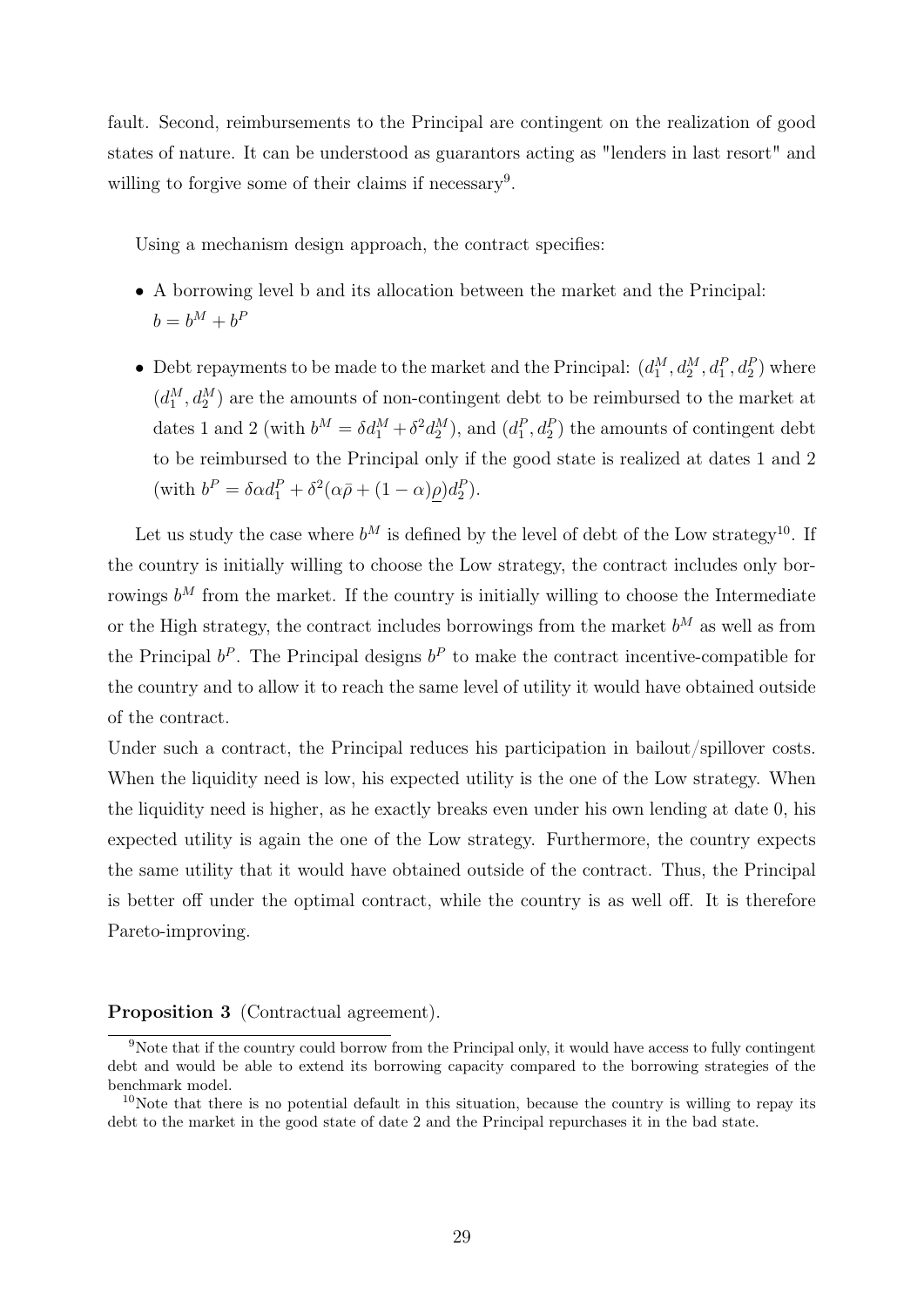fault. Second, reimbursements to the Principal are contingent on the realization of good states of nature. It can be understood as guarantors acting as "lenders in last resort" and willing to forgive some of their claims if necessary<sup>9</sup>.

Using a mechanism design approach, the contract specifies:

- A borrowing level b and its allocation between the market and the Principal:  $b = b^M + b^P$
- Debt repayments to be made to the market and the Principal:  $(d_1^M, d_2^M, d_1^P, d_2^P)$  where  $(d_1^M, d_2^M)$  are the amounts of non-contingent debt to be reimbursed to the market at dates 1 and 2 (with  $b^M = \delta d_1^M + \delta^2 d_2^M$ ), and  $(d_1^P, d_2^P)$  the amounts of contingent debt to be reimbursed to the Principal only if the good state is realized at dates 1 and 2 (with  $b^P = \delta \alpha d_1^P + \delta^2 (\alpha \bar{\rho} + (1 - \alpha) \underline{\rho}) d_2^P$ ).

Let us study the case where  $b^M$  is defined by the level of debt of the Low strategy<sup>10</sup>. If the country is initially willing to choose the Low strategy, the contract includes only borrowings  $b^M$  from the market. If the country is initially willing to choose the Intermediate or the High strategy, the contract includes borrowings from the market  $b^M$  as well as from the Principal  $b^P$ . The Principal designs  $b^P$  to make the contract incentive-compatible for the country and to allow it to reach the same level of utility it would have obtained outside of the contract.

Under such a contract, the Principal reduces his participation in bailout/spillover costs. When the liquidity need is low, his expected utility is the one of the Low strategy. When the liquidity need is higher, as he exactly breaks even under his own lending at date 0, his expected utility is again the one of the Low strategy. Furthermore, the country expects the same utility that it would have obtained outside of the contract. Thus, the Principal is better off under the optimal contract, while the country is as well off. It is therefore Pareto-improving.

#### Proposition 3 (Contractual agreement).

<sup>9</sup>Note that if the country could borrow from the Principal only, it would have access to fully contingent debt and would be able to extend its borrowing capacity compared to the borrowing strategies of the benchmark model.

 $10$ Note that there is no potential default in this situation, because the country is willing to repay its debt to the market in the good state of date 2 and the Principal repurchases it in the bad state.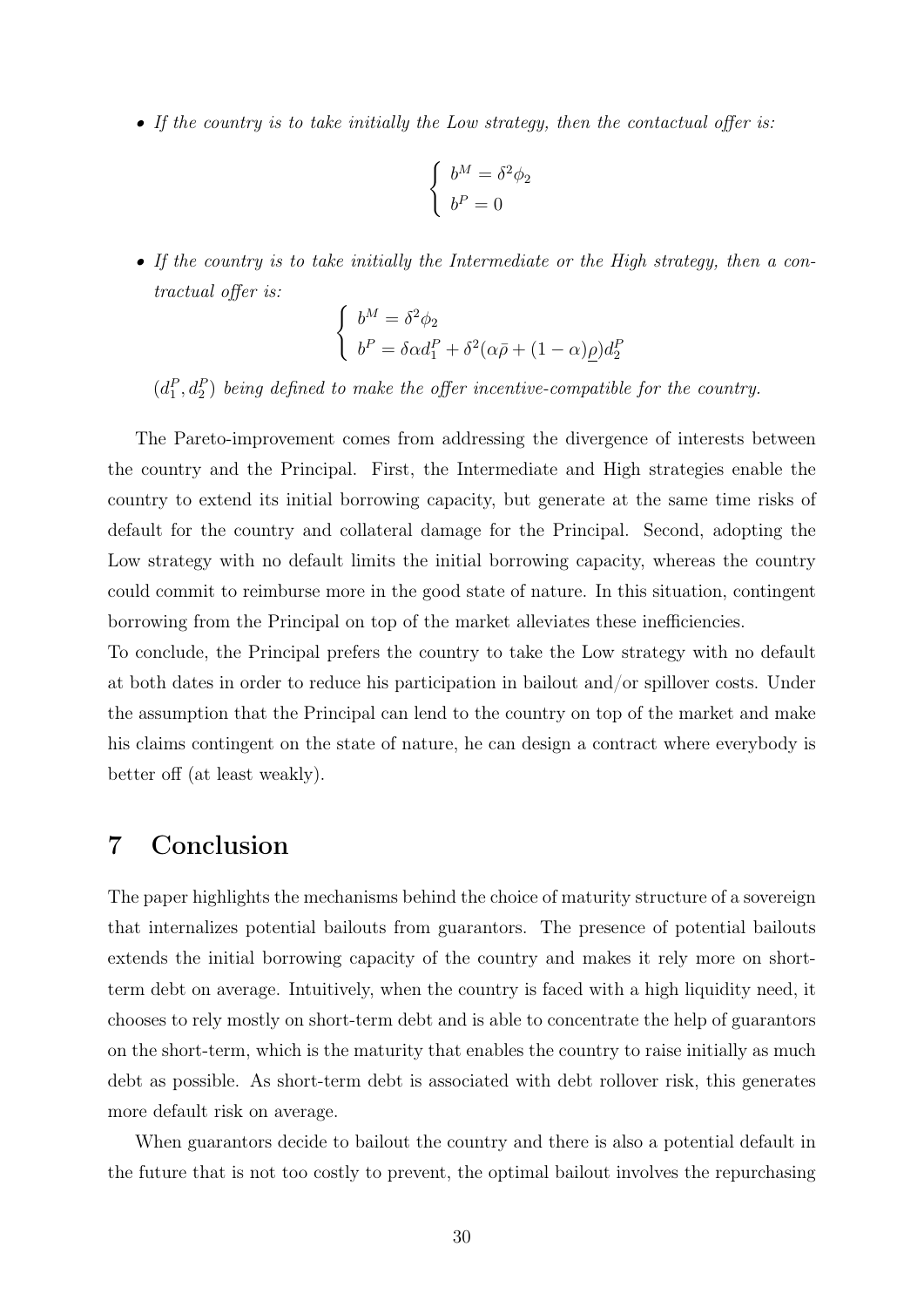• If the country is to take initially the Low strategy, then the contactual offer is:

$$
\begin{cases}\nb^M = \delta^2 \phi_2 \\
b^P = 0\n\end{cases}
$$

• If the country is to take initially the Intermediate or the High strategy, then a contractual offer is:

$$
\begin{cases}\nb^M = \delta^2 \phi_2 \\
b^P = \delta \alpha d_1^P + \delta^2 (\alpha \bar{\rho} + (1 - \alpha) \rho) d_2^P\n\end{cases}
$$

 $(d_1^P, d_2^P)$  being defined to make the offer incentive-compatible for the country.

The Pareto-improvement comes from addressing the divergence of interests between the country and the Principal. First, the Intermediate and High strategies enable the country to extend its initial borrowing capacity, but generate at the same time risks of default for the country and collateral damage for the Principal. Second, adopting the Low strategy with no default limits the initial borrowing capacity, whereas the country could commit to reimburse more in the good state of nature. In this situation, contingent borrowing from the Principal on top of the market alleviates these inefficiencies.

To conclude, the Principal prefers the country to take the Low strategy with no default at both dates in order to reduce his participation in bailout and/or spillover costs. Under the assumption that the Principal can lend to the country on top of the market and make his claims contingent on the state of nature, he can design a contract where everybody is better off (at least weakly).

# 7 Conclusion

The paper highlights the mechanisms behind the choice of maturity structure of a sovereign that internalizes potential bailouts from guarantors. The presence of potential bailouts extends the initial borrowing capacity of the country and makes it rely more on shortterm debt on average. Intuitively, when the country is faced with a high liquidity need, it chooses to rely mostly on short-term debt and is able to concentrate the help of guarantors on the short-term, which is the maturity that enables the country to raise initially as much debt as possible. As short-term debt is associated with debt rollover risk, this generates more default risk on average.

When guarantors decide to bailout the country and there is also a potential default in the future that is not too costly to prevent, the optimal bailout involves the repurchasing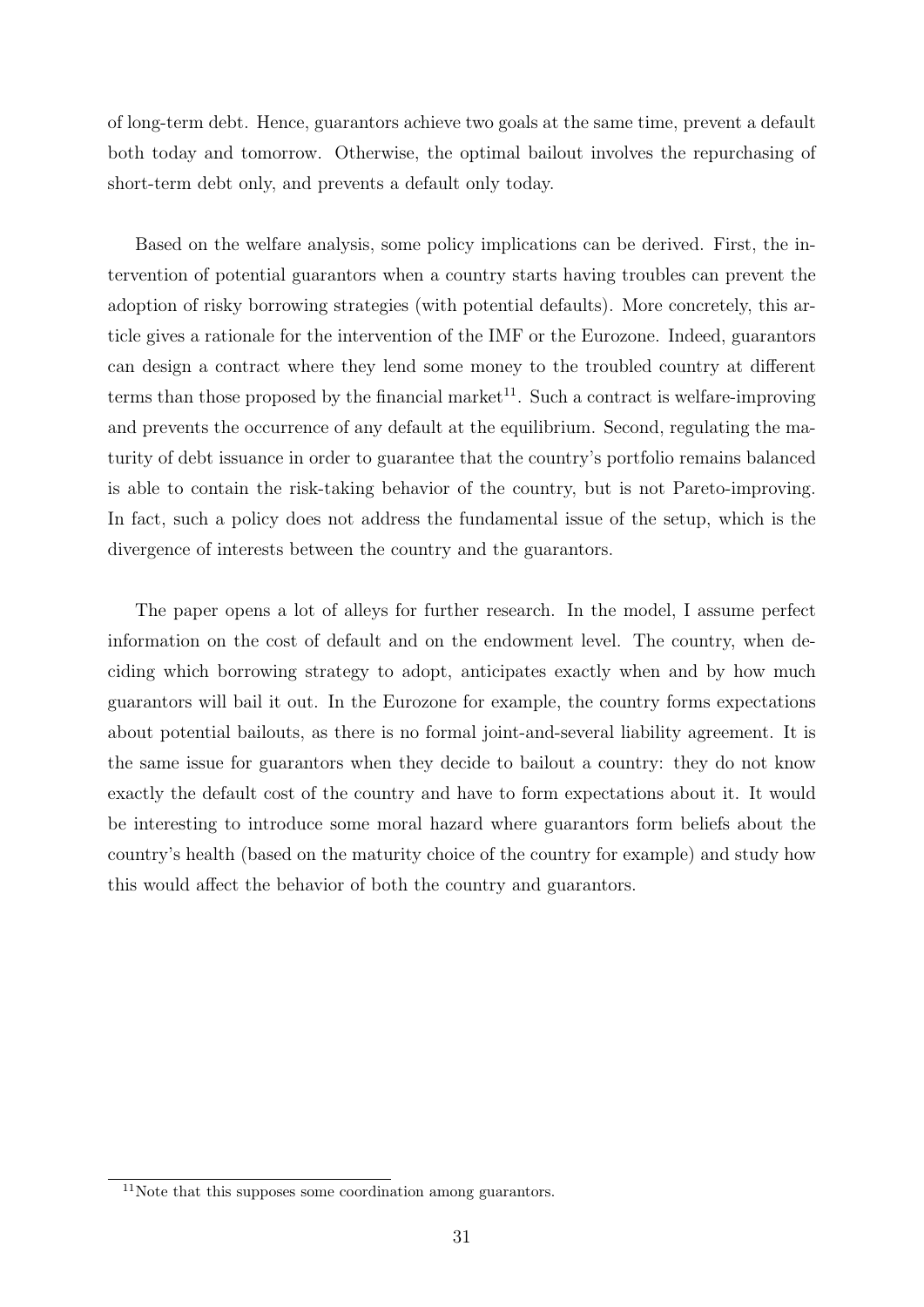of long-term debt. Hence, guarantors achieve two goals at the same time, prevent a default both today and tomorrow. Otherwise, the optimal bailout involves the repurchasing of short-term debt only, and prevents a default only today.

Based on the welfare analysis, some policy implications can be derived. First, the intervention of potential guarantors when a country starts having troubles can prevent the adoption of risky borrowing strategies (with potential defaults). More concretely, this article gives a rationale for the intervention of the IMF or the Eurozone. Indeed, guarantors can design a contract where they lend some money to the troubled country at different terms than those proposed by the financial market<sup>11</sup>. Such a contract is welfare-improving and prevents the occurrence of any default at the equilibrium. Second, regulating the maturity of debt issuance in order to guarantee that the country's portfolio remains balanced is able to contain the risk-taking behavior of the country, but is not Pareto-improving. In fact, such a policy does not address the fundamental issue of the setup, which is the divergence of interests between the country and the guarantors.

The paper opens a lot of alleys for further research. In the model, I assume perfect information on the cost of default and on the endowment level. The country, when deciding which borrowing strategy to adopt, anticipates exactly when and by how much guarantors will bail it out. In the Eurozone for example, the country forms expectations about potential bailouts, as there is no formal joint-and-several liability agreement. It is the same issue for guarantors when they decide to bailout a country: they do not know exactly the default cost of the country and have to form expectations about it. It would be interesting to introduce some moral hazard where guarantors form beliefs about the country's health (based on the maturity choice of the country for example) and study how this would affect the behavior of both the country and guarantors.

 $11$ Note that this supposes some coordination among guarantors.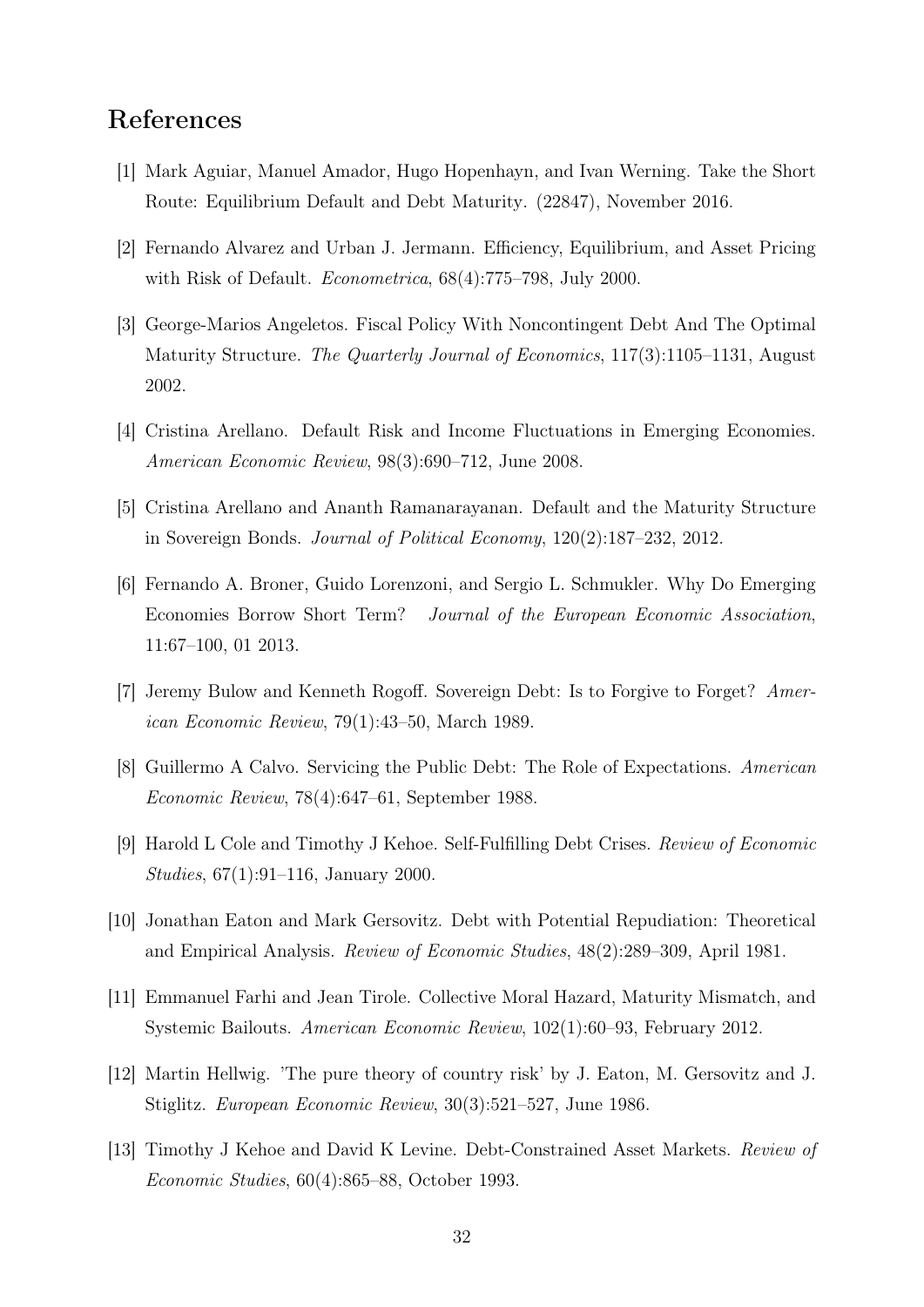### References

- [1] Mark Aguiar, Manuel Amador, Hugo Hopenhayn, and Ivan Werning. Take the Short Route: Equilibrium Default and Debt Maturity. (22847), November 2016.
- [2] Fernando Alvarez and Urban J. Jermann. Efficiency, Equilibrium, and Asset Pricing with Risk of Default. Econometrica, 68(4):775–798, July 2000.
- [3] George-Marios Angeletos. Fiscal Policy With Noncontingent Debt And The Optimal Maturity Structure. The Quarterly Journal of Economics, 117(3):1105–1131, August 2002.
- [4] Cristina Arellano. Default Risk and Income Fluctuations in Emerging Economies. American Economic Review, 98(3):690–712, June 2008.
- [5] Cristina Arellano and Ananth Ramanarayanan. Default and the Maturity Structure in Sovereign Bonds. Journal of Political Economy, 120(2):187–232, 2012.
- [6] Fernando A. Broner, Guido Lorenzoni, and Sergio L. Schmukler. Why Do Emerging Economies Borrow Short Term? Journal of the European Economic Association, 11:67–100, 01 2013.
- [7] Jeremy Bulow and Kenneth Rogoff. Sovereign Debt: Is to Forgive to Forget? American Economic Review, 79(1):43–50, March 1989.
- [8] Guillermo A Calvo. Servicing the Public Debt: The Role of Expectations. American Economic Review, 78(4):647–61, September 1988.
- [9] Harold L Cole and Timothy J Kehoe. Self-Fulfilling Debt Crises. Review of Economic Studies, 67(1):91–116, January 2000.
- [10] Jonathan Eaton and Mark Gersovitz. Debt with Potential Repudiation: Theoretical and Empirical Analysis. Review of Economic Studies, 48(2):289–309, April 1981.
- [11] Emmanuel Farhi and Jean Tirole. Collective Moral Hazard, Maturity Mismatch, and Systemic Bailouts. American Economic Review, 102(1):60–93, February 2012.
- [12] Martin Hellwig. 'The pure theory of country risk' by J. Eaton, M. Gersovitz and J. Stiglitz. European Economic Review, 30(3):521–527, June 1986.
- [13] Timothy J Kehoe and David K Levine. Debt-Constrained Asset Markets. Review of Economic Studies, 60(4):865–88, October 1993.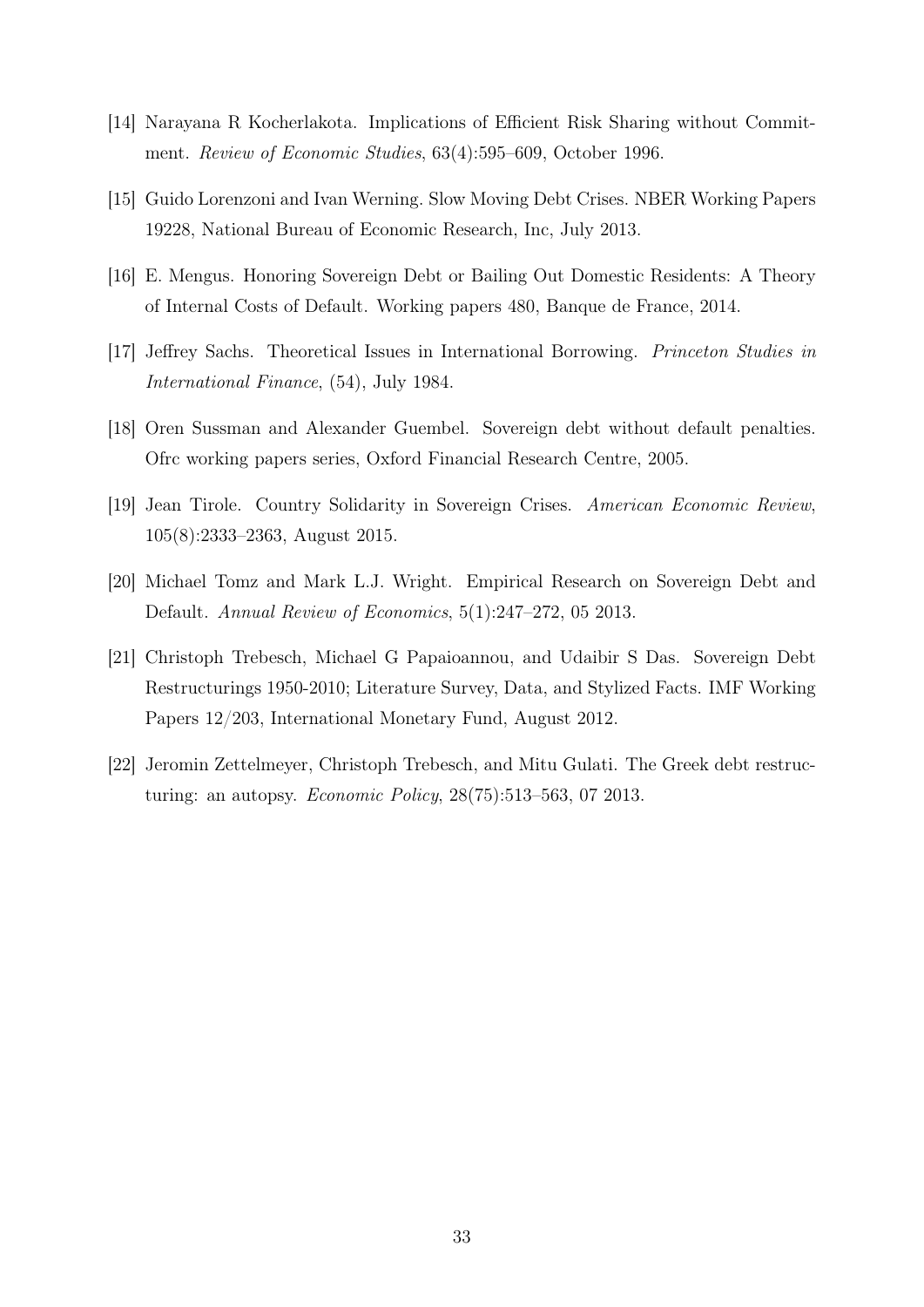- [14] Narayana R Kocherlakota. Implications of Efficient Risk Sharing without Commitment. Review of Economic Studies, 63(4):595–609, October 1996.
- [15] Guido Lorenzoni and Ivan Werning. Slow Moving Debt Crises. NBER Working Papers 19228, National Bureau of Economic Research, Inc, July 2013.
- [16] E. Mengus. Honoring Sovereign Debt or Bailing Out Domestic Residents: A Theory of Internal Costs of Default. Working papers 480, Banque de France, 2014.
- [17] Jeffrey Sachs. Theoretical Issues in International Borrowing. Princeton Studies in International Finance, (54), July 1984.
- [18] Oren Sussman and Alexander Guembel. Sovereign debt without default penalties. Ofrc working papers series, Oxford Financial Research Centre, 2005.
- [19] Jean Tirole. Country Solidarity in Sovereign Crises. American Economic Review, 105(8):2333–2363, August 2015.
- [20] Michael Tomz and Mark L.J. Wright. Empirical Research on Sovereign Debt and Default. Annual Review of Economics, 5(1):247–272, 05 2013.
- [21] Christoph Trebesch, Michael G Papaioannou, and Udaibir S Das. Sovereign Debt Restructurings 1950-2010; Literature Survey, Data, and Stylized Facts. IMF Working Papers 12/203, International Monetary Fund, August 2012.
- [22] Jeromin Zettelmeyer, Christoph Trebesch, and Mitu Gulati. The Greek debt restructuring: an autopsy. Economic Policy, 28(75):513–563, 07 2013.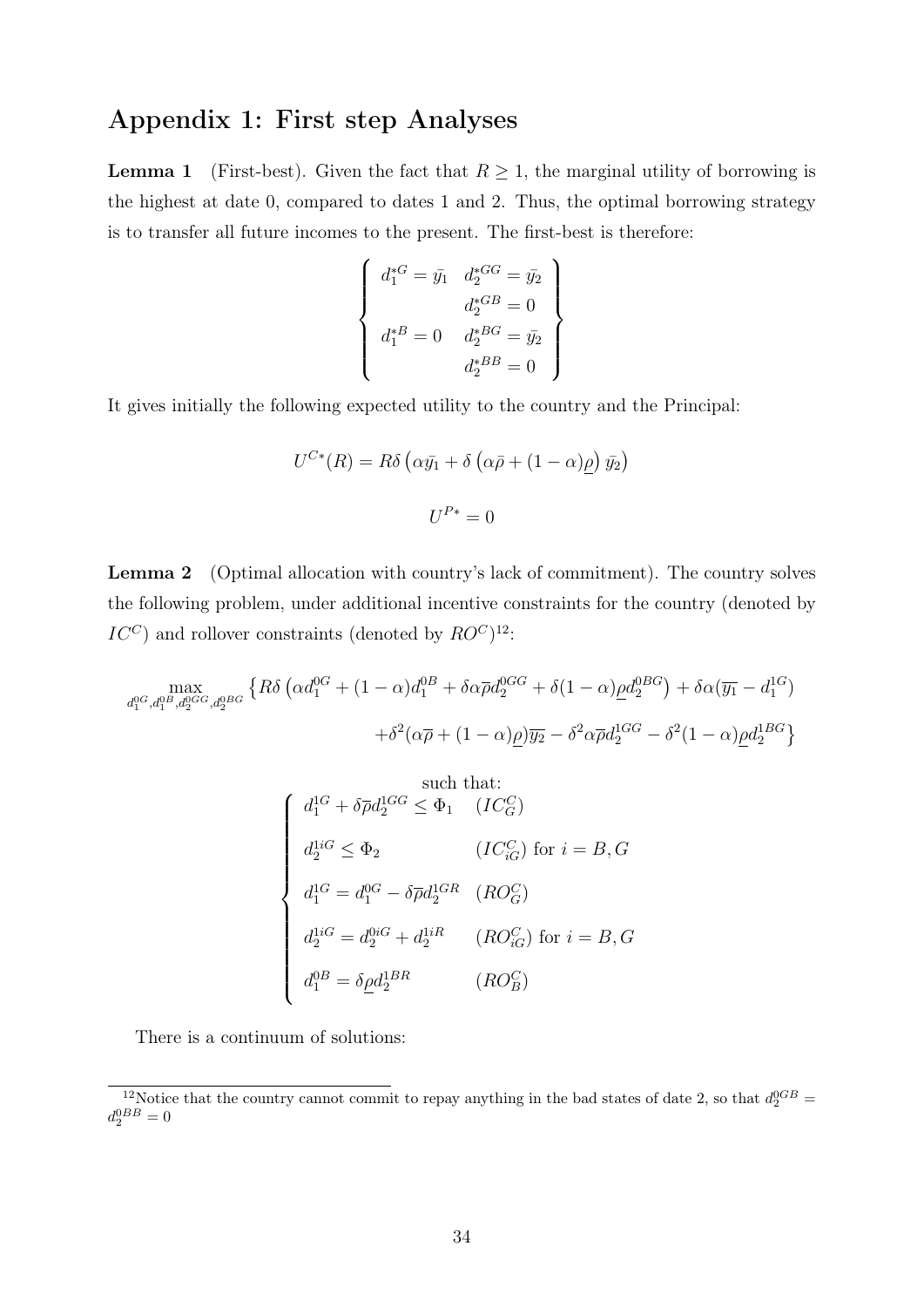# Appendix 1: First step Analyses

**Lemma 1** (First-best). Given the fact that  $R \geq 1$ , the marginal utility of borrowing is the highest at date 0, compared to dates 1 and 2. Thus, the optimal borrowing strategy is to transfer all future incomes to the present. The first-best is therefore:

$$
\begin{cases}\n d_1^{*G} = \bar{y}_1 & d_2^{*G} = \bar{y}_2 \\
 d_2^{*G} = 0 \\
 d_1^{*G} = 0 & d_2^{*G} = \bar{y}_2 \\
 d_2^{*G} = 0\n\end{cases}
$$

It gives initially the following expected utility to the country and the Principal:

$$
U^{C*}(R) = R\delta \left(\alpha \bar{y}_1 + \delta \left(\alpha \bar{p} + (1 - \alpha)\underline{\rho}\right) \bar{y}_2\right)
$$

$$
U^{P*} = 0
$$

Lemma 2 (Optimal allocation with country's lack of commitment). The country solves the following problem, under additional incentive constraints for the country (denoted by  $IC^C$ ) and rollover constraints (denoted by  $RO^C$ )<sup>12</sup>:

$$
\max_{d_1^{0G}, d_1^{0B}, d_2^{0GG}, d_2^{0BG}} \left\{ R\delta \left( \alpha d_1^{0G} + (1 - \alpha)d_1^{0B} + \delta \alpha \overline{\rho} d_2^{0GG} + \delta (1 - \alpha)\underline{\rho} d_2^{0BG} \right) + \delta \alpha (\overline{y_1} - d_1^{1G}) + \delta^2 (\alpha \overline{\rho} + (1 - \alpha)\underline{\rho}) \overline{y_2} - \delta^2 \alpha \overline{\rho} d_2^{1GG} - \delta^2 (1 - \alpha)\underline{\rho} d_2^{1BG} \right\}
$$

such that:  
\n
$$
d_1^{1G} + \delta \overline{\rho} d_2^{1GG} \leq \Phi_1 \quad (IC_G^C)
$$
\n
$$
d_2^{1iG} \leq \Phi_2 \qquad (IC_{iG}^C) \text{ for } i = B, G
$$
\n
$$
d_1^{1G} = d_1^{0G} - \delta \overline{\rho} d_2^{1GR} \quad (RO_G^C)
$$
\n
$$
d_2^{1iG} = d_2^{0iG} + d_2^{1iR} \qquad (RO_G^C) \text{ for } i = B, G
$$
\n
$$
d_1^{0B} = \delta \underline{\rho} d_2^{1BR} \qquad (RO_G^C)
$$

There is a continuum of solutions:

<sup>&</sup>lt;sup>12</sup>Notice that the country cannot commit to repay anything in the bad states of date 2, so that  $d_2^{0GB} =$  $d_2^{0BB}=0$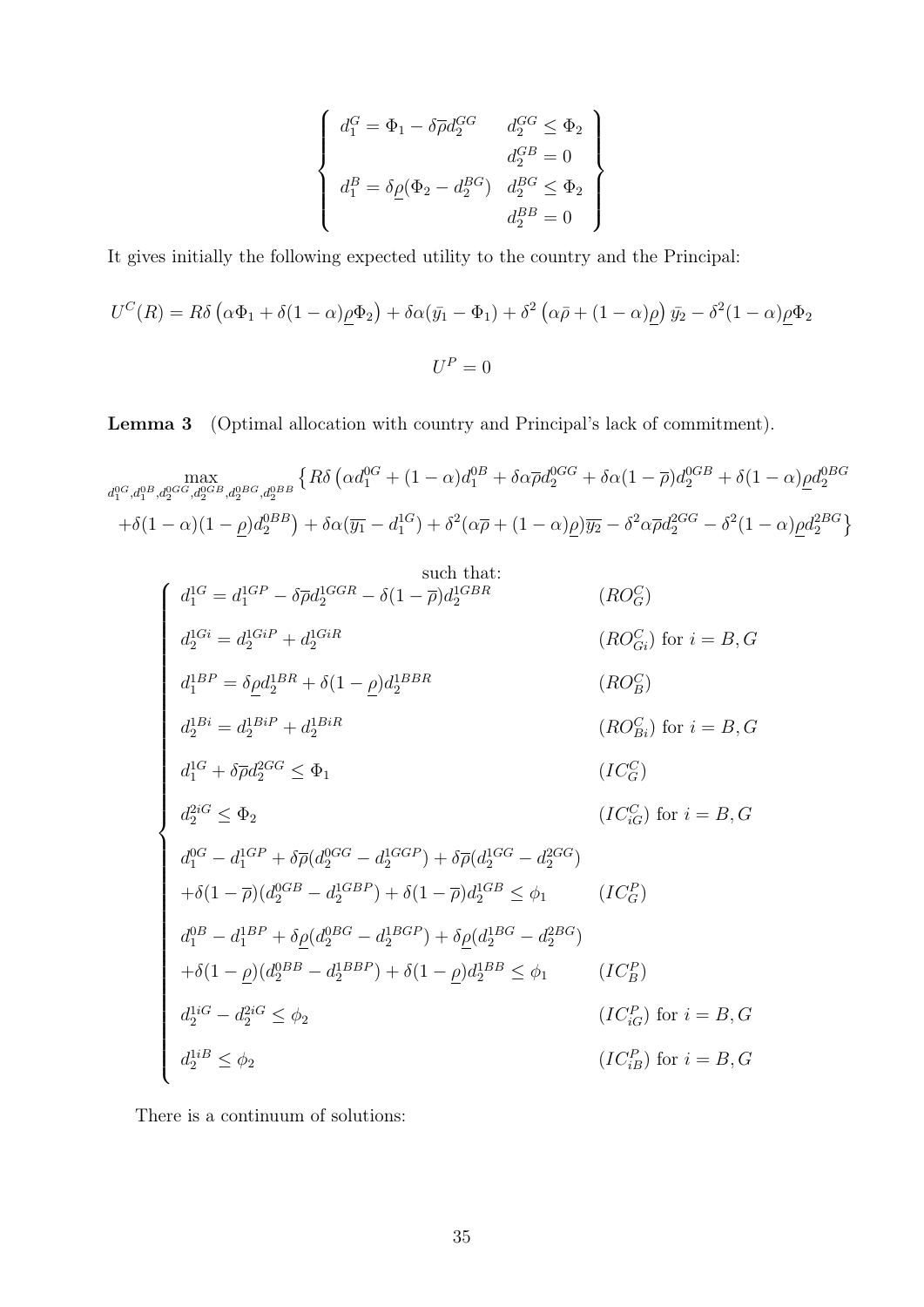$$
\begin{cases}\n d_1^G = \Phi_1 - \delta \overline{\rho} d_2^{GG} & d_2^{GG} \leq \Phi_2 \\
 d_2^{GB} = 0 \\
 d_1^B = \delta \underline{\rho} (\Phi_2 - d_2^{BG}) & d_2^{BG} \leq \Phi_2 \\
 d_2^{BB} = 0\n\end{cases}
$$

It gives initially the following expected utility to the country and the Principal:

$$
U^{C}(R) = R\delta \left(\alpha \Phi_{1} + \delta(1-\alpha)\rho \Phi_{2}\right) + \delta \alpha (\bar{y}_{1} - \Phi_{1}) + \delta^{2} \left(\alpha \bar{\rho} + (1-\alpha)\rho\right) \bar{y}_{2} - \delta^{2} (1-\alpha)\rho \Phi_{2}
$$

$$
U^{P} = 0
$$

Lemma 3 (Optimal allocation with country and Principal's lack of commitment).

$$
\max_{d_1^{0G}, d_1^{0B}, d_2^{0GG}, d_2^{0BB}, d_2^{0BB}, d_2^{0BB}} \left\{ R\delta \left( \alpha d_1^{0G} + (1 - \alpha) d_1^{0B} + \delta \alpha \overline{\rho} d_2^{0GG} + \delta \alpha (1 - \overline{\rho}) d_2^{0GB} + \delta (1 - \alpha) \underline{\rho} d_2^{0BG} \right) \right\}
$$
\n
$$
+ \delta (1 - \alpha)(1 - \underline{\rho}) d_2^{0BB} + \delta \alpha (\overline{y_1} - d_1^{1G}) + \delta^2 (\alpha \overline{\rho} + (1 - \alpha) \underline{\rho}) \overline{y_2} - \delta^2 \alpha \overline{\rho} d_2^{2GG} - \delta^2 (1 - \alpha) \underline{\rho} d_2^{2BG} \right\}
$$

$$
\begin{cases}\nd_{1}^{1G} = d_{1}^{1GP} - \delta \bar{\rho} d_{2}^{1GGR} - \delta (1-\bar{\rho}) d_{2}^{1GBR} & (RO_{G}^{C}) \\
d_{2}^{1Gi} = d_{2}^{1GiP} + d_{2}^{1GiR} & (RO_{Gi}^{C}) \text{ for } i = B, G \\
d_{1}^{1BP} = \delta \underline{\rho} d_{2}^{1BR} + \delta (1-\underline{\rho}) d_{2}^{1BBR} & (RO_{Bi}^{C}) \text{ for } i = B, G \\
d_{2}^{1Bi} = d_{2}^{1BiP} + d_{2}^{1BiR} & (RO_{Bi}^{C}) \text{ for } i = B, G \\
d_{1}^{1G} + \delta \bar{\rho} d_{2}^{2GG} \leq \Phi_{1} & (IC_{G}^{C}) \\
d_{2}^{2iG} \leq \Phi_{2} & (IC_{G}^{C}) \text{ for } i = B, G \\
d_{1}^{0G} - d_{1}^{1GP} + \delta \bar{\rho} (d_{2}^{0GG} - d_{2}^{1GGP}) + \delta \bar{\rho} (d_{2}^{1GG} - d_{2}^{2GG}) \\
+ \delta (1-\bar{\rho}) (d_{2}^{0GB} - d_{2}^{1GBP}) + \delta (1-\bar{\rho}) d_{2}^{1GB} \leq \phi_{1} & (IC_{G}^{P}) \\
d_{1}^{0B} - d_{1}^{1BP} + \delta \underline{\rho} (d_{2}^{0BG} - d_{2}^{1BGP}) + \delta \underline{\rho} (d_{2}^{1BG} - d_{2}^{2BG}) \\
+ \delta (1-\underline{\rho}) (d_{2}^{0BB} - d_{2}^{1BBP}) + \delta (1-\underline{\rho}) d_{2}^{1BB} \leq \phi_{1} & (IC_{B}^{P}) \\
d_{2}^{1iG} - d_{2}^{2iG} \leq \phi_{2} & (IC_{iG}^{P}) \text{ for } i = B, G \\
d_{2}^{1iB} \leq \phi_{2} & (IC_{iB}^{P}) \text{ for } i = B, G\n\end{cases}
$$

There is a continuum of solutions: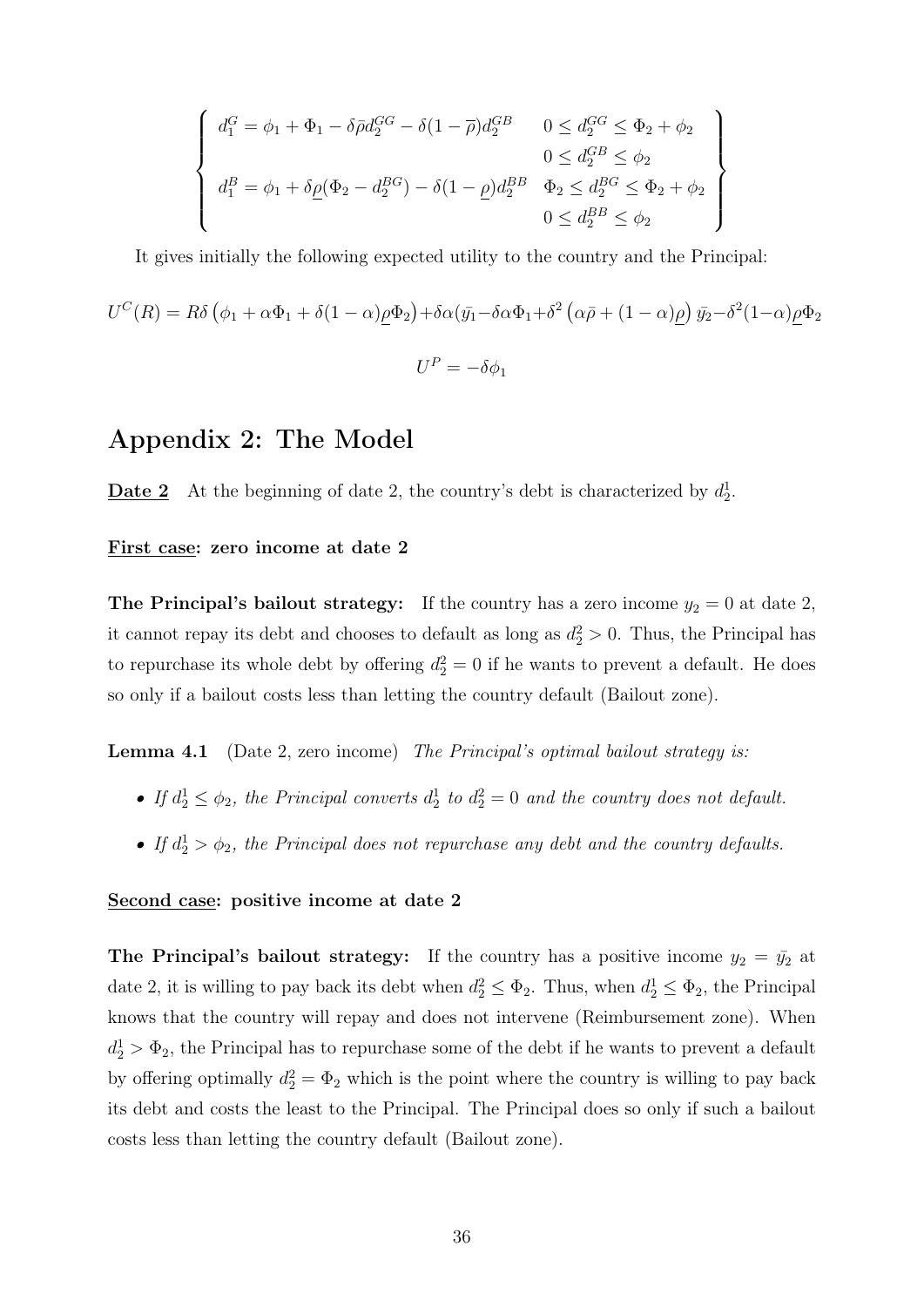$$
\begin{cases}\nd_1^G = \phi_1 + \Phi_1 - \delta \bar{\rho} d_2^{GG} - \delta (1 - \bar{\rho}) d_2^{GB} & 0 \leq d_2^{GG} \leq \Phi_2 + \phi_2 \\
0 \leq d_2^{GB} \leq \phi_2 \\
d_1^B = \phi_1 + \delta \underline{\rho} (\Phi_2 - d_2^{BG}) - \delta (1 - \underline{\rho}) d_2^{BB} & \Phi_2 \leq d_2^{BG} \leq \Phi_2 + \phi_2 \\
0 \leq d_2^{BB} \leq \phi_2\n\end{cases}
$$

It gives initially the following expected utility to the country and the Principal:

$$
U^{C}(R) = R\delta \left(\phi_{1} + \alpha \Phi_{1} + \delta(1-\alpha)\underline{\rho}\Phi_{2}\right) + \delta \alpha (\bar{y}_{1} - \delta \alpha \Phi_{1} + \delta^{2} \left(\alpha \bar{\rho} + (1-\alpha)\underline{\rho}\right) \bar{y}_{2} - \delta^{2} (1-\alpha)\underline{\rho}\Phi_{2}
$$

$$
U^{P} = -\delta \phi_{1}
$$

### Appendix 2: The Model

**Date 2** At the beginning of date 2, the country's debt is characterized by  $d_2^1$ .

#### First case: zero income at date 2

**The Principal's bailout strategy:** If the country has a zero income  $y_2 = 0$  at date 2, it cannot repay its debt and chooses to default as long as  $d_2^2 > 0$ . Thus, the Principal has to repurchase its whole debt by offering  $d_2^2 = 0$  if he wants to prevent a default. He does so only if a bailout costs less than letting the country default (Bailout zone).

**Lemma 4.1** (Date 2, zero income) The Principal's optimal bailout strategy is:

- If  $d_2^1 \leq \phi_2$ , the Principal converts  $d_2^1$  to  $d_2^2 = 0$  and the country does not default.
- If  $d_2^1 > \phi_2$ , the Principal does not repurchase any debt and the country defaults.

#### Second case: positive income at date 2

The Principal's bailout strategy: If the country has a positive income  $y_2 = \bar{y}_2$  at date 2, it is willing to pay back its debt when  $d_2^2 \leq \Phi_2$ . Thus, when  $d_2^1 \leq \Phi_2$ , the Principal knows that the country will repay and does not intervene (Reimbursement zone). When  $d_2^1 > \Phi_2$ , the Principal has to repurchase some of the debt if he wants to prevent a default by offering optimally  $d_2^2 = \Phi_2$  which is the point where the country is willing to pay back its debt and costs the least to the Principal. The Principal does so only if such a bailout costs less than letting the country default (Bailout zone).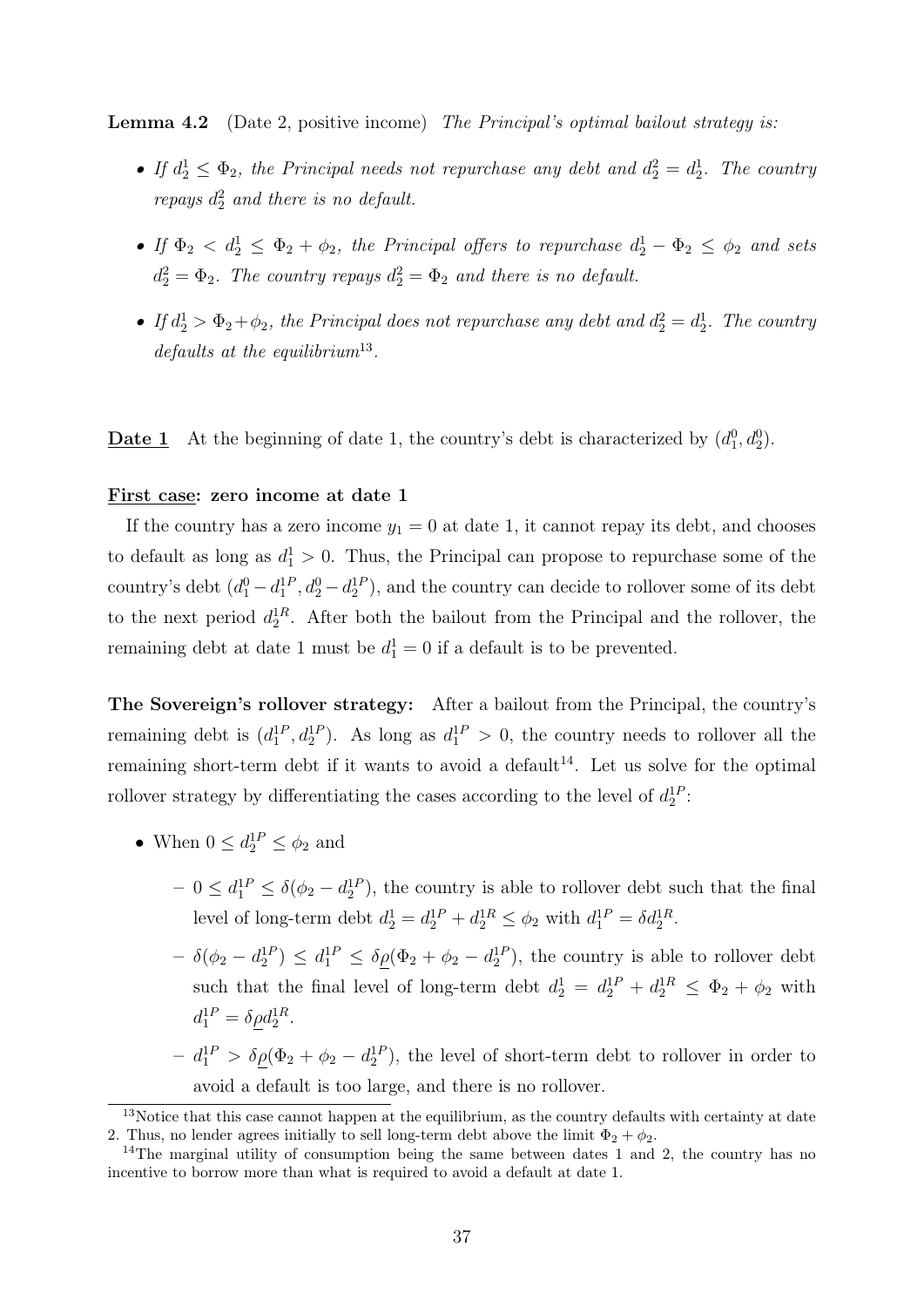Lemma 4.2 (Date 2, positive income) The Principal's optimal bailout strategy is:

- If  $d_2^1 \leq \Phi_2$ , the Principal needs not repurchase any debt and  $d_2^2 = d_2^1$ . The country repays  $d_2^2$  and there is no default.
- If  $\Phi_2 < d_2^1 \leq \Phi_2 + \phi_2$ , the Principal offers to repurchase  $d_2^1 \Phi_2 \leq \phi_2$  and sets  $d_2^2 = \Phi_2$ . The country repays  $d_2^2 = \Phi_2$  and there is no default.
- If  $d_2^1 > \Phi_2 + \phi_2$ , the Principal does not repurchase any debt and  $d_2^2 = d_2^1$ . The country  $defaults$  at the equilibrium<sup>13</sup>.

**Date 1** At the beginning of date 1, the country's debt is characterized by  $(d_1^0, d_2^0)$ .

#### First case: zero income at date 1

If the country has a zero income  $y_1 = 0$  at date 1, it cannot repay its debt, and chooses to default as long as  $d_1^1 > 0$ . Thus, the Principal can propose to repurchase some of the country's debt  $(d_1^0 - d_1^{1P}, d_2^0 - d_2^{1P})$ , and the country can decide to rollover some of its debt to the next period  $d_2^{\text{1R}}$ . After both the bailout from the Principal and the rollover, the remaining debt at date 1 must be  $d_1^1 = 0$  if a default is to be prevented.

The Sovereign's rollover strategy: After a bailout from the Principal, the country's remaining debt is  $(d_1^{1P}, d_2^{1P})$ . As long as  $d_1^{1P} > 0$ , the country needs to rollover all the remaining short-term debt if it wants to avoid a default<sup>14</sup>. Let us solve for the optimal rollover strategy by differentiating the cases according to the level of  $d_2^{1P}$ :

- When  $0 \leq d_2^{1P} \leq \phi_2$  and
	- $-0 \leq d_1^{1P} \leq \delta(\phi_2 d_2^{1P})$ , the country is able to rollover debt such that the final level of long-term debt  $d_2^1 = d_2^{1P} + d_2^{1R} \le \phi_2$  with  $d_1^{1P} = \delta d_2^{1R}$ .
	- $\delta(\phi_2 d_2^{1P}) \leq d_1^{1P} \leq \delta_{\underline{\rho}}(\Phi_2 + \phi_2 d_2^{1P}),$  the country is able to rollover debt such that the final level of long-term debt  $d_2^1 = d_2^{1P} + d_2^{1R} \leq \Phi_2 + \phi_2$  with  $d_1^{1P} = \delta \rho d_2^{1R}.$
	- $d_1^{\rm 1P} > \delta \rho (\Phi_2 + \phi_2 d_2^{\rm 1P}),$  the level of short-term debt to rollover in order to avoid a default is too large, and there is no rollover.

<sup>&</sup>lt;sup>13</sup>Notice that this case cannot happen at the equilibrium, as the country defaults with certainty at date 2. Thus, no lender agrees initially to sell long-term debt above the limit  $\Phi_2 + \phi_2$ .

<sup>&</sup>lt;sup>14</sup>The marginal utility of consumption being the same between dates 1 and 2, the country has no incentive to borrow more than what is required to avoid a default at date 1.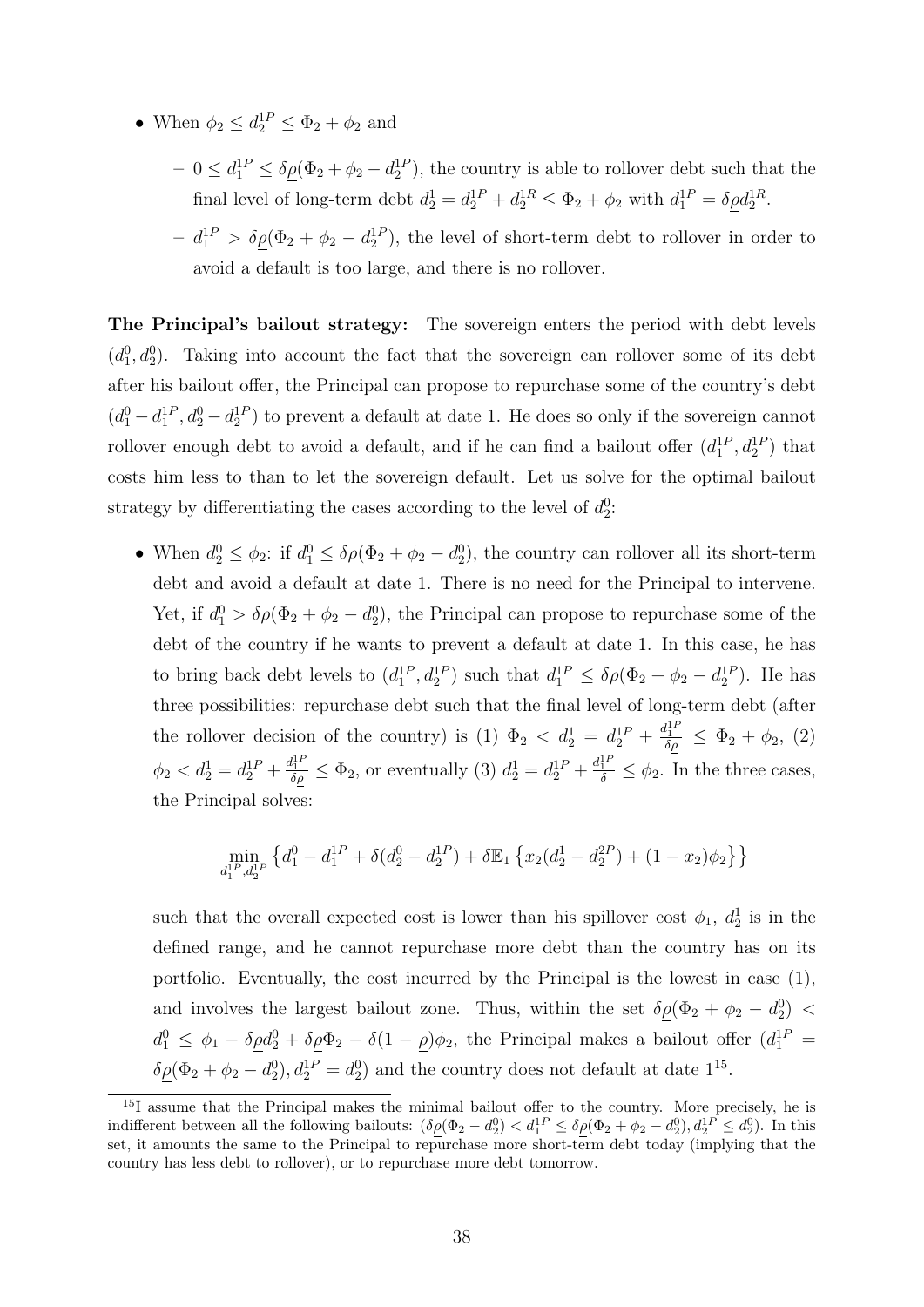- When  $\phi_2 \leq d_2^{1P} \leq \Phi_2 + \phi_2$  and
	- $-0 \leq d_1^{1P} \leq \delta_{\underline{\rho}}(\Phi_2 + \phi_2 d_2^{1P}),$  the country is able to rollover debt such that the final level of long-term debt  $d_2^1 = d_2^{1P} + d_2^{1R} \leq \Phi_2 + \phi_2$  with  $d_1^{1P} = \delta \rho d_2^{1R}$ .
	- $d_1^{\rm 1P} > \delta_{\underline{\rho}}(\Phi_2 + \phi_2 d_2^{\rm 1P}),$  the level of short-term debt to rollover in order to avoid a default is too large, and there is no rollover.

The Principal's bailout strategy: The sovereign enters the period with debt levels  $(d_1^0, d_2^0)$ . Taking into account the fact that the sovereign can rollover some of its debt after his bailout offer, the Principal can propose to repurchase some of the country's debt  $(d_1^0 - d_1^{1P}, d_2^0 - d_2^{1P})$  to prevent a default at date 1. He does so only if the sovereign cannot rollover enough debt to avoid a default, and if he can find a bailout offer  $(d_1^{1P}, d_2^{1P})$  that costs him less to than to let the sovereign default. Let us solve for the optimal bailout strategy by differentiating the cases according to the level of  $d_2^0$ :

• When  $d_2^0 \leq \phi_2$ : if  $d_1^0 \leq \delta \rho(\Phi_2 + \phi_2 - d_2^0)$ , the country can rollover all its short-term debt and avoid a default at date 1. There is no need for the Principal to intervene. Yet, if  $d_1^0 > \delta \rho (\Phi_2 + \phi_2 - d_2^0)$ , the Principal can propose to repurchase some of the debt of the country if he wants to prevent a default at date 1. In this case, he has to bring back debt levels to  $(d_1^{1P}, d_2^{1P})$  such that  $d_1^{1P} \leq \delta \rho (\Phi_2 + \phi_2 - d_2^{1P})$ . He has three possibilities: repurchase debt such that the final level of long-term debt (after the rollover decision of the country) is (1)  $\Phi_2 \langle d_2^1 = d_2^{1P} + \frac{d_1^{1P}}{\delta \rho} \leq \Phi_2 + \phi_2$ , (2)  $\phi_2 < d_2^1 = d_2^{1P} + \frac{d_1^{1P}}{\delta \rho} \leq \Phi_2$ , or eventually (3)  $d_2^1 = d_2^{1P} + \frac{d_1^{1P}}{\delta} \leq \phi_2$ . In the three cases, the Principal solves:

$$
\min_{d_1^{1P}, d_2^{1P}} \left\{ d_1^0 - d_1^{1P} + \delta(d_2^0 - d_2^{1P}) + \delta \mathbb{E}_1 \left\{ x_2(d_2^1 - d_2^{2P}) + (1 - x_2)\phi_2 \right\} \right\}
$$

such that the overall expected cost is lower than his spillover cost  $\phi_1$ ,  $d_2^1$  is in the defined range, and he cannot repurchase more debt than the country has on its portfolio. Eventually, the cost incurred by the Principal is the lowest in case (1), and involves the largest bailout zone. Thus, within the set  $\delta \rho (\Phi_2 + \phi_2 - d_2^0)$  $d_1^0 \leq \phi_1 - \delta \rho d_2^0 + \delta \rho \Phi_2 - \delta (1 - \rho) \phi_2$ , the Principal makes a bailout offer  $(d_1^{1P} =$  $\delta \rho (\Phi_2 + \phi_2 - d_2^0), d_2^{\text{1P}} = d_2^{\text{0}}$  and the country does not default at date  $1^{15}$ .

<sup>&</sup>lt;sup>15</sup>I assume that the Principal makes the minimal bailout offer to the country. More precisely, he is indifferent between all the following bailouts:  $(\delta \rho(\Phi_2 - d_2^0) < d_1^1 P \leq \delta \rho(\Phi_2 + \phi_2 - d_2^0), d_2^1 P \leq d_2^0)$ . In this set, it amounts the same to the Principal to repurchase more short-term debt today (implying that the country has less debt to rollover), or to repurchase more debt tomorrow.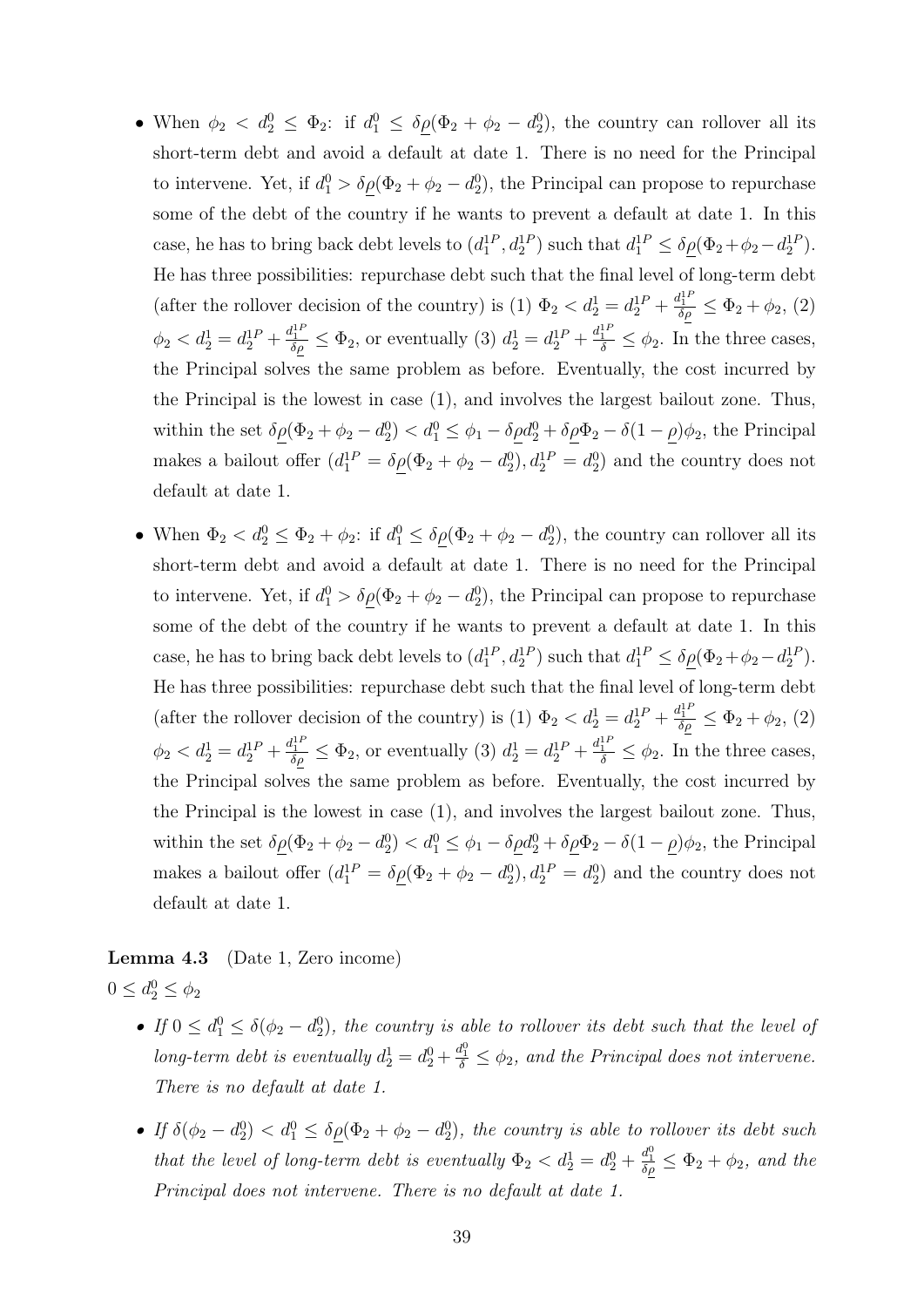- When  $\phi_2 < d_2^0 \leq \Phi_2$ : if  $d_1^0 \leq \delta \underline{\rho}(\Phi_2 + \phi_2 d_2^0)$ , the country can rollover all its short-term debt and avoid a default at date 1. There is no need for the Principal to intervene. Yet, if  $d_1^0 > \delta \rho(\Phi_2 + \phi_2 - d_2^0)$ , the Principal can propose to repurchase some of the debt of the country if he wants to prevent a default at date 1. In this case, he has to bring back debt levels to  $(d_1^{1P}, d_2^{1P})$  such that  $d_1^{1P} \le \delta \rho (\Phi_2 + \phi_2 - d_2^{1P})$ . He has three possibilities: repurchase debt such that the final level of long-term debt (after the rollover decision of the country) is (1)  $\Phi_2 < d_2^1 = d_2^{1P} + \frac{d_1^{1P}}{\delta \rho} \leq \Phi_2 + \phi_2$ , (2)  $\phi_2 < d_2^1 = d_2^{1P} + \frac{d_1^{1P}}{\delta \rho} \leq \Phi_2$ , or eventually (3)  $d_2^1 = d_2^{1P} + \frac{d_1^{1P}}{\delta} \leq \phi_2$ . In the three cases, the Principal solves the same problem as before. Eventually, the cost incurred by the Principal is the lowest in case (1), and involves the largest bailout zone. Thus, within the set  $\delta \rho(\Phi_2 + \phi_2 - d_2^0) < d_1^0 \leq \phi_1 - \delta \rho d_2^0 + \delta \rho \Phi_2 - \delta (1 - \rho) \phi_2$ , the Principal makes a bailout offer  $(d_1^{1P} = \delta \rho (\Phi_2 + \phi_2 - d_2^0), d_2^{1P} = d_2^0)$  and the country does not default at date 1.
- When  $\Phi_2 < d_2^0 \leq \Phi_2 + \phi_2$ : if  $d_1^0 \leq \delta \underline{\rho}(\Phi_2 + \phi_2 d_2^0)$ , the country can rollover all its short-term debt and avoid a default at date 1. There is no need for the Principal to intervene. Yet, if  $d_1^0 > \delta \rho(\Phi_2 + \phi_2 - d_2^0)$ , the Principal can propose to repurchase some of the debt of the country if he wants to prevent a default at date 1. In this case, he has to bring back debt levels to  $(d_1^{1P}, d_2^{1P})$  such that  $d_1^{1P} \le \delta \rho (\Phi_2 + \phi_2 - d_2^{1P})$ . He has three possibilities: repurchase debt such that the final level of long-term debt (after the rollover decision of the country) is (1)  $\Phi_2 < d_2^1 = d_2^{1P} + \frac{d_1^{1P}}{\delta \rho} \leq \Phi_2 + \phi_2$ , (2)  $\phi_2 < d_2^1 = d_2^{1P} + \frac{d_1^{1P}}{\delta \rho} \leq \Phi_2$ , or eventually (3)  $d_2^1 = d_2^{1P} + \frac{d_1^{1P}}{\delta} \leq \phi_2$ . In the three cases, the Principal solves the same problem as before. Eventually, the cost incurred by the Principal is the lowest in case (1), and involves the largest bailout zone. Thus, within the set  $\delta \rho(\Phi_2 + \phi_2 - d_2^0) < d_1^0 \leq \phi_1 - \delta \rho d_2^0 + \delta \rho \Phi_2 - \delta (1 - \rho) \phi_2$ , the Principal makes a bailout offer  $(d_1^{1P} = \delta \rho (\Phi_2 + \phi_2 - d_2^0), d_2^{1P} = d_2^0)$  and the country does not default at date 1.

# Lemma 4.3 (Date 1, Zero income)  $0 \le d_2^0 \le \phi_2$

- If  $0 \leq d_1^0 \leq \delta(\phi_2 d_2^0)$ , the country is able to rollover its debt such that the level of long-term debt is eventually  $d_2^1 = d_2^0 + \frac{d_1^0}{\delta} \leq \phi_2$ , and the Principal does not intervene. There is no default at date 1.
- If  $\delta(\phi_2 d_2^0) < d_1^0 \leq \delta \rho(\Phi_2 + \phi_2 d_2^0)$ , the country is able to rollover its debt such that the level of long-term debt is eventually  $\Phi_2 < d_2^1 = d_2^0 + \frac{d_1^0}{\delta \rho} \leq \Phi_2 + \phi_2$ , and the Principal does not intervene. There is no default at date 1.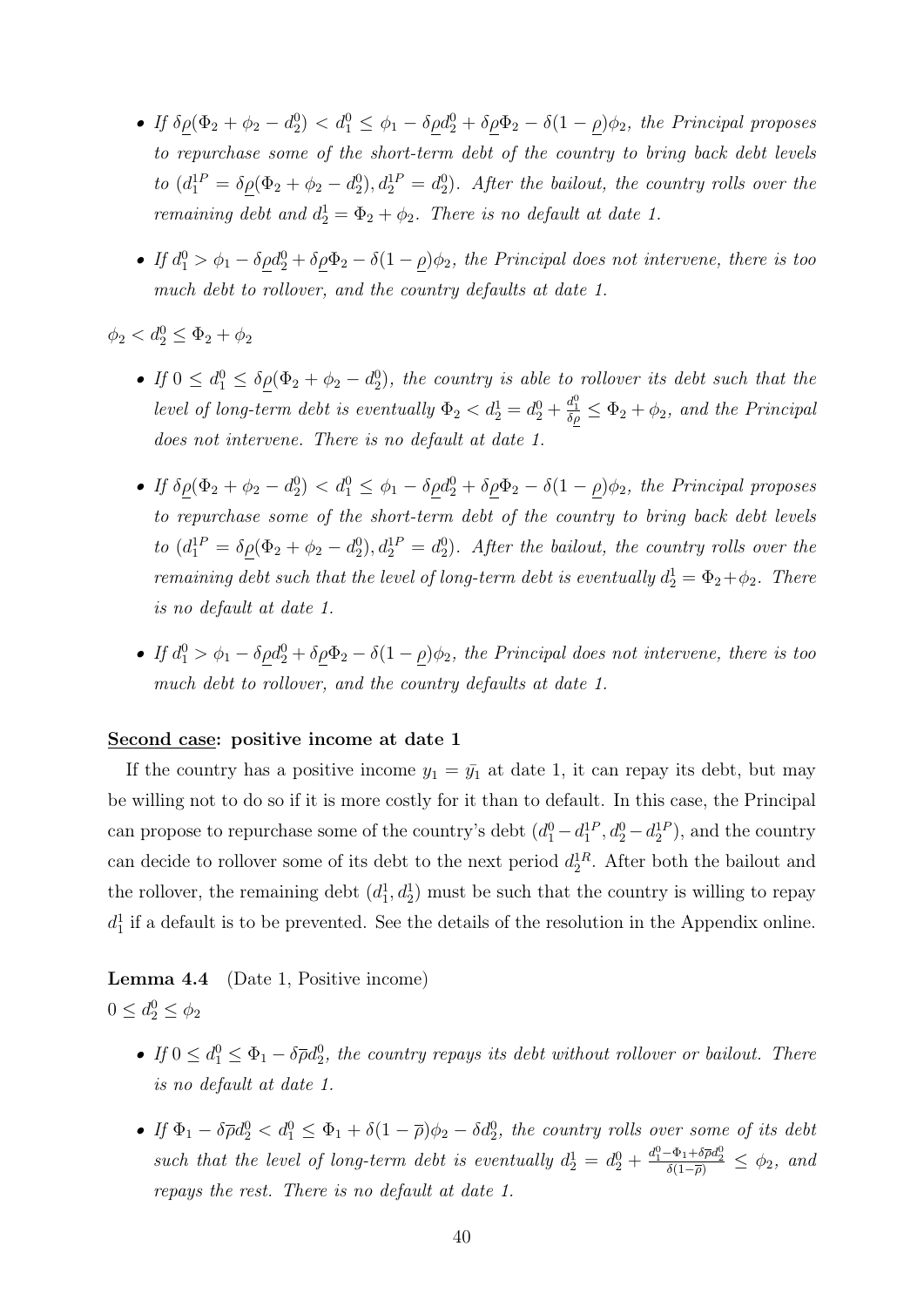- If  $\delta \rho (\Phi_2 + \phi_2 d_2^0) < d_1^0 \leq \phi_1 \delta \rho d_2^0 + \delta \rho \Phi_2 \delta (1 \rho) \phi_2$ , the Principal proposes to repurchase some of the short-term debt of the country to bring back debt levels to  $(d_1^{1P} = \delta \rho (\Phi_2 + \phi_2 - d_2^0), d_2^{1P} = d_2^0)$ . After the bailout, the country rolls over the remaining debt and  $d_2^1 = \Phi_2 + \phi_2$ . There is no default at date 1.
- If  $d_1^0 > \phi_1 \delta \rho d_2^0 + \delta \rho \Phi_2 \delta (1 \rho) \phi_2$ , the Principal does not intervene, there is too much debt to rollover, and the country defaults at date 1.

 $\phi_2 < d_2^0 \leq \Phi_2 + \phi_2$ 

- If  $0 \leq d_1^0 \leq \delta \rho(\Phi_2 + \phi_2 d_2^0)$ , the country is able to rollover its debt such that the level of long-term debt is eventually  $\Phi_2 < d_2^1 = d_2^0 + \frac{d_1^0}{\delta \rho} \leq \Phi_2 + \phi_2$ , and the Principal does not intervene. There is no default at date 1.
- If  $\delta \rho (\Phi_2 + \phi_2 d_2^0) < d_1^0 \leq \phi_1 \delta \rho d_2^0 + \delta \rho d_2 \delta (1 \rho) \phi_2$ , the Principal proposes to repurchase some of the short-term debt of the country to bring back debt levels to  $(d_1^{1P} = \delta \rho (\Phi_2 + \phi_2 - d_2^0), d_2^{1P} = d_2^0)$ . After the bailout, the country rolls over the remaining debt such that the level of long-term debt is eventually  $d_2^1 = \Phi_2 + \phi_2$ . There is no default at date 1.
- If  $d_1^0 > \phi_1 \delta \rho d_2^0 + \delta \rho \Phi_2 \delta (1 \rho) \phi_2$ , the Principal does not intervene, there is too much debt to rollover, and the country defaults at date 1.

#### Second case: positive income at date 1

If the country has a positive income  $y_1 = \bar{y}_1$  at date 1, it can repay its debt, but may be willing not to do so if it is more costly for it than to default. In this case, the Principal can propose to repurchase some of the country's debt  $(d_1^0 - d_1^{1P}, d_2^0 - d_2^{1P})$ , and the country can decide to rollover some of its debt to the next period  $d_2^{1R}$ . After both the bailout and the rollover, the remaining debt  $(d_1^1, d_2^1)$  must be such that the country is willing to repay  $d_1^1$  if a default is to be prevented. See the details of the resolution in the Appendix online.

Lemma 4.4 (Date 1, Positive income)  $0 \le d_2^0 \le \phi_2$ 

- If  $0 \leq d_1^0 \leq \Phi_1 \delta \overline{\rho} d_2^0$ , the country repays its debt without rollover or bailout. There is no default at date 1.
- If  $\Phi_1 \delta \overline{\rho} d_2^0 < d_1^0 \leq \Phi_1 + \delta (1 \overline{\rho}) \phi_2 \delta d_2^0$ , the country rolls over some of its debt such that the level of long-term debt is eventually  $d_2^1 = d_2^0 + \frac{d_1^0 - \Phi_1 + \delta \bar{\rho} d_2^0}{\delta(1 - \bar{\rho})} \leq \phi_2$ , and repays the rest. There is no default at date 1.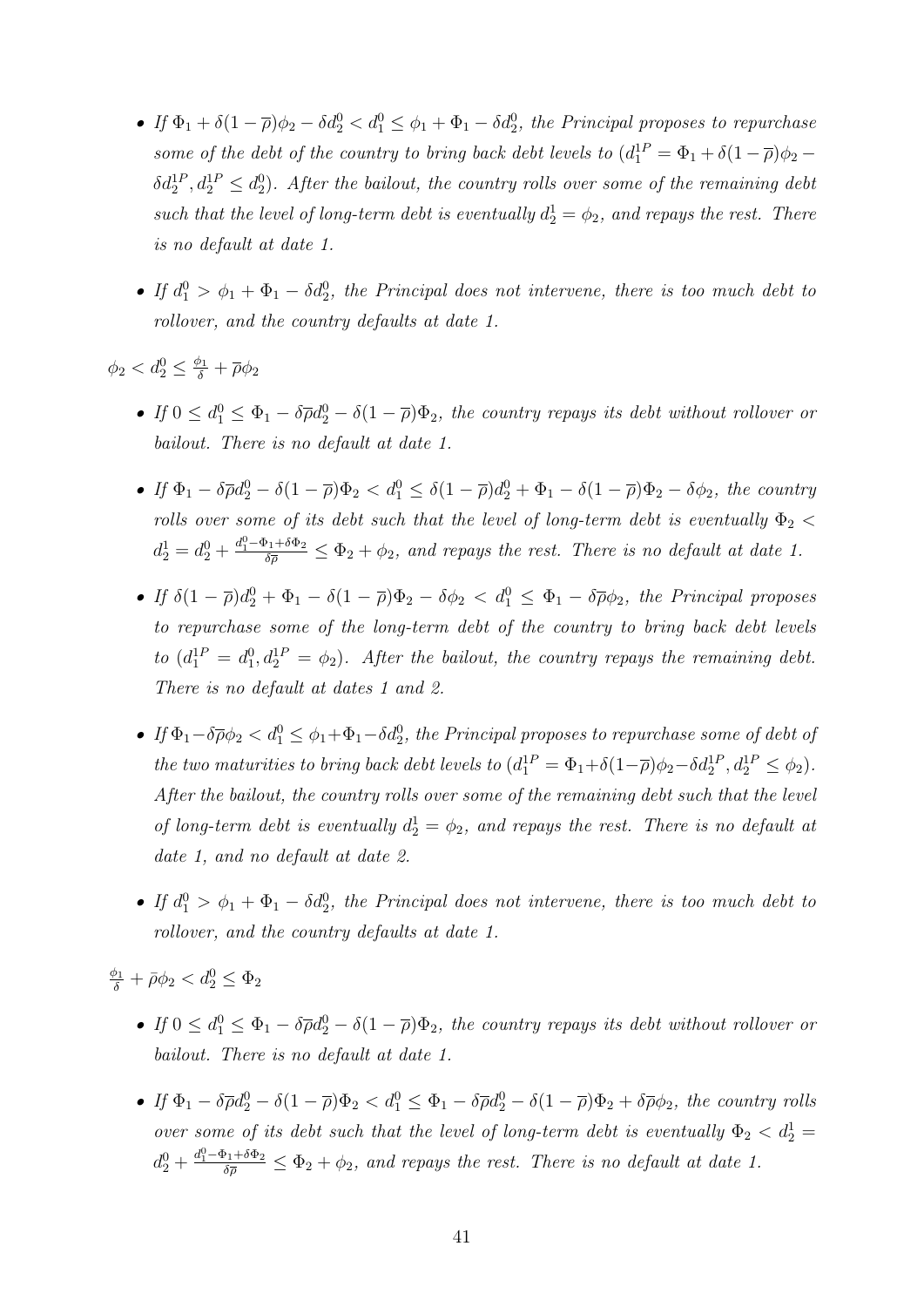- If  $\Phi_1 + \delta(1-\overline{\rho})\phi_2 \delta d_2^0 < d_1^0 \leq \phi_1 + \Phi_1 \delta d_2^0$ , the Principal proposes to repurchase some of the debt of the country to bring back debt levels to  $(d_1^{\text{IP}} = \Phi_1 + \delta(1-\overline{\rho})\phi_2 \delta d_2^{1P}, d_2^{1P} \leq d_2^0$ ). After the bailout, the country rolls over some of the remaining debt such that the level of long-term debt is eventually  $d_2^1 = \phi_2$ , and repays the rest. There is no default at date 1.
- If  $d_1^0 > \phi_1 + \Phi_1 \delta d_2^0$ , the Principal does not intervene, there is too much debt to rollover, and the country defaults at date 1.

 $\phi_2 < d_2^0 \leq \frac{\phi_1}{\delta} + \overline{\rho}\phi_2$ 

- If  $0 \leq d_1^0 \leq \Phi_1 \delta \overline{\rho} d_2^0 \delta (1 \overline{\rho}) \Phi_2$ , the country repays its debt without rollover or bailout. There is no default at date 1.
- If  $\Phi_1 \delta \overline{\rho} d_2^0 \delta (1 \overline{\rho}) \Phi_2 < d_1^0 \leq \delta (1 \overline{\rho}) d_2^0 + \Phi_1 \delta (1 \overline{\rho}) \Phi_2 \delta \phi_2$ , the country rolls over some of its debt such that the level of long-term debt is eventually  $\Phi_2$  <  $d_2^1 = d_2^0 + \frac{d_1^0 - \Phi_1 + \delta \Phi_2}{\delta \overline{\rho}} \leq \Phi_2 + \phi_2$ , and repays the rest. There is no default at date 1.
- If  $\delta(1-\overline{\rho})d_2^0 + \Phi_1 \delta(1-\overline{\rho})\Phi_2 \delta\phi_2 < d_1^0 \leq \Phi_1 \delta\overline{\rho}\phi_2$ , the Principal proposes to repurchase some of the long-term debt of the country to bring back debt levels to  $(d_1^{1P} = d_1^0, d_2^{1P} = \phi_2)$ . After the bailout, the country repays the remaining debt. There is no default at dates 1 and 2.
- If  $\Phi_1-\delta\overline{\rho}\phi_2 < d_1^0 \leq \phi_1+\Phi_1-\delta d_2^0$ , the Principal proposes to repurchase some of debt of the two maturities to bring back debt levels to  $(d_1^{1P} = \Phi_1 + \delta(1-\overline{\rho})\phi_2 - \delta d_2^{1P}, d_2^{1P} \leq \phi_2)$ . After the bailout, the country rolls over some of the remaining debt such that the level of long-term debt is eventually  $d_2^1 = \phi_2$ , and repays the rest. There is no default at date 1, and no default at date 2.
- If  $d_1^0 > \phi_1 + \Phi_1 \delta d_2^0$ , the Principal does not intervene, there is too much debt to rollover, and the country defaults at date 1.

 $\frac{\phi_1}{\delta} + \bar{\rho}\phi_2 < d_2^0 \leq \Phi_2$ 

- If  $0 \leq d_1^0 \leq \Phi_1 \delta \overline{\rho} d_2^0 \delta (1 \overline{\rho}) \Phi_2$ , the country repays its debt without rollover or bailout. There is no default at date 1.
- If  $\Phi_1 \delta \overline{\rho} d_2^0 \delta (1 \overline{\rho}) \Phi_2 < d_1^0 \leq \Phi_1 \delta \overline{\rho} d_2^0 \delta (1 \overline{\rho}) \Phi_2 + \delta \overline{\rho} \phi_2$ , the country rolls over some of its debt such that the level of long-term debt is eventually  $\Phi_2 < d_2^1 =$  $d_2^0 + \frac{d_1^0 - \Phi_1 + \delta \Phi_2}{\delta \overline{\rho}} \leq \Phi_2 + \phi_2$ , and repays the rest. There is no default at date 1.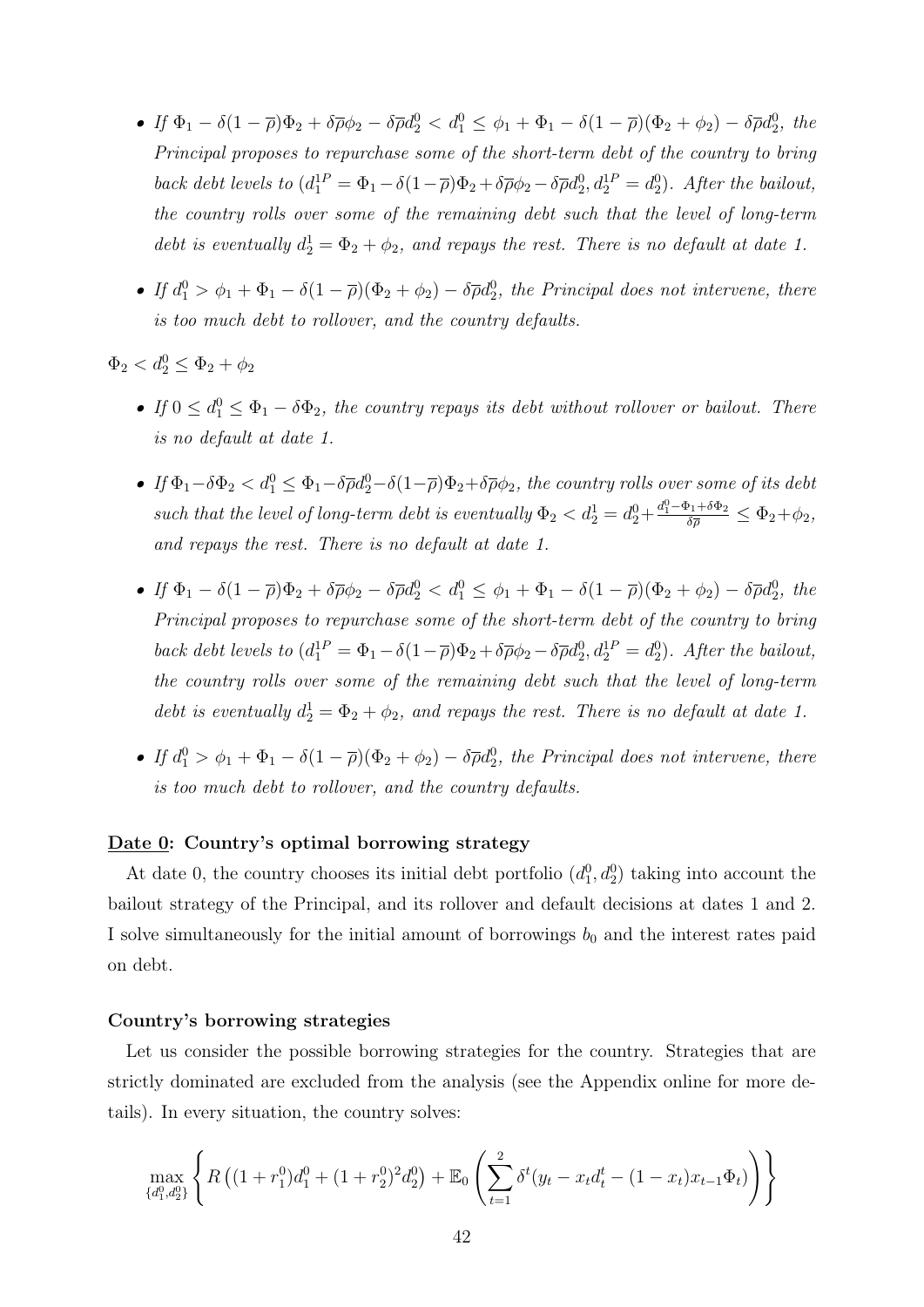- If  $\Phi_1 \delta(1-\overline{\rho})\Phi_2 + \delta\overline{\rho}\phi_2 \delta\overline{\rho}d_2^0 < d_1^0 \leq \phi_1 + \Phi_1 \delta(1-\overline{\rho})(\Phi_2 + \phi_2) \delta\overline{\rho}d_2^0$ , the Principal proposes to repurchase some of the short-term debt of the country to bring back debt levels to  $(d_1^{1P} = \Phi_1 - \delta(1-\overline{\rho})\Phi_2 + \delta\overline{\rho}\phi_2 - \delta\overline{\rho}d_2^0, d_2^{1P} = d_2^0)$ . After the bailout, the country rolls over some of the remaining debt such that the level of long-term debt is eventually  $d_2^1 = \Phi_2 + \phi_2$ , and repays the rest. There is no default at date 1.
- If  $d_1^0 > \phi_1 + \Phi_1 \delta(1-\overline{\rho})(\Phi_2+\phi_2) \delta \overline{\rho}d_2^0$ , the Principal does not intervene, there is too much debt to rollover, and the country defaults.

 $\Phi_2 < d_2^0 \leq \Phi_2 + \phi_2$ 

- If  $0 \leq d_1^0 \leq \Phi_1 \delta \Phi_2$ , the country repays its debt without rollover or bailout. There is no default at date 1.
- If  $\Phi_1-\delta\Phi_2 < d_1^0 \leq \Phi_1-\delta\overline{\rho}d_2^0-\delta(1-\overline{\rho})\Phi_2+\delta\overline{\rho}\phi_2$ , the country rolls over some of its debt such that the level of long-term debt is eventually  $\Phi_2 < d_2^1 = d_2^0 + \frac{d_1^0 - \Phi_1 + \delta \Phi_2}{\delta \overline{\rho}} \leq \Phi_2 + \phi_2$ , and repays the rest. There is no default at date 1.
- If  $\Phi_1 \delta(1-\overline{\rho})\Phi_2 + \delta\overline{\rho}\phi_2 \delta\overline{\rho}d_2^0 < d_1^0 \leq \phi_1 + \Phi_1 \delta(1-\overline{\rho})(\Phi_2 + \phi_2) \delta\overline{\rho}d_2^0$ , the Principal proposes to repurchase some of the short-term debt of the country to bring back debt levels to  $(d_1^{1P} = \Phi_1 - \delta(1-\overline{\rho})\Phi_2 + \delta\overline{\rho}\phi_2 - \delta\overline{\rho}d_2^0, d_2^{1P} = d_2^0)$ . After the bailout, the country rolls over some of the remaining debt such that the level of long-term debt is eventually  $d_2^1 = \Phi_2 + \phi_2$ , and repays the rest. There is no default at date 1.
- If  $d_1^0 > \phi_1 + \Phi_1 \delta(1-\overline{\rho})(\Phi_2+\phi_2) \delta \overline{\rho}d_2^0$ , the Principal does not intervene, there is too much debt to rollover, and the country defaults.

#### Date 0: Country's optimal borrowing strategy

At date 0, the country chooses its initial debt portfolio  $(d_1^0, d_2^0)$  taking into account the bailout strategy of the Principal, and its rollover and default decisions at dates 1 and 2. I solve simultaneously for the initial amount of borrowings  $b_0$  and the interest rates paid on debt.

#### Country's borrowing strategies

Let us consider the possible borrowing strategies for the country. Strategies that are strictly dominated are excluded from the analysis (see the Appendix online for more details). In every situation, the country solves:

$$
\max_{\{d_1^0, d_2^0\}} \left\{ R \left( (1 + r_1^0) d_1^0 + (1 + r_2^0)^2 d_2^0 \right) + \mathbb{E}_0 \left( \sum_{t=1}^2 \delta^t (y_t - x_t d_t^t - (1 - x_t) x_{t-1} \Phi_t) \right) \right\}
$$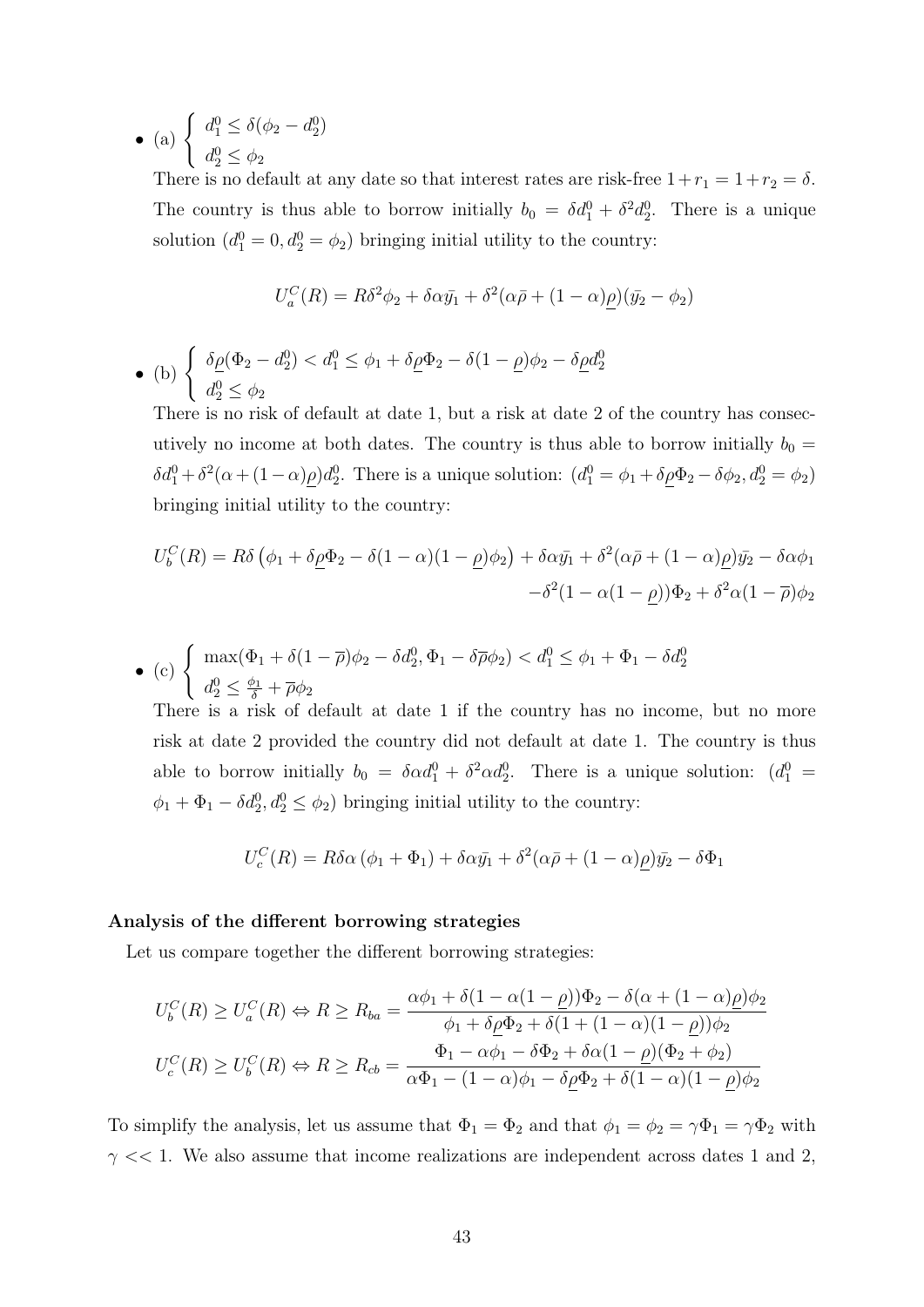• (a)  $\begin{cases} d_1^0 \leq \delta(\phi_2 - d_2^0) \end{cases}$  $d_2^0 \leq \phi_2$ 

There is no default at any date so that interest rates are risk-free  $1+r_1 = 1+r_2 = \delta$ . The country is thus able to borrow initially  $b_0 = \delta d_1^0 + \delta^2 d_2^0$ . There is a unique solution  $(d_1^0 = 0, d_2^0 = \phi_2)$  bringing initial utility to the country:

$$
U_a^C(R) = R\delta^2\phi_2 + \delta\alpha\bar{y_1} + \delta^2(\alpha\bar{\rho} + (1-\alpha)\rho)(\bar{y_2} - \phi_2)
$$

• (b)  $\begin{cases} \delta \underline{\rho}(\Phi_2 - d_2^0) < d_1^0 \leq \phi_1 + \delta \underline{\rho} \Phi_2 - \delta(1 - \underline{\rho})\phi_2 - \delta \underline{\rho} d_2^0 \end{cases}$  $d_2^0 \leq \phi_2$ 

There is no risk of default at date 1, but a risk at date 2 of the country has consecutively no income at both dates. The country is thus able to borrow initially  $b_0 =$  $\delta d_1^0 + \delta^2(\alpha + (1-\alpha)\rho)d_2^0$ . There is a unique solution:  $(d_1^0 = \phi_1 + \delta \rho \Phi_2 - \delta \phi_2, d_2^0 = \phi_2)$ bringing initial utility to the country:

$$
U_b^C(R) = R\delta \left( \phi_1 + \delta \rho \Phi_2 - \delta (1 - \alpha)(1 - \rho)\phi_2 \right) + \delta \alpha \bar{y_1} + \delta^2 (\alpha \bar{\rho} + (1 - \alpha)\rho) \bar{y_2} - \delta \alpha \phi_1
$$

$$
- \delta^2 (1 - \alpha(1 - \rho)) \Phi_2 + \delta^2 \alpha (1 - \bar{\rho}) \phi_2
$$

$$
\bullet \text{ (c) } \begin{cases} \max(\Phi_1 + \delta(1-\overline{\rho})\phi_2 - \delta d_2^0, \Phi_1 - \delta \overline{\rho} \phi_2) < d_1^0 \le \phi_1 + \Phi_1 - \delta d_2^0 \\ d_2^0 \le \frac{\phi_1}{\delta} + \overline{\rho} \phi_2 \end{cases}
$$

There is a risk of default at date 1 if the country has no income, but no more risk at date 2 provided the country did not default at date 1. The country is thus able to borrow initially  $b_0 = \delta \alpha d_1^0 + \delta^2 \alpha d_2^0$ . There is a unique solution:  $(d_1^0 =$  $\phi_1 + \Phi_1 - \delta d_2^0, d_2^0 \le \phi_2$ ) bringing initial utility to the country:

$$
U_c^C(R) = R\delta\alpha\left(\phi_1 + \Phi_1\right) + \delta\alpha\bar{y_1} + \delta^2(\alpha\bar{\rho} + (1-\alpha)\rho)\bar{y_2} - \delta\Phi_1
$$

#### Analysis of the different borrowing strategies

Let us compare together the different borrowing strategies:

$$
U_b^C(R) \ge U_a^C(R) \Leftrightarrow R \ge R_{ba} = \frac{\alpha \phi_1 + \delta(1 - \alpha(1 - \rho))\Phi_2 - \delta(\alpha + (1 - \alpha)\rho)\phi_2}{\phi_1 + \delta \rho \Phi_2 + \delta(1 + (1 - \alpha)(1 - \rho))\phi_2}
$$

$$
U_c^C(R) \ge U_b^C(R) \Leftrightarrow R \ge R_{cb} = \frac{\Phi_1 - \alpha \phi_1 - \delta \Phi_2 + \delta \alpha(1 - \rho)(\Phi_2 + \phi_2)}{\alpha \Phi_1 - (1 - \alpha)\phi_1 - \delta \rho \Phi_2 + \delta(1 - \alpha)(1 - \rho)\phi_2}
$$

To simplify the analysis, let us assume that  $\Phi_1 = \Phi_2$  and that  $\phi_1 = \phi_2 = \gamma \Phi_1 = \gamma \Phi_2$  with  $\gamma \ll 1$ . We also assume that income realizations are independent across dates 1 and 2,